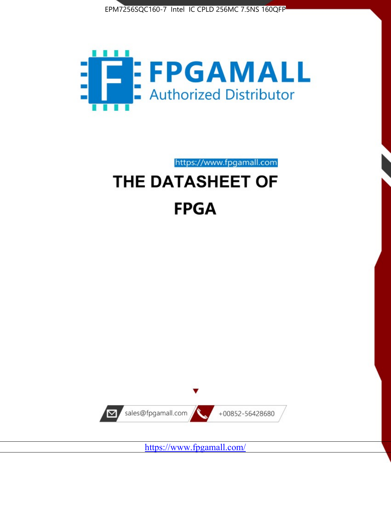



https://www.fpgamall.com

# THE DATASHEET OF **FPGA**



<https://www.fpgamall.com/>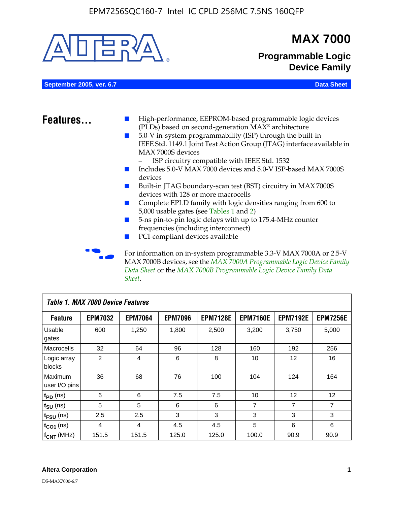

MAX 7000B devices, see the *MAX 7000A Programmable Logic Device Family Data Sheet* or the *MAX 7000B Programmable Logic Device Family Data Sheet*.

| Table 1. MAX 7000 Device Features |                |                |                |                 |                 |                 |                 |
|-----------------------------------|----------------|----------------|----------------|-----------------|-----------------|-----------------|-----------------|
| <b>Feature</b>                    | <b>EPM7032</b> | <b>EPM7064</b> | <b>EPM7096</b> | <b>EPM7128E</b> | <b>EPM7160E</b> | <b>EPM7192E</b> | <b>EPM7256E</b> |
| Usable<br>gates                   | 600            | 1,250          | 1,800          | 2,500           | 3,200           | 3,750           | 5,000           |
| Macrocells                        | 32             | 64             | 96             | 128             | 160             | 192             | 256             |
| Logic array<br>blocks             | 2              | 4              | 6              | 8               | 10              | 12              | 16              |
| Maximum<br>user I/O pins          | 36             | 68             | 76             | 100             | 104             | 124             | 164             |
| $t_{PD}$ (ns)                     | 6              | 6              | 7.5            | 7.5             | 10              | 12              | 12              |
| $t_{\text{SU}}$ (ns)              | 5              | 5              | 6              | 6               | 7               | 7               | $\overline{7}$  |
| l t <sub>FSU</sub> (ns)           | 2.5            | 2.5            | 3              | 3               | 3               | 3               | 3               |
| $t_{CO1}$ (ns)                    | 4              | 4              | 4.5            | 4.5             | 5               | 6               | 6               |
| $f_{CNT}$ (MHz)                   | 151.5          | 151.5          | 125.0          | 125.0           | 100.0           | 90.9            | 90.9            |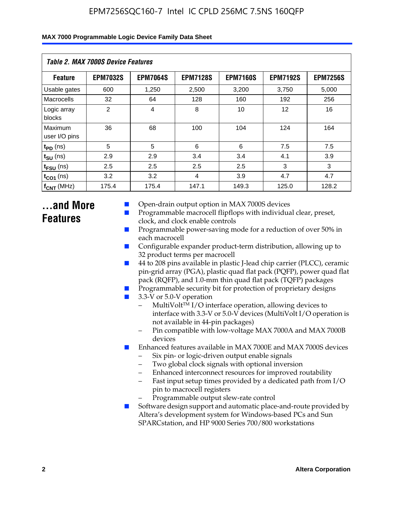| Table 2. MAX 7000S Device Features |                 |                 |                 |                 |                 |                 |  |  |
|------------------------------------|-----------------|-----------------|-----------------|-----------------|-----------------|-----------------|--|--|
| <b>Feature</b>                     | <b>EPM7032S</b> | <b>EPM7064S</b> | <b>EPM7128S</b> | <b>EPM7160S</b> | <b>EPM7192S</b> | <b>EPM7256S</b> |  |  |
| Usable gates                       | 600             | 1,250           | 2,500           | 3,200           | 3.750           | 5,000           |  |  |
| Macrocells                         | 32              | 64              | 128             | 160             | 192             | 256             |  |  |
| Logic array<br>blocks              | $\overline{2}$  | $\overline{4}$  | 8               | 10              | 12              | 16              |  |  |
| Maximum<br>user I/O pins           | 36              | 68              | 100             | 104             | 124             | 164             |  |  |
| $t_{PD}$ (ns)                      | 5               | 5               | 6               | 6               | 7.5             | 7.5             |  |  |
| $t_{SU}$ (ns)                      | 2.9             | 2.9             | 3.4             | 3.4             | 4.1             | 3.9             |  |  |
| $t_{\text{FSU}}$ (ns)              | 2.5             | 2.5             | 2.5             | 2.5             | 3               | 3               |  |  |
| $t_{CO1}$ (ns)                     | 3.2             | 3.2             | 4               | 3.9             | 4.7             | 4.7             |  |  |
| $f_{\text{CNT}}$ (MHz)             | 175.4           | 175.4           | 147.1           | 149.3           | 125.0           | 128.2           |  |  |

# **...and More Features**

- Open-drain output option in MAX 7000S devices
- Programmable macrocell flipflops with individual clear, preset, clock, and clock enable controls
- Programmable power-saving mode for a reduction of over 50% in each macrocell
- Configurable expander product-term distribution, allowing up to 32 product terms per macrocell
- 44 to 208 pins available in plastic J-lead chip carrier (PLCC), ceramic pin-grid array (PGA), plastic quad flat pack (PQFP), power quad flat pack (RQFP), and 1.0-mm thin quad flat pack (TQFP) packages
- Programmable security bit for protection of proprietary designs
- 3.3-V or 5.0-V operation
	- MultiVolt<sup>TM</sup> I/O interface operation, allowing devices to interface with 3.3-V or 5.0-V devices (MultiVolt I/O operation is not available in 44-pin packages)
	- Pin compatible with low-voltage MAX 7000A and MAX 7000B devices
- Enhanced features available in MAX 7000E and MAX 7000S devices
	- Six pin- or logic-driven output enable signals
	- Two global clock signals with optional inversion
	- Enhanced interconnect resources for improved routability
	- Fast input setup times provided by a dedicated path from I/O pin to macrocell registers
	- Programmable output slew-rate control
- Software design support and automatic place-and-route provided by Altera's development system for Windows-based PCs and Sun SPARCstation, and HP 9000 Series 700/800 workstations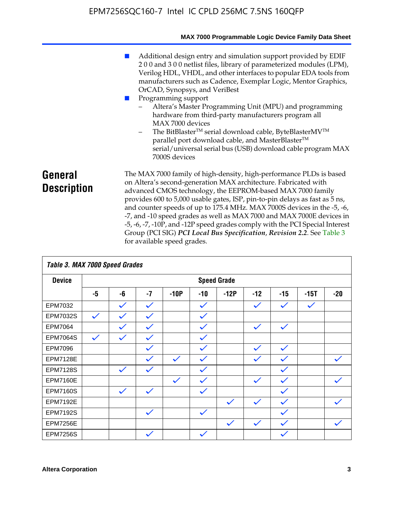|                               | MAX 7000 Programmable Logic Device Family Data Sheet                                                                                                                                                                                                                                                                                                                                                                                                                                                                                                                                                                                                                                                  |
|-------------------------------|-------------------------------------------------------------------------------------------------------------------------------------------------------------------------------------------------------------------------------------------------------------------------------------------------------------------------------------------------------------------------------------------------------------------------------------------------------------------------------------------------------------------------------------------------------------------------------------------------------------------------------------------------------------------------------------------------------|
|                               | Additional design entry and simulation support provided by EDIF<br>200 and 300 netlist files, library of parameterized modules (LPM),<br>Verilog HDL, VHDL, and other interfaces to popular EDA tools from<br>manufacturers such as Cadence, Exemplar Logic, Mentor Graphics,<br>OrCAD, Synopsys, and VeriBest<br>Programming support<br>Altera's Master Programming Unit (MPU) and programming<br>hardware from third-party manufacturers program all<br>MAX 7000 devices<br>The BitBlaster <sup>™</sup> serial download cable, ByteBlasterMV <sup>™</sup><br>-<br>parallel port download cable, and MasterBlaster™<br>serial/universal serial bus (USB) download cable program MAX<br>7000S devices |
| General<br><b>Description</b> | The MAX 7000 family of high-density, high-performance PLDs is based<br>on Altera's second-generation MAX architecture. Fabricated with<br>advanced CMOS technology, the EEPROM-based MAX 7000 family<br>provides 600 to 5,000 usable gates, ISP, pin-to-pin delays as fast as 5 ns,<br>and counter speeds of up to 175.4 MHz. MAX 7000S devices in the -5, -6,<br>-7, and -10 speed grades as well as MAX 7000 and MAX 7000E devices in<br>-5, -6, -7, -10P, and -12P speed grades comply with the PCI Special Interest<br>Group (PCI SIG) PCI Local Bus Specification, Revision 2.2. See Table 3                                                                                                     |

| Table 3. MAX 7000 Speed Grades |              |              |              |              |              |                    |              |              |              |              |
|--------------------------------|--------------|--------------|--------------|--------------|--------------|--------------------|--------------|--------------|--------------|--------------|
| <b>Device</b>                  |              |              |              |              |              | <b>Speed Grade</b> |              |              |              |              |
|                                | -5           | -6           | $-7$         | $-10P$       | $-10$        | $-12P$             | $-12$        | $-15$        | $-15T$       | $-20$        |
| EPM7032                        |              | $\checkmark$ | $\checkmark$ |              | $\checkmark$ |                    | $\checkmark$ | $\checkmark$ | $\checkmark$ |              |
| EPM7032S                       | $\checkmark$ | $\checkmark$ | $\checkmark$ |              | $\checkmark$ |                    |              |              |              |              |
| <b>EPM7064</b>                 |              | $\checkmark$ | $\checkmark$ |              | $\checkmark$ |                    | $\checkmark$ | $\checkmark$ |              |              |
| <b>EPM7064S</b>                | $\checkmark$ | $\checkmark$ | $\checkmark$ |              | $\checkmark$ |                    |              |              |              |              |
| <b>EPM7096</b>                 |              |              | $\checkmark$ |              | $\checkmark$ |                    | $\checkmark$ | $\checkmark$ |              |              |
| EPM7128E                       |              |              | $\checkmark$ | $\checkmark$ | $\checkmark$ |                    | $\checkmark$ | $\checkmark$ |              | $\checkmark$ |
| <b>EPM7128S</b>                |              | $\checkmark$ | $\checkmark$ |              | $\checkmark$ |                    |              | $\checkmark$ |              |              |
| <b>EPM7160E</b>                |              |              |              | $\checkmark$ | $\checkmark$ |                    | $\checkmark$ | $\checkmark$ |              | $\checkmark$ |
| <b>EPM7160S</b>                |              | $\checkmark$ | $\checkmark$ |              | $\checkmark$ |                    |              | $\checkmark$ |              |              |
| <b>EPM7192E</b>                |              |              |              |              |              | $\checkmark$       | $\checkmark$ | $\checkmark$ |              |              |
| <b>EPM7192S</b>                |              |              | $\checkmark$ |              | $\checkmark$ |                    |              | $\checkmark$ |              |              |
| <b>EPM7256E</b>                |              |              |              |              |              | $\checkmark$       | $\checkmark$ | $\checkmark$ |              | $\checkmark$ |
| <b>EPM7256S</b>                |              |              | $\checkmark$ |              | $\checkmark$ |                    |              | $\checkmark$ |              |              |

for available speed grades.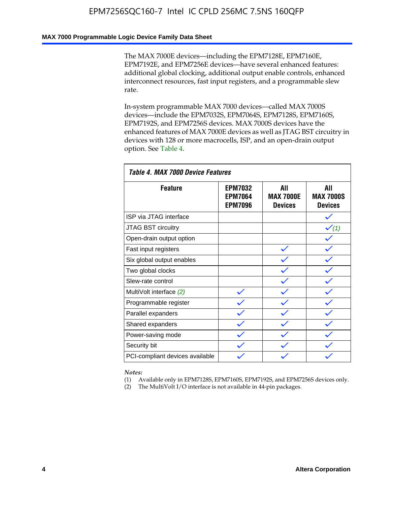### **MAX 7000 Programmable Logic Device Family Data Sheet**

The MAX 7000E devices—including the EPM7128E, EPM7160E, EPM7192E, and EPM7256E devices—have several enhanced features: additional global clocking, additional output enable controls, enhanced interconnect resources, fast input registers, and a programmable slew rate.

In-system programmable MAX 7000 devices—called MAX 7000S devices—include the EPM7032S, EPM7064S, EPM7128S, EPM7160S, EPM7192S, and EPM7256S devices. MAX 7000S devices have the enhanced features of MAX 7000E devices as well as JTAG BST circuitry in devices with 128 or more macrocells, ISP, and an open-drain output option. See Table 4.

| Table 4. MAX 7000 Device Features |                                                    |                                           |                                           |  |  |  |  |
|-----------------------------------|----------------------------------------------------|-------------------------------------------|-------------------------------------------|--|--|--|--|
| <b>Feature</b>                    | <b>EPM7032</b><br><b>EPM7064</b><br><b>EPM7096</b> | All<br><b>MAX 7000E</b><br><b>Devices</b> | All<br><b>MAX 7000S</b><br><b>Devices</b> |  |  |  |  |
| ISP via JTAG interface            |                                                    |                                           |                                           |  |  |  |  |
| JTAG BST circuitry                |                                                    |                                           | $\checkmark$ (1)                          |  |  |  |  |
| Open-drain output option          |                                                    |                                           |                                           |  |  |  |  |
| Fast input registers              |                                                    |                                           |                                           |  |  |  |  |
| Six global output enables         |                                                    |                                           |                                           |  |  |  |  |
| Two global clocks                 |                                                    |                                           |                                           |  |  |  |  |
| Slew-rate control                 |                                                    |                                           |                                           |  |  |  |  |
| MultiVolt interface (2)           |                                                    |                                           |                                           |  |  |  |  |
| Programmable register             |                                                    |                                           |                                           |  |  |  |  |
| Parallel expanders                |                                                    |                                           |                                           |  |  |  |  |
| Shared expanders                  |                                                    |                                           |                                           |  |  |  |  |
| Power-saving mode                 |                                                    |                                           |                                           |  |  |  |  |
| Security bit                      |                                                    |                                           |                                           |  |  |  |  |
| PCI-compliant devices available   |                                                    |                                           |                                           |  |  |  |  |

*Notes:*

(1) Available only in EPM7128S, EPM7160S, EPM7192S, and EPM7256S devices only.

(2) The MultiVolt I/O interface is not available in 44-pin packages.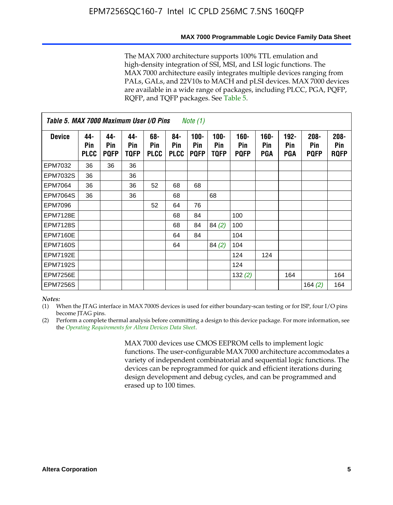#### **MAX 7000 Programmable Logic Device Family Data Sheet**

The MAX 7000 architecture supports 100% TTL emulation and high-density integration of SSI, MSI, and LSI logic functions. The MAX 7000 architecture easily integrates multiple devices ranging from PALs, GALs, and 22V10s to MACH and pLSI devices. MAX 7000 devices are available in a wide range of packages, including PLCC, PGA, PQFP, RQFP, and TQFP packages. See Table 5.

| Table 5. MAX 7000 Maximum User I/O Pins<br><i>Note</i> $(1)$ |                           |                           |                           |                           |                           |                               |                        |                            |                       |                              |                               |                               |
|--------------------------------------------------------------|---------------------------|---------------------------|---------------------------|---------------------------|---------------------------|-------------------------------|------------------------|----------------------------|-----------------------|------------------------------|-------------------------------|-------------------------------|
| <b>Device</b>                                                | 44-<br>Pin<br><b>PLCC</b> | 44-<br>Pin<br><b>PQFP</b> | 44-<br>Pin<br><b>TQFP</b> | 68-<br>Pin<br><b>PLCC</b> | 84-<br>Pin<br><b>PLCC</b> | $100 -$<br>Pin<br><b>PQFP</b> | $100 -$<br>Pin<br>TQFP | 160-<br>Pin<br><b>PQFP</b> | $160 -$<br>Pin<br>PGA | $192 -$<br>Pin<br><b>PGA</b> | $208 -$<br>Pin<br><b>PQFP</b> | $208 -$<br>Pin<br><b>RQFP</b> |
| EPM7032                                                      | 36                        | 36                        | 36                        |                           |                           |                               |                        |                            |                       |                              |                               |                               |
| <b>EPM7032S</b>                                              | 36                        |                           | 36                        |                           |                           |                               |                        |                            |                       |                              |                               |                               |
| <b>EPM7064</b>                                               | 36                        |                           | 36                        | 52                        | 68                        | 68                            |                        |                            |                       |                              |                               |                               |
| <b>EPM7064S</b>                                              | 36                        |                           | 36                        |                           | 68                        |                               | 68                     |                            |                       |                              |                               |                               |
| <b>EPM7096</b>                                               |                           |                           |                           | 52                        | 64                        | 76                            |                        |                            |                       |                              |                               |                               |
| <b>EPM7128E</b>                                              |                           |                           |                           |                           | 68                        | 84                            |                        | 100                        |                       |                              |                               |                               |
| <b>EPM7128S</b>                                              |                           |                           |                           |                           | 68                        | 84                            | 84(2)                  | 100                        |                       |                              |                               |                               |
| <b>EPM7160E</b>                                              |                           |                           |                           |                           | 64                        | 84                            |                        | 104                        |                       |                              |                               |                               |
| EPM7160S                                                     |                           |                           |                           |                           | 64                        |                               | 84(2)                  | 104                        |                       |                              |                               |                               |
| <b>EPM7192E</b>                                              |                           |                           |                           |                           |                           |                               |                        | 124                        | 124                   |                              |                               |                               |
| <b>EPM7192S</b>                                              |                           |                           |                           |                           |                           |                               |                        | 124                        |                       |                              |                               |                               |
| <b>EPM7256E</b>                                              |                           |                           |                           |                           |                           |                               |                        | 132(2)                     |                       | 164                          |                               | 164                           |
| <b>EPM7256S</b>                                              |                           |                           |                           |                           |                           |                               |                        |                            |                       |                              | 164 $(2)$                     | 164                           |

#### *Notes:*

(1) When the JTAG interface in MAX 7000S devices is used for either boundary-scan testing or for ISP, four I/O pins become JTAG pins.

(2) Perform a complete thermal analysis before committing a design to this device package. For more information, see the *Operating Requirements for Altera Devices Data Sheet*.

> MAX 7000 devices use CMOS EEPROM cells to implement logic functions. The user-configurable MAX 7000 architecture accommodates a variety of independent combinatorial and sequential logic functions. The devices can be reprogrammed for quick and efficient iterations during design development and debug cycles, and can be programmed and erased up to 100 times.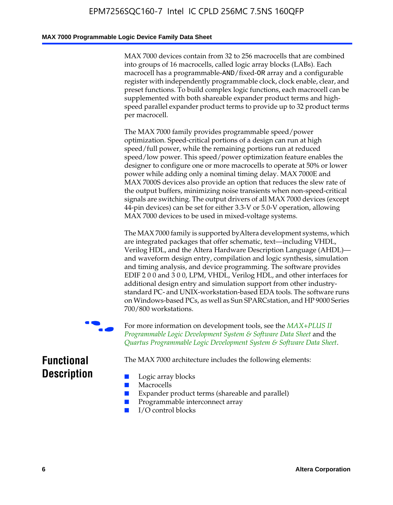### **MAX 7000 Programmable Logic Device Family Data Sheet**

MAX 7000 devices contain from 32 to 256 macrocells that are combined into groups of 16 macrocells, called logic array blocks (LABs). Each macrocell has a programmable-AND/fixed-OR array and a configurable register with independently programmable clock, clock enable, clear, and preset functions. To build complex logic functions, each macrocell can be supplemented with both shareable expander product terms and highspeed parallel expander product terms to provide up to 32 product terms per macrocell.

The MAX 7000 family provides programmable speed/power optimization. Speed-critical portions of a design can run at high speed/full power, while the remaining portions run at reduced speed/low power. This speed/power optimization feature enables the designer to configure one or more macrocells to operate at 50% or lower power while adding only a nominal timing delay. MAX 7000E and MAX 7000S devices also provide an option that reduces the slew rate of the output buffers, minimizing noise transients when non-speed-critical signals are switching. The output drivers of all MAX 7000 devices (except 44-pin devices) can be set for either 3.3-V or 5.0-V operation, allowing MAX 7000 devices to be used in mixed-voltage systems.

The MAX 7000 family is supported byAltera development systems, which are integrated packages that offer schematic, text—including VHDL, Verilog HDL, and the Altera Hardware Description Language (AHDL) and waveform design entry, compilation and logic synthesis, simulation and timing analysis, and device programming. The [software provides](http://www.altera.com/literature/ds/dsmii.pdf)  [EDIF 2 0 0 and 3 0 0, LPM, VHDL, Verilog HDL, and other in](http://www.altera.com/literature/ds/dsmii.pdf)terfaces for [additional design entry and simulation support from other industry](http://www.altera.com/literature/ds/quartus.pdf)standard PC- and UNIX-workstation-based EDA tools. The software runs on Windows-based PCs, as well as Sun SPARCstation, and HP 9000 Series 700/800 workstations.

For more information on development tools, see the **MAX+PLUS II** *Programmable Logic Development System & Software Data Sheet* and the *Quartus Programmable Logic Development System & Software Data Sheet*.

The MAX 7000 architecture includes the following elements:

# **Functional Description**

- Logic array blocks
- **Macrocells**
- Expander product terms (shareable and parallel)
- Programmable interconnect array
- I/O control blocks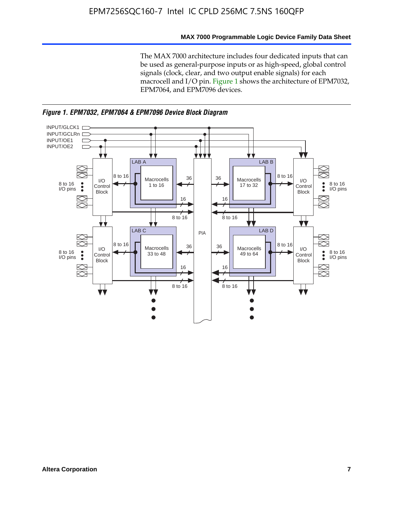#### **MAX 7000 Programmable Logic Device Family Data Sheet**

The MAX 7000 architecture includes four dedicated inputs that can be used as general-purpose inputs or as high-speed, global control signals (clock, clear, and two output enable signals) for each macrocell and I/O pin. Figure 1 shows the architecture of EPM7032, EPM7064, and EPM7096 devices.



*Figure 1. EPM7032, EPM7064 & EPM7096 Device Block Diagram*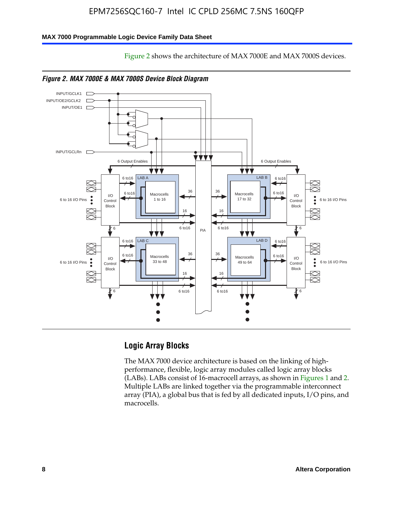Figure 2 shows the architecture of MAX 7000E and MAX 7000S devices.

### **MAX 7000 Programmable Logic Device Family Data Sheet**





### **Logic Array Blocks**

The MAX 7000 device architecture is based on the linking of highperformance, flexible, logic array modules called logic array blocks (LABs). LABs consist of 16-macrocell arrays, as shown in Figures 1 and 2. Multiple LABs are linked together via the programmable interconnect array (PIA), a global bus that is fed by all dedicated inputs, I/O pins, and macrocells.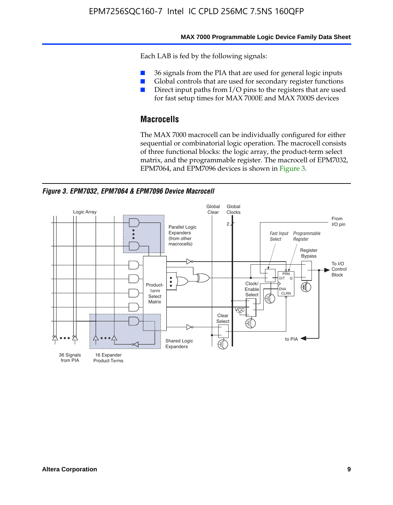#### **MAX 7000 Programmable Logic Device Family Data Sheet**

Each LAB is fed by the following signals:

- 36 signals from the PIA that are used for general logic inputs
- Global controls that are used for secondary register functions
- Direct input paths from I/O pins to the registers that are used for fast setup times for MAX 7000E and MAX 7000S devices

# **Macrocells**

The MAX 7000 macrocell can be individually configured for either sequential or combinatorial logic operation. The macrocell consists of three functional blocks: the logic array, the product-term select matrix, and the programmable register. The macrocell of EPM7032, EPM7064, and EPM7096 devices is shown in Figure 3.

*Figure 3. EPM7032, EPM7064 & EPM7096 Device Macrocell*

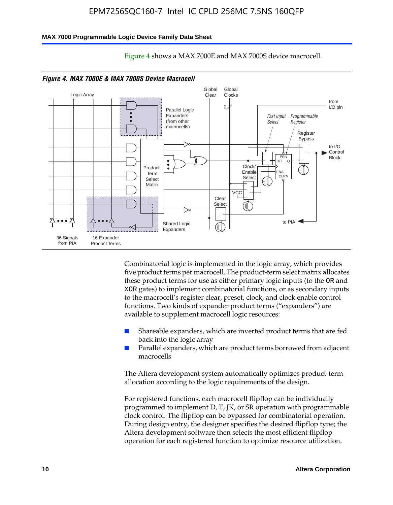#### **MAX 7000 Programmable Logic Device Family Data Sheet**



Figure 4 shows a MAX 7000E and MAX 7000S device macrocell.

Combinatorial logic is implemented in the logic array, which provides five product terms per macrocell. The product-term select matrix allocates these product terms for use as either primary logic inputs (to the OR and XOR gates) to implement combinatorial functions, or as secondary inputs to the macrocell's register clear, preset, clock, and clock enable control functions. Two kinds of expander product terms ("expanders") are available to supplement macrocell logic resources:

- Shareable expanders, which are inverted product terms that are fed back into the logic array
- Parallel expanders, which are product terms borrowed from adjacent macrocells

The Altera development system automatically optimizes product-term allocation according to the logic requirements of the design.

For registered functions, each macrocell flipflop can be individually programmed to implement D, T, JK, or SR operation with programmable clock control. The flipflop can be bypassed for combinatorial operation. During design entry, the designer specifies the desired flipflop type; the Altera development software then selects the most efficient flipflop operation for each registered function to optimize resource utilization.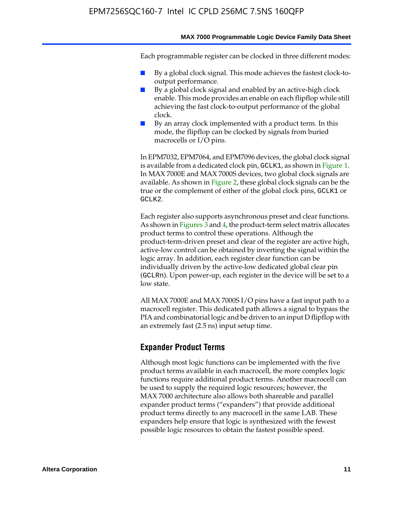#### **MAX 7000 Programmable Logic Device Family Data Sheet**

Each programmable register can be clocked in three different modes:

- By a global clock signal. This mode achieves the fastest clock-tooutput performance.
- By a global clock signal and enabled by an active-high clock enable. This mode provides an enable on each flipflop while still achieving the fast clock-to-output performance of the global clock.
- By an array clock implemented with a product term. In this mode, the flipflop can be clocked by signals from buried macrocells or I/O pins.

In EPM7032, EPM7064, and EPM7096 devices, the global clock signal is available from a dedicated clock pin, GCLK1, as shown in Figure 1. In MAX 7000E and MAX 7000S devices, two global clock signals are available. As shown in Figure 2, these global clock signals can be the true or the complement of either of the global clock pins, GCLK1 or GCLK2.

Each register also supports asynchronous preset and clear functions. As shown in Figures 3 and 4, the product-term select matrix allocates product terms to control these operations. Although the product-term-driven preset and clear of the register are active high, active-low control can be obtained by inverting the signal within the logic array. In addition, each register clear function can be individually driven by the active-low dedicated global clear pin (GCLRn). Upon power-up, each register in the device will be set to a low state.

All MAX 7000E and MAX 7000S I/O pins have a fast input path to a macrocell register. This dedicated path allows a signal to bypass the PIA and combinatorial logic and be driven to an input D flipflop with an extremely fast (2.5 ns) input setup time.

### **Expander Product Terms**

Although most logic functions can be implemented with the five product terms available in each macrocell, the more complex logic functions require additional product terms. Another macrocell can be used to supply the required logic resources; however, the MAX 7000 architecture also allows both shareable and parallel expander product terms ("expanders") that provide additional product terms directly to any macrocell in the same LAB. These expanders help ensure that logic is synthesized with the fewest possible logic resources to obtain the fastest possible speed.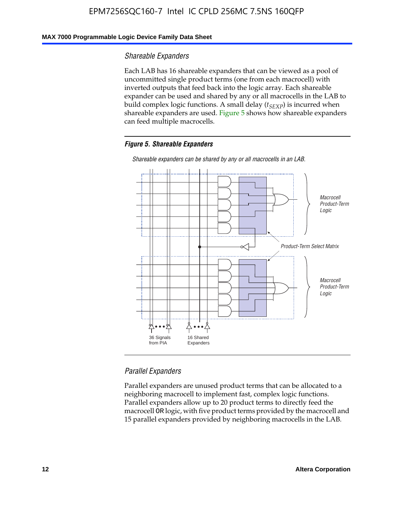### **MAX 7000 Programmable Logic Device Family Data Sheet**

### *Shareable Expanders*

Each LAB has 16 shareable expanders that can be viewed as a pool of uncommitted single product terms (one from each macrocell) with inverted outputs that feed back into the logic array. Each shareable expander can be used and shared by any or all macrocells in the LAB to build complex logic functions. A small delay ( $t_{SEXP}$ ) is incurred when shareable expanders are used. Figure 5 shows how shareable expanders can feed multiple macrocells.

#### *Figure 5. Shareable Expanders*



*Shareable expanders can be shared by any or all macrocells in an LAB.*

### *Parallel Expanders*

Parallel expanders are unused product terms that can be allocated to a neighboring macrocell to implement fast, complex logic functions. Parallel expanders allow up to 20 product terms to directly feed the macrocell OR logic, with five product terms provided by the macrocell and 15 parallel expanders provided by neighboring macrocells in the LAB.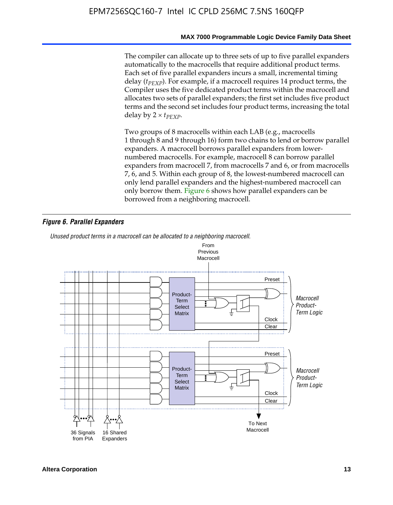#### **MAX 7000 Programmable Logic Device Family Data Sheet**

The compiler can allocate up to three sets of up to five parallel expanders automatically to the macrocells that require additional product terms. Each set of five parallel expanders incurs a small, incremental timing delay (*t<sub>PEXP</sub>*). For example, if a macrocell requires 14 product terms, the Compiler uses the five dedicated product terms within the macrocell and allocates two sets of parallel expanders; the first set includes five product terms and the second set includes four product terms, increasing the total delay by  $2 \times t_{PFXP}$ .

Two groups of 8 macrocells within each LAB (e.g., macrocells 1 through 8 and 9 through 16) form two chains to lend or borrow parallel expanders. A macrocell borrows parallel expanders from lowernumbered macrocells. For example, macrocell 8 can borrow parallel expanders from macrocell 7, from macrocells 7 and 6, or from macrocells 7, 6, and 5. Within each group of 8, the lowest-numbered macrocell can only lend parallel expanders and the highest-numbered macrocell can only borrow them. Figure 6 shows how parallel expanders can be borrowed from a neighboring macrocell.

#### *Figure 6. Parallel Expanders*

*Unused product terms in a macrocell can be allocated to a neighboring macrocell.*

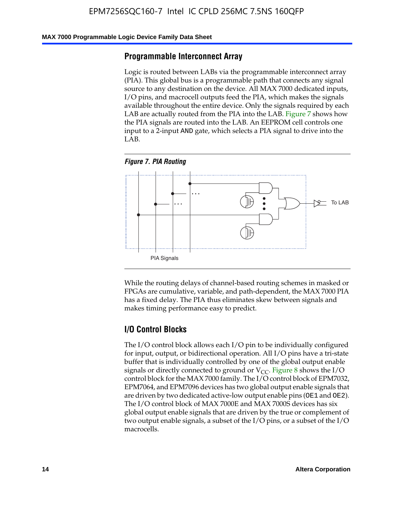#### **MAX 7000 Programmable Logic Device Family Data Sheet**

### **Programmable Interconnect Array**

Logic is routed between LABs via the programmable interconnect array (PIA). This global bus is a programmable path that connects any signal source to any destination on the device. All MAX 7000 dedicated inputs, I/O pins, and macrocell outputs feed the PIA, which makes the signals available throughout the entire device. Only the signals required by each LAB are actually routed from the PIA into the LAB. Figure 7 shows how the PIA signals are routed into the LAB. An EEPROM cell controls one input to a 2-input AND gate, which selects a PIA signal to drive into the LAB.





While the routing delays of channel-based routing schemes in masked or FPGAs are cumulative, variable, and path-dependent, the MAX 7000 PIA has a fixed delay. The PIA thus eliminates skew between signals and makes timing performance easy to predict.

### **I/O Control Blocks**

The I/O control block allows each I/O pin to be individually configured for input, output, or bidirectional operation. All I/O pins have a tri-state buffer that is individually controlled by one of the global output enable signals or directly connected to ground or  $V_{CC}$ . Figure 8 shows the I/O control block for the MAX 7000 family. The I/O control block of EPM7032, EPM7064, and EPM7096 devices has two global output enable signals that are driven by two dedicated active-low output enable pins (OE1 and OE2). The I/O control block of MAX 7000E and MAX 7000S devices has six global output enable signals that are driven by the true or complement of two output enable signals, a subset of the I/O pins, or a subset of the I/O macrocells.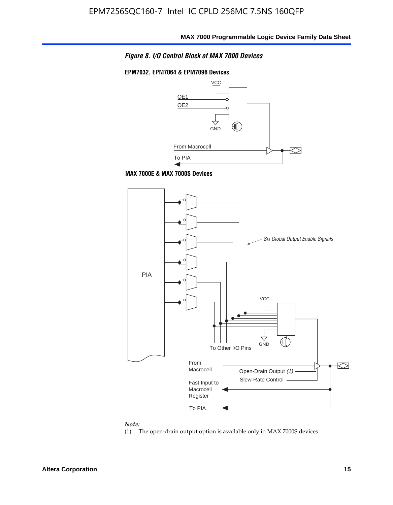

#### **EPM7032, EPM7064 & EPM7096 Devices**







#### *Note:*

(1) The open-drain output option is available only in MAX 7000S devices.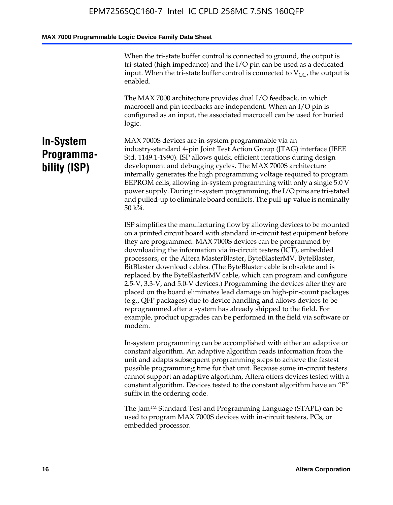When the tri-state buffer control is connected to ground, the output is tri-stated (high impedance) and the I/O pin can be used as a dedicated input. When the tri-state buffer control is connected to  $V_{CC}$ , the output is enabled.

The MAX 7000 architecture provides dual I/O feedback, in which macrocell and pin feedbacks are independent. When an I/O pin is configured as an input, the associated macrocell can be used for buried logic.

# **In-System Programmability (ISP)**

MAX 7000S devices are in-system programmable via an industry-standard 4-pin Joint Test Action Group (JTAG) interface (IEEE Std. 1149.1-1990). ISP allows quick, efficient iterations during design development and debugging cycles. The MAX 7000S architecture internally generates the high programming voltage required to program EEPROM cells, allowing in-system programming with only a single 5.0 V power supply. During in-system programming, the I/O pins are tri-stated and pulled-up to eliminate board conflicts. The pull-up value is nominally 50 k¾.

ISP simplifies the manufacturing flow by allowing devices to be mounted on a printed circuit board with standard in-circuit test equipment before they are programmed. MAX 7000S devices can be programmed by downloading the information via in-circuit testers (ICT), embedded processors, or the Altera MasterBlaster, ByteBlasterMV, ByteBlaster, BitBlaster download cables. (The ByteBlaster cable is obsolete and is replaced by the ByteBlasterMV cable, which can program and configure 2.5-V, 3.3-V, and 5.0-V devices.) Programming the devices after they are placed on the board eliminates lead damage on high-pin-count packages (e.g., QFP packages) due to device handling and allows devices to be reprogrammed after a system has already shipped to the field. For example, product upgrades can be performed in the field via software or modem.

In-system programming can be accomplished with either an adaptive or constant algorithm. An adaptive algorithm reads information from the unit and adapts subsequent programming steps to achieve the fastest possible programming time for that unit. Because some in-circuit testers cannot support an adaptive algorithm, Altera offers devices tested with a constant algorithm. Devices tested to the constant algorithm have an "F" suffix in the ordering code.

The Jam™ Standard Test and Programming Language (STAPL) can be used to program MAX 7000S devices with in-circuit testers, PCs, or embedded processor.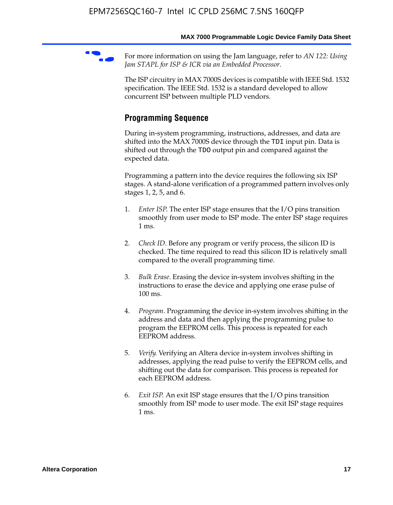For more information on using the Jam language, refer to *AN* 122: Using *Jam STAPL for ISP & ICR via an Embedded Processor*.

The ISP circuitry in MAX 7000S devices is compatible with IEEE Std. 1532 specification. The IEEE Std. 1532 is a standard developed to allow concurrent ISP between multiple PLD vendors.

# **Programming Sequence**

During in-system programming, instructions, addresses, and data are shifted into the MAX 7000S device through the TDI input pin. Data is shifted out through the TDO output pin and compared against the expected data.

Programming a pattern into the device requires the following six ISP stages. A stand-alone verification of a programmed pattern involves only stages 1, 2, 5, and 6.

- 1. *Enter ISP*. The enter ISP stage ensures that the I/O pins transition smoothly from user mode to ISP mode. The enter ISP stage requires 1 ms.
- 2. *Check ID*. Before any program or verify process, the silicon ID is checked. The time required to read this silicon ID is relatively small compared to the overall programming time.
- 3. *Bulk Erase*. Erasing the device in-system involves shifting in the instructions to erase the device and applying one erase pulse of 100 ms.
- 4. *Program*. Programming the device in-system involves shifting in the address and data and then applying the programming pulse to program the EEPROM cells. This process is repeated for each EEPROM address.
- 5. *Verify*. Verifying an Altera device in-system involves shifting in addresses, applying the read pulse to verify the EEPROM cells, and shifting out the data for comparison. This process is repeated for each EEPROM address.
- 6. *Exit ISP*. An exit ISP stage ensures that the I/O pins transition smoothly from ISP mode to user mode. The exit ISP stage requires 1 ms.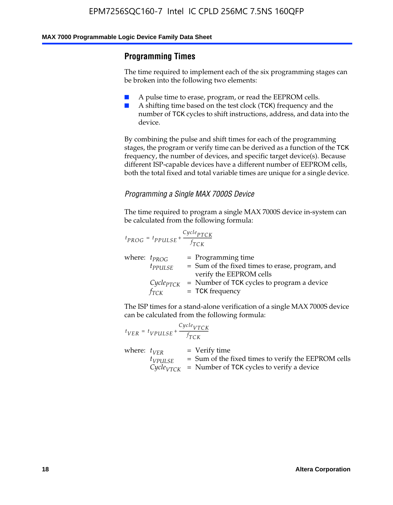## **Programming Times**

The time required to implement each of the six programming stages can be broken into the following two elements:

- A pulse time to erase, program, or read the EEPROM cells.
- A shifting time based on the test clock (TCK) frequency and the number of TCK cycles to shift instructions, address, and data into the device.

By combining the pulse and shift times for each of the programming stages, the program or verify time can be derived as a function of the TCK frequency, the number of devices, and specific target device(s). Because different ISP-capable devices have a different number of EEPROM cells, both the total fixed and total variable times are unique for a single device.

### *Programming a Single MAX 7000S Device*

The time required to program a single MAX 7000S device in-system can be calculated from the following formula:

$$
t_{PROG} = t_{PPULSE} + \frac{C_{ycle_{PTCK}}}{f_{TCK}}
$$
  
where:  $t_{PROG}$  = Programming time  
 $t_{PPULSE}$  = Sum of the fixed times to erase, program, and  
verify the EEPROM cells  
 $C_{ycle_{PTCK}}$  = Number of TCK cycles to program a device  
 $f_{TCK}$  = TCK frequency

The ISP times for a stand-alone verification of a single MAX 7000S device can be calculated from the following formula:

|                  | $t_{VER} = t_{VPULSE} + \frac{Cycle_{VTCK}}{f_{TCK}}$ |                                                                                                                                 |
|------------------|-------------------------------------------------------|---------------------------------------------------------------------------------------------------------------------------------|
| where: $t_{VFR}$ | $t_{VPULSE}$                                          | = Verify time<br>$=$ Sum of the fixed times to verify the EEPROM cells<br>$CycleVTCK$ = Number of TCK cycles to verify a device |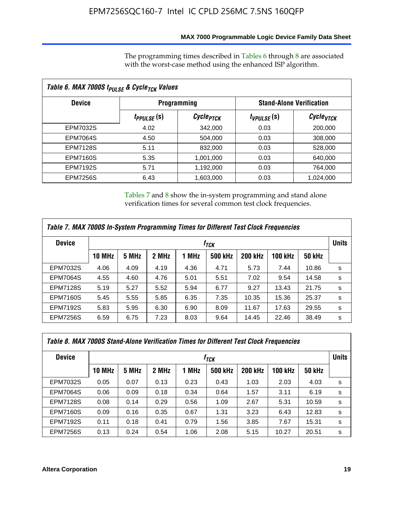### **MAX 7000 Programmable Logic Device Family Data Sheet**

The programming times described in Tables 6 through 8 are associated with the worst-case method using the enhanced ISP algorithm.

| Table 6. MAX 7000S t <sub>PULSE</sub> & Cycle <sub>TCK</sub> Values |                               |                       |                 |                                 |  |  |  |
|---------------------------------------------------------------------|-------------------------------|-----------------------|-----------------|---------------------------------|--|--|--|
| <b>Device</b>                                                       |                               | <b>Programming</b>    |                 | <b>Stand-Alone Verification</b> |  |  |  |
|                                                                     | <i>t<sub>PPULSE</sub></i> (S) | Cycle <sub>PTCK</sub> | $t_{VPULSE}(s)$ | Cycle <sub>VTCK</sub>           |  |  |  |
| EPM7032S                                                            | 4.02                          | 342,000               | 0.03            | 200,000                         |  |  |  |
| <b>EPM7064S</b>                                                     | 4.50                          | 504.000               | 0.03            | 308,000                         |  |  |  |
| <b>EPM7128S</b>                                                     | 5.11                          | 832,000               | 0.03            | 528,000                         |  |  |  |
| <b>EPM7160S</b>                                                     | 5.35                          | 1,001,000             | 0.03            | 640,000                         |  |  |  |
| <b>EPM7192S</b>                                                     | 5.71                          | 1,192,000             | 0.03            | 764,000                         |  |  |  |
| <b>EPM7256S</b>                                                     | 6.43                          | 1,603,000             | 0.03            | 1,024,000                       |  |  |  |

Tables 7 and 8 show the in-system programming and stand alone verification times for several common test clock frequencies.

| Table 7. MAX 7000S In-System Programming Times for Different Test Clock Frequencies |                  |       |       |       |                |                |                |               |              |
|-------------------------------------------------------------------------------------|------------------|-------|-------|-------|----------------|----------------|----------------|---------------|--------------|
| <b>Device</b>                                                                       | † <sub>TCK</sub> |       |       |       |                |                |                |               | <b>Units</b> |
|                                                                                     | <b>10 MHz</b>    | 5 MHz | 2 MHz | 1 MHz | <b>500 kHz</b> | <b>200 kHz</b> | <b>100 kHz</b> | <b>50 kHz</b> |              |
| <b>EPM7032S</b>                                                                     | 4.06             | 4.09  | 4.19  | 4.36  | 4.71           | 5.73           | 7.44           | 10.86         | s            |
| <b>EPM7064S</b>                                                                     | 4.55             | 4.60  | 4.76  | 5.01  | 5.51           | 7.02           | 9.54           | 14.58         | s            |
| <b>EPM7128S</b>                                                                     | 5.19             | 5.27  | 5.52  | 5.94  | 6.77           | 9.27           | 13.43          | 21.75         | s            |
| <b>EPM7160S</b>                                                                     | 5.45             | 5.55  | 5.85  | 6.35  | 7.35           | 10.35          | 15.36          | 25.37         | s            |
| <b>EPM7192S</b>                                                                     | 5.83             | 5.95  | 6.30  | 6.90  | 8.09           | 11.67          | 17.63          | 29.55         | s            |
| <b>EPM7256S</b>                                                                     | 6.59             | 6.75  | 7.23  | 8.03  | 9.64           | 14.45          | 22.46          | 38.49         | s            |

| Table 8. MAX 7000S Stand-Alone Verification Times for Different Test Clock Frequencies |               |       |       |       |                  |                |                |               |              |
|----------------------------------------------------------------------------------------|---------------|-------|-------|-------|------------------|----------------|----------------|---------------|--------------|
| <b>Device</b>                                                                          |               |       |       |       | † <sub>TCK</sub> |                |                |               | <b>Units</b> |
|                                                                                        | <b>10 MHz</b> | 5 MHz | 2 MHz | 1 MHz | <b>500 kHz</b>   | <b>200 kHz</b> | <b>100 kHz</b> | <b>50 kHz</b> |              |
| <b>EPM7032S</b>                                                                        | 0.05          | 0.07  | 0.13  | 0.23  | 0.43             | 1.03           | 2.03           | 4.03          | s            |
| <b>EPM7064S</b>                                                                        | 0.06          | 0.09  | 0.18  | 0.34  | 0.64             | 1.57           | 3.11           | 6.19          | s            |
| <b>EPM7128S</b>                                                                        | 0.08          | 0.14  | 0.29  | 0.56  | 1.09             | 2.67           | 5.31           | 10.59         | s            |
| <b>EPM7160S</b>                                                                        | 0.09          | 0.16  | 0.35  | 0.67  | 1.31             | 3.23           | 6.43           | 12.83         | s            |
| <b>EPM7192S</b>                                                                        | 0.11          | 0.18  | 0.41  | 0.79  | 1.56             | 3.85           | 7.67           | 15.31         | s            |
| <b>EPM7256S</b>                                                                        | 0.13          | 0.24  | 0.54  | 1.06  | 2.08             | 5.15           | 10.27          | 20.51         | s            |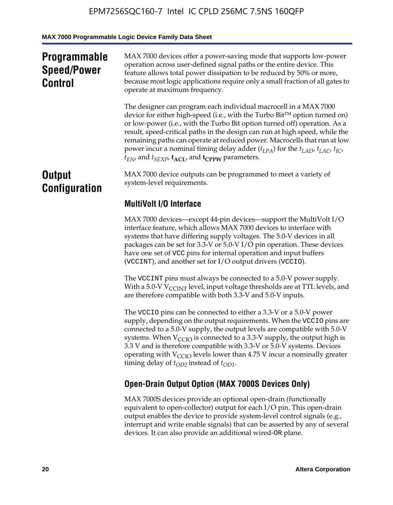# **Programmable Speed/Power Control**

MAX 7000 devices offer a power-saving mode that supports low-power operation across user-defined signal paths or the entire device. This feature allows total power dissipation to be reduced by 50% or more, because most logic applications require only a small fraction of all gates to operate at maximum frequency.

The designer can program each individual macrocell in a MAX 7000 device for either high-speed (i.e., with the Turbo  $Bit^{TM}$  option turned on) or low-power (i.e., with the Turbo Bit option turned off) operation. As a result, speed-critical paths in the design can run at high speed, while the remaining paths can operate at reduced power. Macrocells that run at low power incur a nominal timing delay adder  $(t_{LPA})$  for the  $t_{LAD}$ ,  $t_{LAC}$ ,  $t_{IC}$ ,  $t_{EN}$ , and  $t_{SEXP}$ ,  $t_{ACL}$ , and  $t_{CPPW}$  parameters.

# **Output Configuration**

MAX 7000 device outputs can be programmed to meet a variety of system-level requirements.

# **MultiVolt I/O Interface**

MAX 7000 devices—except 44-pin devices—support the MultiVolt I/O interface feature, which allows MAX 7000 devices to interface with systems that have differing supply voltages. The 5.0-V devices in all packages can be set for 3.3-V or 5.0-V I/O pin operation. These devices have one set of VCC pins for internal operation and input buffers (VCCINT), and another set for I/O output drivers (VCCIO).

The VCCINT pins must always be connected to a 5.0-V power supply. With a 5.0-V  $V_{\text{CCINT}}$  level, input voltage thresholds are at TTL levels, and are therefore compatible with both 3.3-V and 5.0-V inputs.

The VCCIO pins can be connected to either a 3.3-V or a 5.0-V power supply, depending on the output requirements. When the VCCIO pins are connected to a 5.0-V supply, the output levels are compatible with 5.0-V systems. When  $V_{\text{CGO}}$  is connected to a 3.3-V supply, the output high is 3.3 V and is therefore compatible with 3.3-V or 5.0-V systems. Devices operating with  $V_{\text{CCIO}}$  levels lower than 4.75 V incur a nominally greater timing delay of  $t_{OD2}$  instead of  $t_{OD1}$ .

# **Open-Drain Output Option (MAX 7000S Devices Only)**

MAX 7000S devices provide an optional open-drain (functionally equivalent to open-collector) output for each I/O pin. This open-drain output enables the device to provide system-level control signals (e.g., interrupt and write enable signals) that can be asserted by any of several devices. It can also provide an additional wired-OR plane.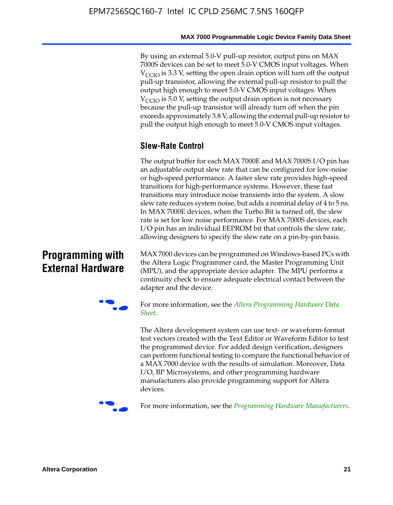By using an external 5.0-V pull-up resistor, output pins on MAX 7000S devices can be set to meet 5.0-V CMOS input voltages. When  $V_{\text{CCIO}}$  is 3.3 V, setting the open drain option will turn off the output pull-up transistor, allowing the external pull-up resistor to pull the output high enough to meet 5.0-V CMOS input voltages. When  $V_{\text{CCIO}}$  is 5.0 V, setting the output drain option is not necessary because the pull-up transistor will already turn off when the pin exceeds approximately 3.8 V, allowing the external pull-up resistor to pull the output high enough to meet 5.0-V CMOS input voltages.

# **Slew-Rate Control**

The output buffer for each MAX 7000E and MAX 7000S I/O pin has an adjustable output slew rate that can be configured for low-noise or high-speed performance. A faster slew rate provides high-speed transitions for high-performance systems. However, these fast transitions may introduce noise transients into the system. A slow slew rate reduces system noise, but adds a nominal delay of 4 to 5 ns. In MAX 7000E devices, when the Turbo Bit is turned off, the slew rate is set for low noise performance. For MAX 7000S devices, each I/O pin has an individual EEPROM bit that controls the slew rate, allowing designers to specify the slew rate on a pin-by-pin basis.

# **Programming with External Hardware**

[MAX](http://www.altera.com/literature/ds/dspghd.pdf) 7000 devices can be prog[rammed on Windows-based PCs with](http://www.altera.com/literature/ds/dspghd.pdf)  the Altera Logic Programmer card, the Master Programming Unit (MPU), and the appropriate device adapter. The MPU performs a continuity check to ensure adequate electrical contact between the adapter and the device.



For more information, see the *Altera Programming Hardware Data Sheet*.

The Altera development system can use text- or waveform-format test vectors created with the Text Editor or Waveform Editor to test the programmed device. For added design verification, designers can perform functional testing to compare the functional behavior of a MAX 7000 device with the results of simulation. Moreover, Data I/O, BP Microsystems, and other programming hardware manufacturers also provide programming support for Altera devices.



For more information, see the *Programming Hardware Manufacturers*.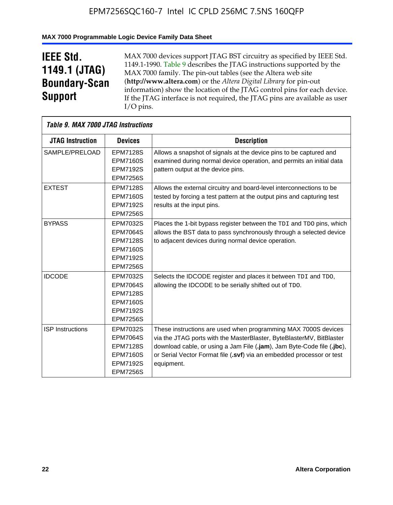### **MAX 7000 Programmable Logic Device Family Data Sheet**

# **IEEE Std. 1149.1 (JTAG) Boundary-Scan Support**

 $\mathsf{r}$ 

MAX 7000 devices support JTAG BST circuitry as specified by IEEE Std. 1149.1-1990. Table 9 describes the JTAG instructions supported by the MAX 7000 family. The pin-out tables (see the Altera web site (**http://www.altera.com**) or the *Altera Digital Library* for pin-out information) show the location of the JTAG control pins for each device. If the JTAG interface is not required, the JTAG pins are available as user I/O pins.

| <b>Table 9. MAX 7000 JTAG Instructions</b> |                 |                                                                        |
|--------------------------------------------|-----------------|------------------------------------------------------------------------|
| <b>JTAG Instruction</b>                    | <b>Devices</b>  | <b>Description</b>                                                     |
| SAMPLE/PRELOAD                             | <b>EPM7128S</b> | Allows a snapshot of signals at the device pins to be captured and     |
|                                            | <b>EPM7160S</b> | examined during normal device operation, and permits an initial data   |
|                                            | <b>EPM7192S</b> | pattern output at the device pins.                                     |
|                                            | <b>EPM7256S</b> |                                                                        |
| <b>EXTEST</b>                              | <b>EPM7128S</b> | Allows the external circuitry and board-level interconnections to be   |
|                                            | <b>EPM7160S</b> | tested by forcing a test pattern at the output pins and capturing test |
|                                            | <b>EPM7192S</b> | results at the input pins.                                             |
|                                            | <b>EPM7256S</b> |                                                                        |
| <b>BYPASS</b>                              | EPM7032S        | Places the 1-bit bypass register between the TDI and TDO pins, which   |
|                                            | <b>EPM7064S</b> | allows the BST data to pass synchronously through a selected device    |
|                                            | <b>EPM7128S</b> | to adjacent devices during normal device operation.                    |
|                                            | <b>EPM7160S</b> |                                                                        |
|                                            | <b>EPM7192S</b> |                                                                        |
|                                            | <b>EPM7256S</b> |                                                                        |
| <b>IDCODE</b>                              | <b>EPM7032S</b> | Selects the IDCODE register and places it between TDI and TDO,         |
|                                            | <b>EPM7064S</b> | allowing the IDCODE to be serially shifted out of TDO.                 |
|                                            | <b>EPM7128S</b> |                                                                        |
|                                            | <b>EPM7160S</b> |                                                                        |
|                                            | <b>EPM7192S</b> |                                                                        |
|                                            | <b>EPM7256S</b> |                                                                        |
| <b>ISP</b> Instructions                    | <b>EPM7032S</b> | These instructions are used when programming MAX 7000S devices         |
|                                            | <b>EPM7064S</b> | via the JTAG ports with the MasterBlaster, ByteBlasterMV, BitBlaster   |
|                                            | <b>EPM7128S</b> | download cable, or using a Jam File (.jam), Jam Byte-Code file (.jbc), |
|                                            | <b>EPM7160S</b> | or Serial Vector Format file (.svf) via an embedded processor or test  |
|                                            | <b>EPM7192S</b> | equipment.                                                             |
|                                            | <b>EPM7256S</b> |                                                                        |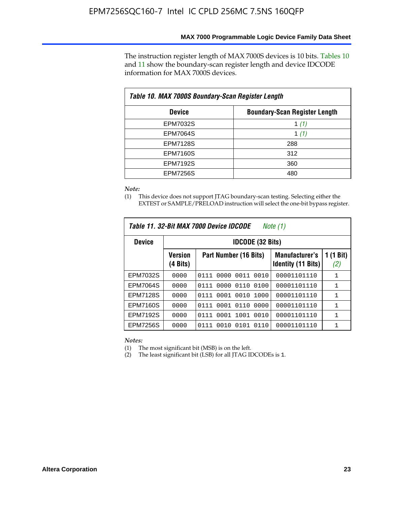The instruction register length of MAX 7000S devices is 10 bits. Tables 10 and 11 show the boundary-scan register length and device IDCODE information for MAX 7000S devices.

| Table 10. MAX 7000S Boundary-Scan Register Length |                                      |  |  |  |  |  |
|---------------------------------------------------|--------------------------------------|--|--|--|--|--|
| <b>Device</b>                                     | <b>Boundary-Scan Register Length</b> |  |  |  |  |  |
| EPM7032S                                          | 1 (1)                                |  |  |  |  |  |
| <b>EPM7064S</b>                                   | 1 $(1)$                              |  |  |  |  |  |
| <b>EPM7128S</b>                                   | 288                                  |  |  |  |  |  |
| <b>EPM7160S</b>                                   | 312                                  |  |  |  |  |  |
| <b>EPM7192S</b>                                   | 360                                  |  |  |  |  |  |
| <b>EPM7256S</b>                                   | 480                                  |  |  |  |  |  |

*Note:*

(1) This device does not support JTAG boundary-scan testing. Selecting either the EXTEST or SAMPLE/PRELOAD instruction will select the one-bit bypass register.

| Table 11, 32-Bit MAX 7000 Device IDCODE<br>Note (1) |                            |                              |                                                    |                  |  |  |
|-----------------------------------------------------|----------------------------|------------------------------|----------------------------------------------------|------------------|--|--|
| <b>Device</b>                                       | <b>IDCODE (32 Bits)</b>    |                              |                                                    |                  |  |  |
|                                                     | <b>Version</b><br>(4 Bits) | Part Number (16 Bits)        | <b>Manufacturer's</b><br><b>Identity (11 Bits)</b> | 1 (1 Bit)<br>(2) |  |  |
| EPM7032S                                            | 0000                       | 0010<br>0111<br>0000<br>0011 | 00001101110                                        | 1                |  |  |
| <b>EPM7064S</b>                                     | 0000                       | 0000<br>0110<br>0100<br>0111 | 00001101110                                        | 1                |  |  |
| <b>EPM7128S</b>                                     | 0000                       | 0001 0010<br>1000<br>0111    | 00001101110                                        | 1                |  |  |
| <b>EPM7160S</b>                                     | 0000                       | 0001<br>0110<br>0000<br>0111 | 00001101110                                        | $\mathbf{1}$     |  |  |
| <b>EPM7192S</b>                                     | 0000                       | 1001<br>0010<br>0111<br>0001 | 00001101110                                        | 1                |  |  |
| EPM7256S                                            | 0000                       | 0111<br>0010<br>0101<br>0110 | 00001101110                                        | 1                |  |  |

*Notes:*

(1) The most significant bit (MSB) is on the left.

(2) The least significant bit (LSB) for all JTAG IDCODEs is 1.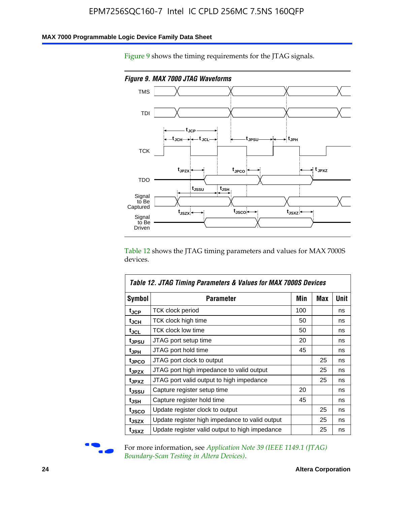### **MAX 7000 Programmable Logic Device Family Data Sheet**

Figure 9 shows the timing requirements for the JTAG signals.



Table 12 shows the JTAG timing parameters and values for MAX 7000S devices.

|                   | Table 12. JTAG Timing Parameters & Values for MAX 7000S Devices |     |     |      |  |  |  |
|-------------------|-----------------------------------------------------------------|-----|-----|------|--|--|--|
| <b>Symbol</b>     | Parameter                                                       | Min | Max | Unit |  |  |  |
| t <sub>JCP</sub>  | TCK clock period                                                | 100 |     | ns   |  |  |  |
| t <sub>JCH</sub>  | TCK clock high time                                             | 50  |     | ns   |  |  |  |
| tjcl              | TCK clock low time                                              | 50  |     | ns   |  |  |  |
| t <sub>JPSU</sub> | JTAG port setup time                                            | 20  |     | ns   |  |  |  |
| t <sub>JPH</sub>  | JTAG port hold time                                             | 45  |     | ns   |  |  |  |
| t <sub>JPCO</sub> | JTAG port clock to output                                       |     | 25  | ns   |  |  |  |
| t <sub>JPZX</sub> | JTAG port high impedance to valid output                        |     | 25  | ns   |  |  |  |
| t <sub>JPXZ</sub> | JTAG port valid output to high impedance                        |     | 25  | ns   |  |  |  |
| tjssu             | Capture register setup time                                     | 20  |     | ns   |  |  |  |
| t <sub>JSH</sub>  | Capture register hold time                                      | 45  |     | ns   |  |  |  |
| t <sub>JSCO</sub> | Update register clock to output                                 |     | 25  | ns   |  |  |  |
| t <sub>JSZX</sub> | Update register high impedance to valid output                  |     | 25  | ns   |  |  |  |
| t <sub>JSXZ</sub> | Update register valid output to high impedance                  |     | 25  | ns   |  |  |  |



For more information, see *Application Note 39 (IEEE 1149.1 (JTAG) Boundary-Scan Testing in Altera Devices)*.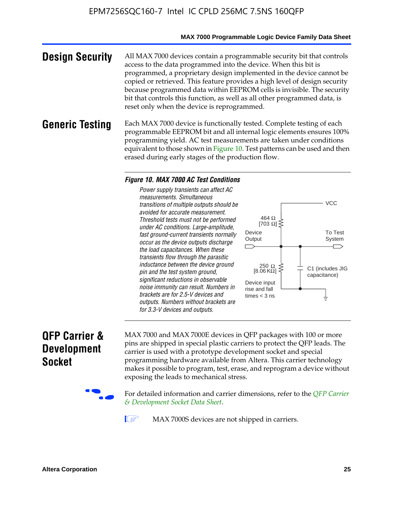#### **MAX 7000 Programmable Logic Device Family Data Sheet**

**Design Security** All MAX 7000 devices contain a programmable security bit that controls access to the data programmed into the device. When this bit is programmed, a proprietary design implemented in the device cannot be copied or retrieved. This feature provides a high level of design security because programmed data within EEPROM cells is invisible. The security bit that controls this function, as well as all other programmed data, is reset only when the device is reprogrammed.

### **Generic Testing** Each MAX 7000 device is functionally tested. Complete testing of each programmable EEPROM bit and all internal logic elements ensures 100% programming yield. AC test measurements are taken under conditions equivalent to those shown in Figure 10. Test patterns can be used and then erased during early stages of the production flow.

#### *Figure 10. MAX 7000 AC Test Conditions*

*Power supply transients can affect AC measurements. Simultaneous transitions of multiple outputs should be avoided for accurate measurement. Threshold tests must not be performed under AC conditions. Large-amplitude, fast ground-current transients normally occur as the device outputs discharge the load capacitances. When these transients flow through the parasitic inductance between the device ground pin and the test system ground, significant reductions in observable noise immunity can result. Numbers in brackets are for 2.5-V devices and outputs. Numbers without brackets are for 3.3-V devices and outputs.*



# **QFP Carrier & Development Socket**

MAX 7000 and MAX 7000E devices in QFP packages with 10[0 or more](http://www.altera.com/literature/ds/dsqfp.pdf)  [pins are shipped in special plas](http://www.altera.com/literature/ds/dsqfp.pdf)tic carriers to protect the QFP leads. The carrier is used with a prototype development socket and special programming hardware available from Altera. This carrier technology makes it possible to program, test, erase, and reprogram a device without exposing the leads to mechanical stress.

For detailed information and carrier dimensions, refer to the *QFP Carrier & Development Socket Data Sheet*.

MAX 7000S devices are not shipped in carriers.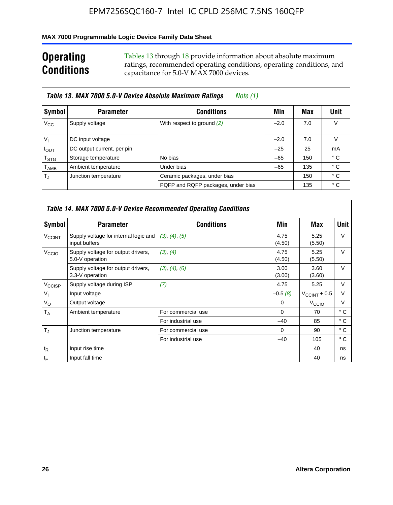### **MAX 7000 Programmable Logic Device Family Data Sheet**

# **Operating Conditions**

Tables 13 through 18 provide information about absolute maximum ratings, recommended operating conditions, operating conditions, and capacitance for 5.0-V MAX 7000 devices.

|                             | Table 13. MAX 7000 5.0-V Device Absolute Maximum Ratings | Note (1)                           |        |     |      |  |
|-----------------------------|----------------------------------------------------------|------------------------------------|--------|-----|------|--|
| Symbol                      | <b>Parameter</b>                                         | <b>Conditions</b>                  | Min    | Max | Unit |  |
| $V_{\rm CC}$                | Supply voltage                                           | With respect to ground (2)         | $-2.0$ | 7.0 | V    |  |
| $V_{1}$                     | DC input voltage                                         |                                    | $-2.0$ | 7.0 | V    |  |
| $I_{\text{OUT}}$            | DC output current, per pin                               |                                    | $-25$  | 25  | mA   |  |
| $\mathsf{T}_{\text{STG}}$   | Storage temperature                                      | No bias                            | $-65$  | 150 | ° C  |  |
| $\mathsf{T}_{\mathsf{AMB}}$ | Ambient temperature                                      | Under bias                         | $-65$  | 135 | ° C  |  |
| $T_{\rm J}$                 | Junction temperature                                     | Ceramic packages, under bias       |        | 150 | ° C  |  |
|                             |                                                          | PQFP and RQFP packages, under bias |        | 135 | ° C  |  |

|                          | <b>Table 14. MAX 7000 5.0-V Device Recommended Operating Conditions</b> |                    |                |                       |              |  |  |  |
|--------------------------|-------------------------------------------------------------------------|--------------------|----------------|-----------------------|--------------|--|--|--|
| Symbol                   | <b>Parameter</b>                                                        | <b>Conditions</b>  | Min            | Max                   | <b>Unit</b>  |  |  |  |
| <b>V<sub>CCINT</sub></b> | Supply voltage for internal logic and<br>input buffers                  | (3), (4), (5)      | 4.75<br>(4.50) | 5.25<br>(5.50)        | $\vee$       |  |  |  |
| V <sub>CCIO</sub>        | Supply voltage for output drivers,<br>5.0-V operation                   | (3), (4)           | 4.75<br>(4.50) | 5.25<br>(5.50)        | $\vee$       |  |  |  |
|                          | Supply voltage for output drivers,<br>3.3-V operation                   | (3), (4), (6)      | 3.00<br>(3.00) | 3.60<br>(3.60)        | $\vee$       |  |  |  |
| V <sub>CCISP</sub>       | Supply voltage during ISP                                               | (7)                | 4.75           | 5.25                  | V            |  |  |  |
| $V_{1}$                  | Input voltage                                                           |                    | $-0.5(8)$      | $V_{\rm CCINT}$ + 0.5 | V            |  |  |  |
| $V_{\rm O}$              | Output voltage                                                          |                    | 0              | V <sub>CCIO</sub>     | V            |  |  |  |
| T <sub>A</sub>           | Ambient temperature                                                     | For commercial use | $\Omega$       | 70                    | $^{\circ}$ C |  |  |  |
|                          |                                                                         | For industrial use | $-40$          | 85                    | $^{\circ}$ C |  |  |  |
| $T_{\rm J}$              | Junction temperature                                                    | For commercial use | $\Omega$       | 90                    | ° C          |  |  |  |
|                          |                                                                         | For industrial use | $-40$          | 105                   | ° C          |  |  |  |
| $t_{\mathsf{R}}$         | Input rise time                                                         |                    |                | 40                    | ns           |  |  |  |
| $t_F$                    | Input fall time                                                         |                    |                | 40                    | ns           |  |  |  |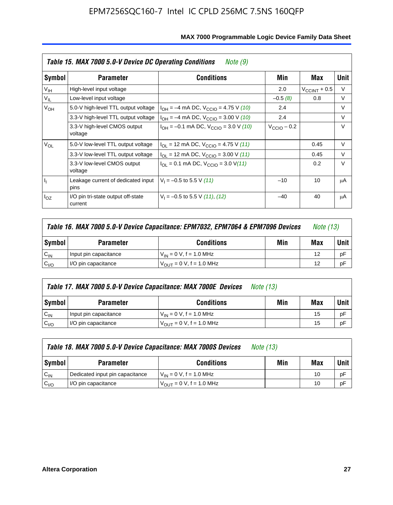|                 | Table 15. MAX 7000 5.0-V Device DC Operating Conditions<br>Note (9) |                                                                           |                         |                       |        |  |  |  |  |
|-----------------|---------------------------------------------------------------------|---------------------------------------------------------------------------|-------------------------|-----------------------|--------|--|--|--|--|
| Symbol          | <b>Parameter</b>                                                    | <b>Conditions</b>                                                         | Min                     | Max                   | Unit   |  |  |  |  |
| V <sub>IH</sub> | High-level input voltage                                            |                                                                           | 2.0                     | $V_{\rm CCINT}$ + 0.5 | V      |  |  |  |  |
| $V_{IL}$        | Low-level input voltage                                             |                                                                           | $-0.5(8)$               | 0.8                   | V      |  |  |  |  |
| $V_{OH}$        | 5.0-V high-level TTL output voltage                                 | $I_{OH} = -4$ mA DC, $V_{CClO} = 4.75$ V (10)                             | 2.4                     |                       | V      |  |  |  |  |
|                 | 3.3-V high-level TTL output voltage                                 | $I_{OH} = -4$ mA DC, $V_{CClO} = 3.00$ V (10)                             | 2.4                     |                       | V      |  |  |  |  |
|                 | 3.3-V high-level CMOS output<br>voltage                             | $I_{OH} = -0.1$ mA DC, $V_{CClO} = 3.0$ V (10)                            | $V_{\text{CClO}}$ – 0.2 |                       | $\vee$ |  |  |  |  |
| $V_{OL}$        | 5.0-V low-level TTL output voltage                                  | $I_{\text{OI}}$ = 12 mA DC, $V_{\text{CCIO}}$ = 4.75 V (11)               |                         | 0.45                  | V      |  |  |  |  |
|                 | 3.3-V low-level TTL output voltage                                  | $I_{OL}$ = 12 mA DC, $V_{CClO}$ = 3.00 V (11)                             |                         | 0.45                  | $\vee$ |  |  |  |  |
|                 | 3.3-V low-level CMOS output<br>voltage                              | $I_{\text{OI}} = 0.1 \text{ mA DC}, V_{\text{CCIO}} = 3.0 \text{ V} (11)$ |                         | 0.2                   | $\vee$ |  |  |  |  |
| I <sub>I</sub>  | Leakage current of dedicated input<br>pins                          | $V_1 = -0.5$ to 5.5 V (11)                                                | $-10$                   | 10                    | μA     |  |  |  |  |
| $I_{OZ}$        | I/O pin tri-state output off-state<br>current                       | $V_1 = -0.5$ to 5.5 V (11), (12)                                          | $-40$                   | 40                    | μA     |  |  |  |  |

|                  | Table 16. MAX 7000 5.0-V Device Capacitance: EPM7032, EPM7064 & EPM7096 Devices |                                     |  |    |    |
|------------------|---------------------------------------------------------------------------------|-------------------------------------|--|----|----|
| Symbol           | Min<br><b>Conditions</b><br><b>Parameter</b>                                    |                                     |  |    |    |
| $C_{IN}$         | Input pin capacitance                                                           | $V_{IN} = 0 V$ , f = 1.0 MHz        |  | 12 | рF |
| C <sub>I/O</sub> | I/O pin capacitance                                                             | $V_{\text{OUT}} = 0$ V, f = 1.0 MHz |  | 12 | рF |

|                  | Table 17. MAX 7000 5.0-V Device Capacitance: MAX 7000E Devices<br><i>Note (13)</i> |                                |     |     |        |  |
|------------------|------------------------------------------------------------------------------------|--------------------------------|-----|-----|--------|--|
| Symbol           | <b>Parameter</b>                                                                   | <b>Conditions</b>              | Min | Max | Unit I |  |
| $C_{IN}$         | Input pin capacitance                                                              | $V_{1N} = 0 V$ , f = 1.0 MHz   |     | 15  | pF     |  |
| C <sub>I/O</sub> | I/O pin capacitance                                                                | $V_{OIII} = 0 V$ , f = 1.0 MHz |     | 15  | pF     |  |

|                  | Table 18. MAX 7000 5.0-V Device Capacitance: MAX 7000S Devices | <i>Note (13)</i>                    |     |     |        |
|------------------|----------------------------------------------------------------|-------------------------------------|-----|-----|--------|
| Symbol           | <b>Parameter</b>                                               | <b>Conditions</b>                   | Min | Max | Unit I |
| $C_{IN}$         | Dedicated input pin capacitance                                | $V_{IN} = 0 V$ , f = 1.0 MHz        |     | 10  | pF     |
| C <sub>I/O</sub> | I/O pin capacitance                                            | $V_{\text{OUT}} = 0$ V, f = 1.0 MHz |     | 10  | pF     |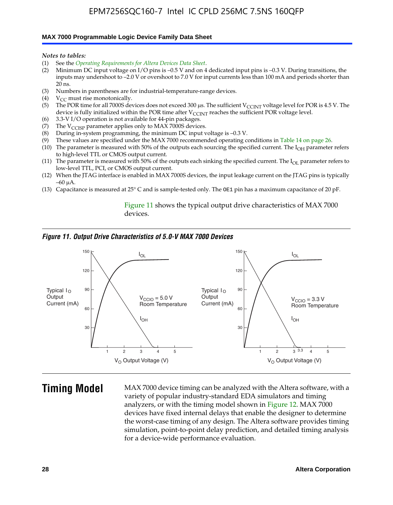#### **MAX 7000 Programmable Logic Device Family Data Sheet**

*Notes to tables:*

- (1) See the *Operating Requirements for Altera Devices Data Sheet*.
- (2) Minimum DC input voltage on I/O pins is –0.5 V and on 4 dedicated input pins is –0.3 V. During transitions, the inputs may undershoot to –2.0 V or overshoot to 7.0 V for input currents less than 100 mA and periods shorter than  $20$  ns.
- (3) Numbers in parentheses are for industrial-temperature-range devices.<br>(4)  $V_{CC}$  must rise monotonically.
- $V_{CC}$  must rise monotonically.
- (5) The POR time for all 7000S devices does not exceed 300 µs. The sufficient V<sub>CCINT</sub> voltage level for POR is 4.5 V. The device is fully initialized within the POR time after  $V_{\text{CCINT}}$  reaches the sufficient POR voltage level.
- (6) 3.3-V I/O operation is not available for 44-pin packages.
- (7) The  $V_{\text{CCISP}}$  parameter applies only to MAX 7000S devices.
- (8) During in-system programming, the minimum DC input voltage is –0.3 V.
- (9) These values are specified under the MAX 7000 recommended operating conditions in Table 14 on page 26.
- (10) The parameter is measured with 50% of the outputs each sourcing the specified current. The  $I_{OH}$  parameter refers to high-level TTL or CMOS output current.
- (11) The parameter is measured with 50% of the outputs each sinking the specified current. The  $I_{OL}$  parameter refers to low-level TTL, PCI, or CMOS output current.
- (12) When the JTAG interface is enabled in MAX 7000S devices, the input leakage current on the JTAG pins is typically –60 μA.
- (13) Capacitance is measured at 25° C and is sample-tested only. The OE1 pin has a maximum capacitance of 20 pF.

Figure 11 shows the typical output drive characteristics of MAX 7000 devices.

#### *Figure 11. Output Drive Characteristics of 5.0-V MAX 7000 Devices*



**Timing Model** MAX 7000 device timing can be analyzed with the Altera software, with a variety of popular industry-standard EDA simulators and timing analyzers, or with the timing model shown in Figure 12. MAX 7000 devices have fixed internal delays that enable the designer to determine the worst-case timing of any design. The Altera software provides timing simulation, point-to-point delay prediction, and detailed timing analysis for a device-wide performance evaluation.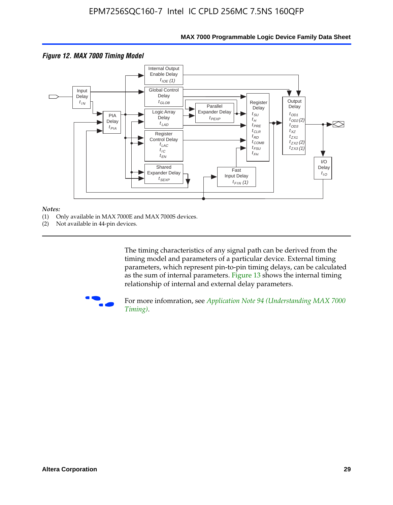

### **MAX 7000 Programmable Logic Device Family Data Sheet**

#### *Notes:*

- (1) Only available in MAX 7000E and MAX 7000S devices.
- (2) Not available in 44-pin devices.

[The tim](http://www.altera.com/literature/an/an094.pdf)ing characteristics [of any signal path can be derived from the](http://www.altera.com/literature/an/an094.pdf)  timing model and parameters of a particular device. External timing parameters, which represent pin-to-pin timing delays, can be calculated as the sum of internal parameters. Figure 13 shows the internal timing relationship of internal and external delay parameters.



For more infomration, see *Application Note 94 (Understanding MAX 7000 Timing)*.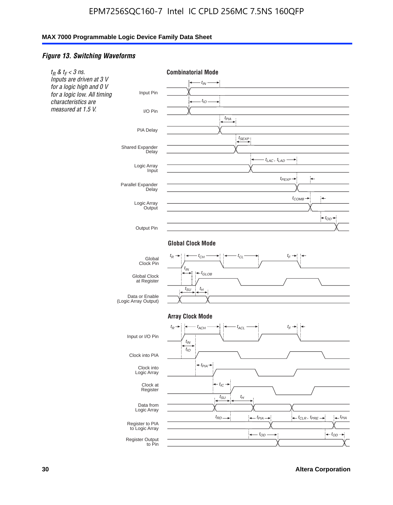#### *Figure 13. Switching Waveforms*



**30 Altera Corporation**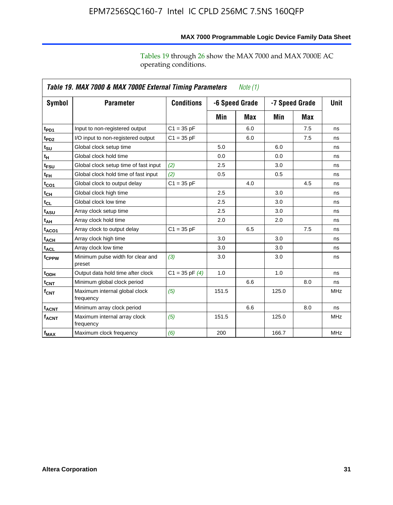| Table 19. MAX 7000 & MAX 7000E External Timing Parameters<br>Note $(1)$ |                                             |                    |       |                                  |       |     |             |  |
|-------------------------------------------------------------------------|---------------------------------------------|--------------------|-------|----------------------------------|-------|-----|-------------|--|
| Symbol                                                                  | <b>Parameter</b>                            | <b>Conditions</b>  |       | -6 Speed Grade<br>-7 Speed Grade |       |     | <b>Unit</b> |  |
|                                                                         |                                             |                    | Min   | Max                              | Min   | Max |             |  |
| t <sub>PD1</sub>                                                        | Input to non-registered output              | $C1 = 35 pF$       |       | 6.0                              |       | 7.5 | ns          |  |
| t <sub>PD2</sub>                                                        | I/O input to non-registered output          | $C1 = 35 pF$       |       | 6.0                              |       | 7.5 | ns          |  |
| $t_{\scriptstyle\text{SU}}$                                             | Global clock setup time                     |                    | 5.0   |                                  | 6.0   |     | ns          |  |
| tμ                                                                      | Global clock hold time                      |                    | 0.0   |                                  | 0.0   |     | ns          |  |
| t <sub>FSU</sub>                                                        | Global clock setup time of fast input       | (2)                | 2.5   |                                  | 3.0   |     | ns          |  |
| t <sub>FH</sub>                                                         | Global clock hold time of fast input        | (2)                | 0.5   |                                  | 0.5   |     | ns          |  |
| t <sub>CO1</sub>                                                        | Global clock to output delay                | $C1 = 35 pF$       |       | 4.0                              |       | 4.5 | ns          |  |
| $t_{\text{CH}}$                                                         | Global clock high time                      |                    | 2.5   |                                  | 3.0   |     | ns          |  |
| $t_{CL}$                                                                | Global clock low time                       |                    | 2.5   |                                  | 3.0   |     | ns          |  |
| t <sub>ASU</sub>                                                        | Array clock setup time                      |                    | 2.5   |                                  | 3.0   |     | ns          |  |
| t <sub>АН</sub>                                                         | Array clock hold time                       |                    | 2.0   |                                  | 2.0   |     | ns          |  |
| t <sub>ACO1</sub>                                                       | Array clock to output delay                 | $C1 = 35 pF$       |       | 6.5                              |       | 7.5 | ns          |  |
| t <sub>АСН</sub>                                                        | Array clock high time                       |                    | 3.0   |                                  | 3.0   |     | ns          |  |
| t <sub>ACL</sub>                                                        | Array clock low time                        |                    | 3.0   |                                  | 3.0   |     | ns          |  |
| t <sub>CPPW</sub>                                                       | Minimum pulse width for clear and<br>preset | (3)                | 3.0   |                                  | 3.0   |     | ns          |  |
| t <sub>ODH</sub>                                                        | Output data hold time after clock           | $C1 = 35$ pF $(4)$ | 1.0   |                                  | 1.0   |     | ns          |  |
| t <sub>CNT</sub>                                                        | Minimum global clock period                 |                    |       | 6.6                              |       | 8.0 | ns          |  |
| $f_{\mathsf{CNT}}$                                                      | Maximum internal global clock<br>frequency  | (5)                | 151.5 |                                  | 125.0 |     | <b>MHz</b>  |  |
| <b>t<sub>ACNT</sub></b>                                                 | Minimum array clock period                  |                    |       | 6.6                              |       | 8.0 | ns          |  |
| <b>f<sub>ACNT</sub></b>                                                 | Maximum internal array clock<br>frequency   | (5)                | 151.5 |                                  | 125.0 |     | <b>MHz</b>  |  |
| $f_{MAX}$                                                               | Maximum clock frequency                     | (6)                | 200   |                                  | 166.7 |     | <b>MHz</b>  |  |

### **MAX 7000 Programmable Logic Device Family Data Sheet**

operating conditions.

Tables 19 through 26 show the MAX 7000 and MAX 7000E AC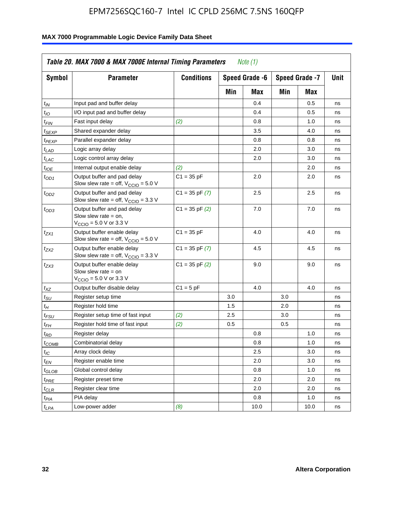| <b>Symbol</b>               | <b>Parameter</b>                                                                                             | <b>Conditions</b>  |     | Speed Grade -6 |     | Speed Grade -7 | Unit |
|-----------------------------|--------------------------------------------------------------------------------------------------------------|--------------------|-----|----------------|-----|----------------|------|
|                             |                                                                                                              |                    | Min | Max            | Min | Max            |      |
| $t_{IN}$                    | Input pad and buffer delay                                                                                   |                    |     | 0.4            |     | 0.5            | ns   |
| $t_{IO}$                    | I/O input pad and buffer delay                                                                               |                    |     | 0.4            |     | 0.5            | ns   |
| $t_{\sf FIN}$               | Fast input delay                                                                                             | (2)                |     | 0.8            |     | 1.0            | ns   |
| <sup>t</sup> SEXP           | Shared expander delay                                                                                        |                    |     | 3.5            |     | 4.0            | ns   |
| t <sub>PEXP</sub>           | Parallel expander delay                                                                                      |                    |     | 0.8            |     | 0.8            | ns   |
| t <sub>LAD</sub>            | Logic array delay                                                                                            |                    |     | 2.0            |     | 3.0            | ns   |
| t <sub>LAC</sub>            | Logic control array delay                                                                                    |                    |     | 2.0            |     | 3.0            | ns   |
| t <sub>IOE</sub>            | Internal output enable delay                                                                                 | (2)                |     |                |     | 2.0            | ns   |
| $t_{OD1}$                   | Output buffer and pad delay<br>Slow slew rate = off, $V_{\text{CCIO}} = 5.0 V$                               | $C1 = 35 pF$       |     | 2.0            |     | 2.0            | ns   |
| $t_{OD2}$                   | Output buffer and pad delay<br>Slow slew rate = off, $V_{\text{CCIO}} = 3.3$ V                               | $C1 = 35$ pF $(7)$ |     | 2.5            |     | 2.5            | ns   |
| $t_{OD3}$                   | Output buffer and pad delay<br>Slow slew rate $=$ on,<br>$V_{\text{CCIO}} = 5.0 \text{ V or } 3.3 \text{ V}$ | $C1 = 35$ pF $(2)$ |     | 7.0            |     | 7.0            | ns   |
| tzx1                        | Output buffer enable delay<br>Slow slew rate = off, $V_{\text{CCIO}} = 5.0 \text{ V}$                        | $C1 = 35 pF$       |     | 4.0            |     | 4.0            | ns   |
| $t_{ZX2}$                   | Output buffer enable delay<br>Slow slew rate = off, $V_{\text{CCIO}} = 3.3 \text{ V}$                        | $C1 = 35$ pF $(7)$ |     | 4.5            |     | 4.5            | ns   |
| t <sub>ZX3</sub>            | Output buffer enable delay<br>Slow slew rate $=$ on<br>$V_{\text{CCIO}} = 5.0 \text{ V or } 3.3 \text{ V}$   | $C1 = 35$ pF $(2)$ |     | 9.0            |     | 9.0            | ns   |
| $t_{\mathsf{XZ}}$           | Output buffer disable delay                                                                                  | $C1 = 5 pF$        |     | 4.0            |     | 4.0            | ns   |
| $t_{\scriptstyle\text{SU}}$ | Register setup time                                                                                          |                    | 3.0 |                | 3.0 |                | ns   |
| t <sub>Η</sub>              | Register hold time                                                                                           |                    | 1.5 |                | 2.0 |                | ns   |
| t <sub>FSU</sub>            | Register setup time of fast input                                                                            | (2)                | 2.5 |                | 3.0 |                | ns   |
| t <sub>FH</sub>             | Register hold time of fast input                                                                             | (2)                | 0.5 |                | 0.5 |                | ns   |
| t <sub>RD</sub>             | Register delay                                                                                               |                    |     | 0.8            |     | 1.0            | ns   |
| $t_{\sf COMB}$              | Combinatorial delay                                                                                          |                    |     | 0.8            |     | 1.0            | ns   |
| $t_{\mathcal{IC}}$          | Array clock delay                                                                                            |                    |     | 2.5            |     | 3.0            | ns   |
| $t_{EN}$                    | Register enable time                                                                                         |                    |     | 2.0            |     | 3.0            | ns   |
| t <sub>GLOB</sub>           | Global control delay                                                                                         |                    |     | 0.8            |     | 1.0            | ns   |
| t <sub>PRE</sub>            | Register preset time                                                                                         |                    |     | 2.0            |     | 2.0            | ns   |
| $t_{\sf CLR}$               | Register clear time                                                                                          |                    |     | 2.0            |     | 2.0            | ns   |
| t <sub>PIA</sub>            | PIA delay                                                                                                    |                    |     | 0.8            |     | 1.0            | ns   |
| $t_{LPA}$                   | Low-power adder                                                                                              | (8)                |     | 10.0           |     | 10.0           | ns   |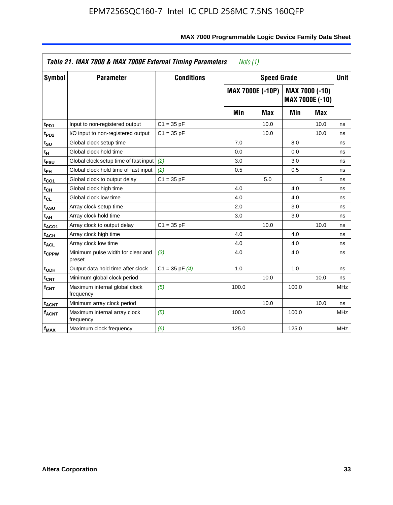| Symbol                       | <b>Parameter</b>                            | <b>Conditions</b>  |       | <b>Speed Grade</b>      |       |                                          | <b>Unit</b> |
|------------------------------|---------------------------------------------|--------------------|-------|-------------------------|-------|------------------------------------------|-------------|
|                              |                                             |                    |       | <b>MAX 7000E (-10P)</b> |       | MAX 7000 (-10)<br><b>MAX 7000E (-10)</b> |             |
|                              |                                             |                    | Min   | <b>Max</b>              | Min   | Max                                      |             |
| t <sub>PD1</sub>             | Input to non-registered output              | $C1 = 35 pF$       |       | 10.0                    |       | 10.0                                     | ns          |
| t <sub>PD2</sub>             | I/O input to non-registered output          | $C1 = 35 pF$       |       | 10.0                    |       | 10.0                                     | ns          |
| t <sub>su</sub>              | Global clock setup time                     |                    | 7.0   |                         | 8.0   |                                          | ns          |
| tμ                           | Global clock hold time                      |                    | 0.0   |                         | 0.0   |                                          | ns          |
| t <sub>FSU</sub>             | Global clock setup time of fast input       | (2)                | 3.0   |                         | 3.0   |                                          | ns          |
| t <sub>FH</sub>              | Global clock hold time of fast input        | (2)                | 0.5   |                         | 0.5   |                                          | ns          |
| t <sub>CO1</sub>             | Global clock to output delay                | $C1 = 35 pF$       |       | 5.0                     |       | 5                                        | ns          |
| $\mathfrak{t}_{\textsf{CH}}$ | Global clock high time                      |                    | 4.0   |                         | 4.0   |                                          | ns          |
| $t_{CL}$                     | Global clock low time                       |                    | 4.0   |                         | 4.0   |                                          | ns          |
| t <sub>ASU</sub>             | Array clock setup time                      |                    | 2.0   |                         | 3.0   |                                          | ns          |
| t <sub>АН</sub>              | Array clock hold time                       |                    | 3.0   |                         | 3.0   |                                          | ns          |
| t <sub>ACO1</sub>            | Array clock to output delay                 | $C1 = 35 pF$       |       | 10.0                    |       | 10.0                                     | ns          |
| t <sub>ACH</sub>             | Array clock high time                       |                    | 4.0   |                         | 4.0   |                                          | ns          |
| $t_{\sf ACL}$                | Array clock low time                        |                    | 4.0   |                         | 4.0   |                                          | ns          |
| t <sub>CPPW</sub>            | Minimum pulse width for clear and<br>preset | (3)                | 4.0   |                         | 4.0   |                                          | ns          |
| t <sub>ODH</sub>             | Output data hold time after clock           | $C1 = 35$ pF $(4)$ | 1.0   |                         | 1.0   |                                          | ns          |
| $t_{\mathsf{CNT}}$           | Minimum global clock period                 |                    |       | 10.0                    |       | 10.0                                     | ns          |
| $f_{\mathsf{CNT}}$           | Maximum internal global clock<br>frequency  | (5)                | 100.0 |                         | 100.0 |                                          | <b>MHz</b>  |
| <b>t<sub>ACNT</sub></b>      | Minimum array clock period                  |                    |       | 10.0                    |       | 10.0                                     | ns          |
| f <sub>ACNT</sub>            | Maximum internal array clock<br>frequency   | (5)                | 100.0 |                         | 100.0 |                                          | <b>MHz</b>  |
| $f_{MAX}$                    | Maximum clock frequency                     | (6)                | 125.0 |                         | 125.0 |                                          | <b>MHz</b>  |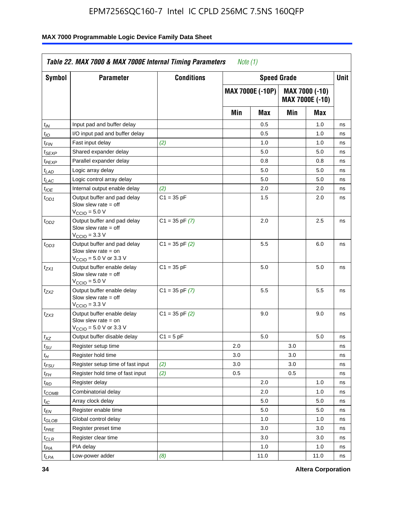| Symbol                      | <b>Parameter</b>                                                                                            | <b>Conditions</b>  |     | <b>Speed Grade</b> |     | MAX 7000 (-10)<br>MAX 7000E (-10)<br>Max<br>1.0<br>1.0<br>1.0<br>5.0<br>0.8<br>5.0<br>5.0<br>2.0<br>2.0<br>2.5<br>6.0<br>5.0<br>5.5<br>9.0<br>5.0<br>1.0 | Unit |
|-----------------------------|-------------------------------------------------------------------------------------------------------------|--------------------|-----|--------------------|-----|----------------------------------------------------------------------------------------------------------------------------------------------------------|------|
|                             |                                                                                                             |                    |     | MAX 7000E (-10P)   |     |                                                                                                                                                          |      |
|                             |                                                                                                             |                    | Min | Max                | Min |                                                                                                                                                          |      |
| t <sub>IN</sub>             | Input pad and buffer delay                                                                                  |                    |     | 0.5                |     |                                                                                                                                                          | ns   |
| $t_{IO}$                    | I/O input pad and buffer delay                                                                              |                    |     | 0.5                |     |                                                                                                                                                          | ns   |
| t <sub>FIN</sub>            | Fast input delay                                                                                            | (2)                |     | 1.0                |     |                                                                                                                                                          | ns   |
| t <sub>SEXP</sub>           | Shared expander delay                                                                                       |                    |     | 5.0                |     |                                                                                                                                                          | ns   |
| t <sub>PEXP</sub>           | Parallel expander delay                                                                                     |                    |     | 0.8                |     |                                                                                                                                                          | ns   |
| t <sub>LAD</sub>            | Logic array delay                                                                                           |                    |     | 5.0                |     |                                                                                                                                                          | ns   |
| t <sub>LAC</sub>            | Logic control array delay                                                                                   |                    |     | 5.0                |     |                                                                                                                                                          | ns   |
| $t_{\mathit{IOE}}$          | Internal output enable delay                                                                                | (2)                |     | 2.0                |     |                                                                                                                                                          | ns   |
| $t_{OD1}$                   | Output buffer and pad delay<br>Slow slew rate $=$ off<br>$V_{\text{CCIO}} = 5.0 V$                          | $C1 = 35 pF$       |     | 1.5                |     |                                                                                                                                                          | ns   |
| $t_{OD2}$                   | Output buffer and pad delay<br>Slow slew rate $=$ off<br>$VCCIO = 3.3 V$                                    | $C1 = 35$ pF $(7)$ |     | 2.0                |     |                                                                                                                                                          | ns   |
| $t_{OD3}$                   | Output buffer and pad delay<br>Slow slew rate $=$ on<br>$V_{\text{CCIO}} = 5.0 \text{ V or } 3.3 \text{ V}$ | $C1 = 35$ pF $(2)$ |     | 5.5                |     |                                                                                                                                                          | ns   |
| tzx1                        | Output buffer enable delay<br>Slow slew rate $=$ off<br>$V_{\text{CCIO}} = 5.0 V$                           | $C1 = 35 pF$       |     | 5.0                |     |                                                                                                                                                          | ns   |
| t <sub>ZX2</sub>            | Output buffer enable delay<br>Slow slew rate $=$ off<br>$VCCIO = 3.3 V$                                     | $C1 = 35$ pF $(7)$ |     | 5.5                |     |                                                                                                                                                          | ns   |
| t <sub>ZX3</sub>            | Output buffer enable delay<br>Slow slew rate $=$ on<br>$V_{\text{CCIO}} = 5.0 \text{ V or } 3.3 \text{ V}$  | $C1 = 35$ pF $(2)$ |     | 9.0                |     |                                                                                                                                                          | ns   |
| $t_{\mathsf{XZ}}$           | Output buffer disable delay                                                                                 | $C1 = 5 pF$        |     | 5.0                |     |                                                                                                                                                          | ns   |
| $t_{\scriptstyle\text{SU}}$ | Register setup time                                                                                         |                    | 2.0 |                    | 3.0 |                                                                                                                                                          | ns   |
| $t_H$                       | Register hold time                                                                                          |                    | 3.0 |                    | 3.0 |                                                                                                                                                          | ns   |
| t <sub>FSU</sub>            | Register setup time of fast input                                                                           | (2)                | 3.0 |                    | 3.0 |                                                                                                                                                          | ns   |
| t <sub>FH</sub>             | Register hold time of fast input                                                                            | (2)                | 0.5 |                    | 0.5 |                                                                                                                                                          | ns   |
| t <sub>RD</sub>             | Register delay                                                                                              |                    |     | 2.0                |     |                                                                                                                                                          | ns   |
| $t_{COMB}$                  | Combinatorial delay                                                                                         |                    |     | 2.0                |     | 1.0                                                                                                                                                      | ns   |
| ЧC                          | Array clock delay                                                                                           |                    |     | 5.0                |     | 5.0                                                                                                                                                      | ns   |
| $t_{EN}$                    | Register enable time                                                                                        |                    |     | 5.0                |     | 5.0                                                                                                                                                      | ns   |
| $t_{GLOB}$                  | Global control delay                                                                                        |                    |     | 1.0                |     | 1.0                                                                                                                                                      | ns   |
| $t_{PRE}$                   | Register preset time                                                                                        |                    |     | 3.0                |     | 3.0                                                                                                                                                      | ns   |
| $t_{\sf CLR}$               | Register clear time                                                                                         |                    |     | 3.0                |     | 3.0                                                                                                                                                      | ns   |
| t <sub>PIA</sub>            | PIA delay                                                                                                   |                    |     | 1.0                |     | 1.0                                                                                                                                                      | ns   |
| $t_{LPA}$                   | Low-power adder                                                                                             | (8)                |     | 11.0               |     | 11.0                                                                                                                                                     | ns   |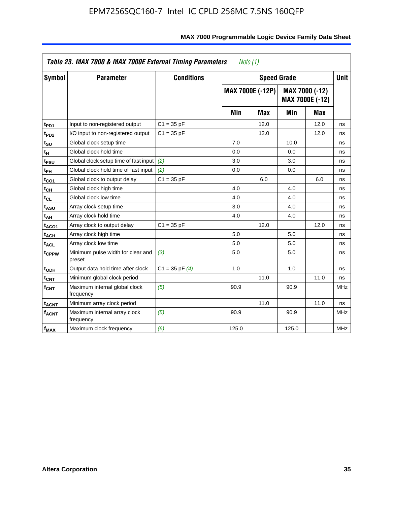|                         | Table 23. MAX 7000 & MAX 7000E External Timing Parameters |                    | Note (1) |                         |                    |                                   |             |
|-------------------------|-----------------------------------------------------------|--------------------|----------|-------------------------|--------------------|-----------------------------------|-------------|
| <b>Symbol</b>           | <b>Parameter</b>                                          | <b>Conditions</b>  |          |                         | <b>Speed Grade</b> |                                   | <b>Unit</b> |
|                         |                                                           |                    |          | <b>MAX 7000E (-12P)</b> |                    | MAX 7000 (-12)<br>MAX 7000E (-12) |             |
|                         |                                                           |                    | Min      | <b>Max</b>              | Min                | <b>Max</b>                        |             |
| t <sub>PD1</sub>        | Input to non-registered output                            | $C1 = 35 pF$       |          | 12.0                    |                    | 12.0                              | ns          |
| t <sub>PD2</sub>        | I/O input to non-registered output                        | $C1 = 35 pF$       |          | 12.0                    |                    | 12.0                              | ns          |
| t <sub>su</sub>         | Global clock setup time                                   |                    | 7.0      |                         | 10.0               |                                   | ns          |
| tн                      | Global clock hold time                                    |                    | 0.0      |                         | 0.0                |                                   | ns          |
| t <sub>FSU</sub>        | Global clock setup time of fast input                     | (2)                | 3.0      |                         | 3.0                |                                   | ns          |
| $t_{FH}$                | Global clock hold time of fast input                      | (2)                | 0.0      |                         | 0.0                |                                   | ns          |
| t <sub>CO1</sub>        | Global clock to output delay                              | $C1 = 35 pF$       |          | 6.0                     |                    | 6.0                               | ns          |
| $t_{\mathsf{CH}}$       | Global clock high time                                    |                    | 4.0      |                         | 4.0                |                                   | ns          |
| $t_{CL}$                | Global clock low time                                     |                    | 4.0      |                         | 4.0                |                                   | ns          |
| t <sub>ASU</sub>        | Array clock setup time                                    |                    | 3.0      |                         | 4.0                |                                   | ns          |
| t <sub>АН</sub>         | Array clock hold time                                     |                    | 4.0      |                         | 4.0                |                                   | ns          |
| t <sub>ACO1</sub>       | Array clock to output delay                               | $C1 = 35 pF$       |          | 12.0                    |                    | 12.0                              | ns          |
| t <sub>ACH</sub>        | Array clock high time                                     |                    | 5.0      |                         | 5.0                |                                   | ns          |
| $t_{\sf ACL}$           | Array clock low time                                      |                    | 5.0      |                         | 5.0                |                                   | ns          |
| t <sub>CPPW</sub>       | Minimum pulse width for clear and<br>preset               | (3)                | 5.0      |                         | 5.0                |                                   | ns          |
| t <sub>ODH</sub>        | Output data hold time after clock                         | $C1 = 35$ pF $(4)$ | 1.0      |                         | 1.0                |                                   | ns          |
| $t_{\mathsf{CNT}}$      | Minimum global clock period                               |                    |          | 11.0                    |                    | 11.0                              | ns          |
| $f_{\mathsf{CNT}}$      | Maximum internal global clock<br>frequency                | (5)                | 90.9     |                         | 90.9               |                                   | <b>MHz</b>  |
| <b>t<sub>ACNT</sub></b> | Minimum array clock period                                |                    |          | 11.0                    |                    | 11.0                              | ns          |
| <b>f<sub>ACNT</sub></b> | Maximum internal array clock<br>frequency                 | (5)                | 90.9     |                         | 90.9               |                                   | <b>MHz</b>  |
| $f_{MAX}$               | Maximum clock frequency                                   | (6)                | 125.0    |                         | 125.0              |                                   | <b>MHz</b>  |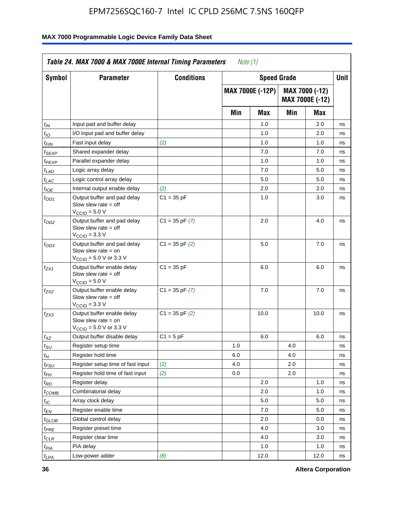| Symbol                      | <b>Parameter</b>                                                                                            | <b>Conditions</b>  |     | <b>Speed Grade</b>      |     |                                   | <b>Unit</b> |
|-----------------------------|-------------------------------------------------------------------------------------------------------------|--------------------|-----|-------------------------|-----|-----------------------------------|-------------|
|                             |                                                                                                             |                    |     | <b>MAX 7000E (-12P)</b> |     | MAX 7000 (-12)<br>MAX 7000E (-12) |             |
|                             |                                                                                                             |                    | Min | <b>Max</b>              | Min | Max                               |             |
| $t_{IN}$                    | Input pad and buffer delay                                                                                  |                    |     | 1.0                     |     | 2.0                               | ns          |
| $t_{IO}$                    | I/O input pad and buffer delay                                                                              |                    |     | 1.0                     |     | 2.0                               | ns          |
| $t_{FIN}$                   | Fast input delay                                                                                            | (2)                |     | 1.0                     |     | 1.0                               | ns          |
| t <sub>SEXP</sub>           | Shared expander delay                                                                                       |                    |     | 7.0                     |     | 7.0                               | ns          |
| t <sub>PEXP</sub>           | Parallel expander delay                                                                                     |                    |     | 1.0                     |     | 1.0                               | ns          |
| t <sub>LAD</sub>            | Logic array delay                                                                                           |                    |     | 7.0                     |     | 5.0                               | ns          |
| $t_{LAC}$                   | Logic control array delay                                                                                   |                    |     | 5.0                     |     | 5.0                               | ns          |
| $t_{IOE}$                   | Internal output enable delay                                                                                | (2)                |     | 2.0                     |     | 2.0                               | ns          |
| $t_{OD1}$                   | Output buffer and pad delay<br>Slow slew rate $=$ off<br>$V_{\text{CCIO}} = 5.0 V$                          | $C1 = 35 pF$       |     | 1.0                     |     | 3.0                               | ns          |
| $t_{OD2}$                   | Output buffer and pad delay<br>Slow slew rate $=$ off<br>$VCCIO = 3.3 V$                                    | $C1 = 35$ pF $(7)$ |     | 2.0                     |     | 4.0                               | ns          |
| $t_{OD3}$                   | Output buffer and pad delay<br>Slow slew rate $=$ on<br>$V_{\text{CCIO}} = 5.0 \text{ V or } 3.3 \text{ V}$ | $C1 = 35$ pF $(2)$ |     | 5.0                     |     | 7.0                               | ns          |
| $t_{ZX1}$                   | Output buffer enable delay<br>Slow slew rate $=$ off<br>$V_{\text{CCIO}} = 5.0 V$                           | $C1 = 35 pF$       |     | 6.0                     |     | 6.0                               | ns          |
| $t_{ZX2}$                   | Output buffer enable delay<br>Slow slew rate $=$ off<br>$V_{\rm CClO}$ = 3.3 V                              | $C1 = 35$ pF $(7)$ |     | 7.0                     |     | 7.0                               | ns          |
| $t_{ZX3}$                   | Output buffer enable delay<br>Slow slew rate $=$ on<br>$V_{\text{CCIO}} = 5.0 \text{ V or } 3.3 \text{ V}$  | $C1 = 35$ pF $(2)$ |     | 10.0                    |     | 10.0                              | ns          |
| $t_{\mathsf{XZ}}$           | Output buffer disable delay                                                                                 | $C1 = 5$ pF        |     | 6.0                     |     | 6.0                               | ns          |
| $t_{\scriptstyle\text{SU}}$ | Register setup time                                                                                         |                    | 1.0 |                         | 4.0 |                                   | ns          |
| $t_H$                       | Register hold time                                                                                          |                    | 6.0 |                         | 4.0 |                                   | ns          |
| $t_{\mathit{FSU}}$          | Register setup time of fast input                                                                           | (2)                | 4.0 |                         | 2.0 |                                   | ns          |
| t <sub>FH</sub>             | Register hold time of fast input                                                                            | (2)                | 0.0 |                         | 2.0 |                                   | ns          |
| $t_{RD}$                    | Register delay                                                                                              |                    |     | 2.0                     |     | 1.0                               | ns          |
| $t_{\sf COMB}$              | Combinatorial delay                                                                                         |                    |     | 2.0                     |     | 1.0                               | ns          |
| ЧC                          | Array clock delay                                                                                           |                    |     | $5.0\,$                 |     | 5.0                               | ns          |
| $t_{EN}$                    | Register enable time                                                                                        |                    |     | 7.0                     |     | 5.0                               | ns          |
| $t_{GLOB}$                  | Global control delay                                                                                        |                    |     | 2.0                     |     | 0.0                               | ns          |
| t <sub>PRE</sub>            | Register preset time                                                                                        |                    |     | 4.0                     |     | 3.0                               | ns          |
| $t_{\sf CLR}$               | Register clear time                                                                                         |                    |     | 4.0                     |     | 3.0                               | ns          |
| t <sub>PIA</sub>            | PIA delay                                                                                                   |                    |     | 1.0                     |     | 1.0                               | ns          |
| t <sub>LPA</sub>            | Low-power adder                                                                                             | (8)                |     | 12.0                    |     | 12.0                              | ns          |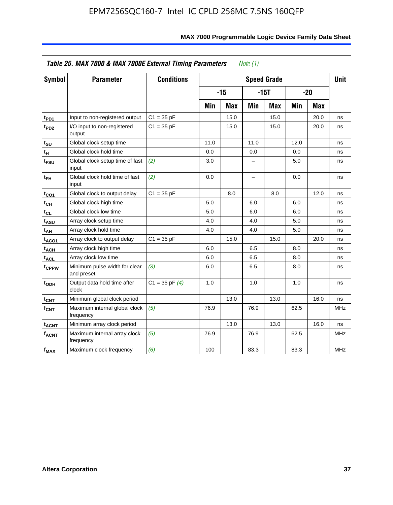| <b>Symbol</b>           | <b>Parameter</b>                            | <b>Conditions</b>  |      |            |                          | <b>Speed Grade</b> |      |            | <b>Unit</b> |
|-------------------------|---------------------------------------------|--------------------|------|------------|--------------------------|--------------------|------|------------|-------------|
|                         |                                             |                    |      | $-15$      |                          | $-15T$             |      | $-20$      |             |
|                         |                                             |                    | Min  | <b>Max</b> | Min                      | <b>Max</b>         | Min  | <b>Max</b> |             |
| t <sub>PD1</sub>        | Input to non-registered output              | $C1 = 35 pF$       |      | 15.0       |                          | 15.0               |      | 20.0       | ns          |
| t <sub>PD2</sub>        | I/O input to non-registered<br>output       | $C1 = 35 pF$       |      | 15.0       |                          | 15.0               |      | 20.0       | ns          |
| tsu                     | Global clock setup time                     |                    | 11.0 |            | 11.0                     |                    | 12.0 |            | ns          |
| $t_H$                   | Global clock hold time                      |                    | 0.0  |            | 0.0                      |                    | 0.0  |            | ns          |
| t <sub>FSU</sub>        | Global clock setup time of fast<br>input    | (2)                | 3.0  |            | -                        |                    | 5.0  |            | ns          |
| $t_{FH}$                | Global clock hold time of fast<br>input     | (2)                | 0.0  |            | $\overline{\phantom{0}}$ |                    | 0.0  |            | ns          |
| $t_{CO1}$               | Global clock to output delay                | $C1 = 35 pF$       |      | 8.0        |                          | 8.0                |      | 12.0       | ns          |
| $t_{\mathsf{CH}}$       | Global clock high time                      |                    | 5.0  |            | 6.0                      |                    | 6.0  |            | ns          |
| t <sub>CL</sub>         | Global clock low time                       |                    | 5.0  |            | 6.0                      |                    | 6.0  |            | ns          |
| t <sub>ASU</sub>        | Array clock setup time                      |                    | 4.0  |            | 4.0                      |                    | 5.0  |            | ns          |
| t <sub>АН</sub>         | Array clock hold time                       |                    | 4.0  |            | 4.0                      |                    | 5.0  |            | ns          |
| t <sub>ACO1</sub>       | Array clock to output delay                 | $C1 = 35 pF$       |      | 15.0       |                          | 15.0               |      | 20.0       | ns          |
| $t_{\sf ACH}$           | Array clock high time                       |                    | 6.0  |            | 6.5                      |                    | 8.0  |            | ns          |
| t <sub>ACL</sub>        | Array clock low time                        |                    | 6.0  |            | 6.5                      |                    | 8.0  |            | ns          |
| t <sub>CPPW</sub>       | Minimum pulse width for clear<br>and preset | (3)                | 6.0  |            | 6.5                      |                    | 8.0  |            | ns          |
| $t_{ODH}$               | Output data hold time after<br>clock        | $C1 = 35$ pF $(4)$ | 1.0  |            | 1.0                      |                    | 1.0  |            | ns          |
| $t_{\mathsf{CNT}}$      | Minimum global clock period                 |                    |      | 13.0       |                          | 13.0               |      | 16.0       | ns          |
| f <sub>CNT</sub>        | Maximum internal global clock<br>frequency  | (5)                | 76.9 |            | 76.9                     |                    | 62.5 |            | <b>MHz</b>  |
| <b>t<sub>ACNT</sub></b> | Minimum array clock period                  |                    |      | 13.0       |                          | 13.0               |      | 16.0       | ns          |
| <b>fACNT</b>            | Maximum internal array clock<br>frequency   | (5)                | 76.9 |            | 76.9                     |                    | 62.5 |            | <b>MHz</b>  |
| $f_{MAX}$               | Maximum clock frequency                     | (6)                | 100  |            | 83.3                     |                    | 83.3 |            | MHz         |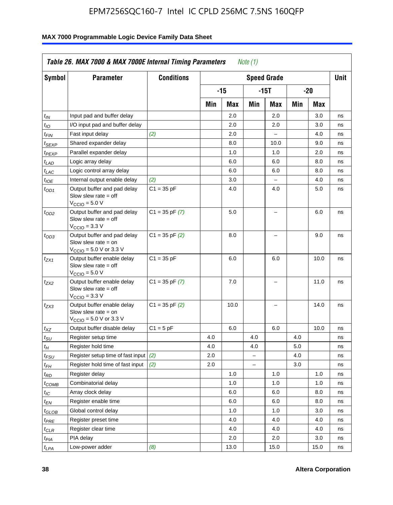| Symbol                        | <b>Parameter</b>                                                                                            | <b>Conditions</b>  |     |       |                | <b>Speed Grade</b>       |     |      | <b>Unit</b> |
|-------------------------------|-------------------------------------------------------------------------------------------------------------|--------------------|-----|-------|----------------|--------------------------|-----|------|-------------|
|                               |                                                                                                             |                    |     | $-15$ |                | $-15T$                   |     | -20  |             |
|                               |                                                                                                             |                    | Min | Max   | Min            | Max                      | Min | Max  |             |
| $t_{IN}$                      | Input pad and buffer delay                                                                                  |                    |     | 2.0   |                | 2.0                      |     | 3.0  | ns          |
| $t_{IO}$                      | I/O input pad and buffer delay                                                                              |                    |     | 2.0   |                | 2.0                      |     | 3.0  | ns          |
| $t_{\textsf{FIN}}$            | Fast input delay                                                                                            | (2)                |     | 2.0   |                | $\overline{a}$           |     | 4.0  | ns          |
| $t_{SEXP}$                    | Shared expander delay                                                                                       |                    |     | 8.0   |                | 10.0                     |     | 9.0  | ns          |
| $t_{PEXP}$                    | Parallel expander delay                                                                                     |                    |     | 1.0   |                | 1.0                      |     | 2.0  | ns          |
| $t_{LAD}$                     | Logic array delay                                                                                           |                    |     | 6.0   |                | 6.0                      |     | 8.0  | ns          |
| $t_{LAC}$                     | Logic control array delay                                                                                   |                    |     | 6.0   |                | 6.0                      |     | 8.0  | ns          |
| $t_{IOE}$                     | Internal output enable delay                                                                                | (2)                |     | 3.0   |                | $\overline{\phantom{0}}$ |     | 4.0  | ns          |
| $t_{OD1}$                     | Output buffer and pad delay<br>Slow slew rate $=$ off<br>$VCCIO = 5.0 V$                                    | $C1 = 35 pF$       |     | 4.0   |                | 4.0                      |     | 5.0  | ns          |
| $t_{OD2}$                     | Output buffer and pad delay<br>Slow slew rate $=$ off<br>$VCClO = 3.3 V$                                    | $C1 = 35$ pF $(7)$ |     | 5.0   |                | L,                       |     | 6.0  | ns          |
| $t_{OD3}$                     | Output buffer and pad delay<br>Slow slew rate $=$ on<br>$V_{\text{CCIO}} = 5.0 \text{ V or } 3.3 \text{ V}$ | $C1 = 35$ pF $(2)$ |     | 8.0   |                | $\equiv$                 |     | 9.0  | ns          |
| $t_{ZX1}$                     | Output buffer enable delay<br>Slow slew rate $=$ off<br>$VCCIO = 5.0 V$                                     | $C1 = 35 pF$       |     | 6.0   |                | 6.0                      |     | 10.0 | ns          |
| $t_{ZX2}$                     | Output buffer enable delay<br>Slow slew rate $=$ off<br>$V_{\text{CCIO}} = 3.3 \text{ V}$                   | $C1 = 35$ pF $(7)$ |     | 7.0   |                | L.                       |     | 11.0 | ns          |
| t <sub>ZX3</sub>              | Output buffer enable delay<br>Slow slew rate $=$ on<br>$V_{\text{CCIO}} = 5.0 \text{ V or } 3.3 \text{ V}$  | $C1 = 35$ pF $(2)$ |     | 10.0  |                | $\overline{\phantom{0}}$ |     | 14.0 | ns          |
| $t_{\mathsf{XZ}}$             | Output buffer disable delay                                                                                 | $C1 = 5pF$         |     | 6.0   |                | 6.0                      |     | 10.0 | ns          |
| $t_{\text{SU}}$               | Register setup time                                                                                         |                    | 4.0 |       | 4.0            |                          | 4.0 |      | ns          |
| $t_H$                         | Register hold time                                                                                          |                    | 4.0 |       | 4.0            |                          | 5.0 |      | ns          |
| $t_{\mathit{FSU}}$            | Register setup time of fast input                                                                           | (2)                | 2.0 |       | $=$            |                          | 4.0 |      | ns          |
| $t_{FH}$                      | Register hold time of fast input                                                                            | (2)                | 2.0 |       | $\overline{a}$ |                          | 3.0 |      | ns          |
| $t_{RD}$                      | Register delay                                                                                              |                    |     | 1.0   |                | 1.0                      |     | 1.0  | ns          |
| $t_{COMB}$                    | Combinatorial delay                                                                                         |                    |     | 1.0   |                | 1.0                      |     | 1.0  | ns          |
| $t_{\text{IC}}$               | Array clock delay                                                                                           |                    |     | 6.0   |                | 6.0                      |     | 8.0  | ns          |
| $t_{EN}$                      | Register enable time                                                                                        |                    |     | 6.0   |                | 6.0                      |     | 8.0  | ns          |
| $t_{\scriptstyle\text{GLOB}}$ | Global control delay                                                                                        |                    |     | 1.0   |                | 1.0                      |     | 3.0  | ns          |
| t <sub>PRE</sub>              | Register preset time                                                                                        |                    |     | 4.0   |                | 4.0                      |     | 4.0  | ns          |
| $t_{\sf CLR}$                 | Register clear time                                                                                         |                    |     | 4.0   |                | 4.0                      |     | 4.0  | ns          |
| $t_{PIA}$                     | PIA delay                                                                                                   |                    |     | 2.0   |                | 2.0                      |     | 3.0  | ns          |
| $t_{LPA}$                     | Low-power adder                                                                                             | (8)                |     | 13.0  |                | 15.0                     |     | 15.0 | ns          |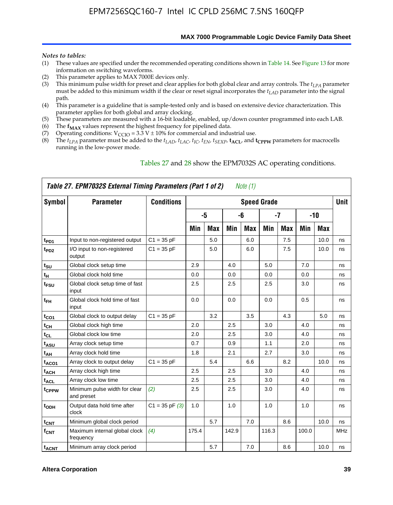**MAX 7000 Programmable Logic Device Family Data Sheet**

#### *Notes to tables:*

- (1) These values are specified under the recommended operating conditions shown in Table 14. See Figure 13 for more information on switching waveforms.
- (2) This parameter applies to MAX 7000E devices only.
- (3) This minimum pulse width for preset and clear applies for both global clear and array controls. The *tLPA* parameter must be added to this minimum width if the clear or reset signal incorporates the *tLAD* parameter into the signal path.
- (4) This parameter is a guideline that is sample-tested only and is based on extensive device characterization. This parameter applies for both global and array clocking.
- (5) These parameters are measured with a 16-bit loadable, enabled, up/down counter programmed into each LAB.
- (6) The  $f_{MAX}$  values represent the highest frequency for pipelined data.
- (7) Operating conditions:  $V_{\text{CCIO}} = 3.3 \text{ V} \pm 10\%$  for commercial and industrial use.
- (8) The  $t_{LPA}$  parameter must be added to the  $t_{LAD}$ ,  $t_{LAC}$ ,  $t_{IC}$ ,  $t_{EN}$ ,  $t_{SEXP}$ ,  $t_{ACL}$ , and  $t_{CPPW}$  parameters for macrocells running in the low-power mode.

|                                                                                   | Table 27. EPM7032S External Timing Parameters (Part 1 of 2) |                    |       |            |       | Note (1)   |       |            |       |       |             |
|-----------------------------------------------------------------------------------|-------------------------------------------------------------|--------------------|-------|------------|-------|------------|-------|------------|-------|-------|-------------|
| <b>Conditions</b><br>Symbol<br><b>Speed Grade</b><br><b>Parameter</b><br>-5<br>-6 |                                                             |                    |       |            |       |            |       |            |       |       | <b>Unit</b> |
|                                                                                   |                                                             |                    |       |            |       |            |       | -7         |       | $-10$ |             |
|                                                                                   |                                                             |                    | Min   | <b>Max</b> | Min   | <b>Max</b> | Min   | <b>Max</b> | Min   | Max   |             |
| t <sub>PD1</sub>                                                                  | Input to non-registered output                              | $C1 = 35 pF$       |       | 5.0        |       | 6.0        |       | 7.5        |       | 10.0  | ns          |
| $t_{PD2}$                                                                         | I/O input to non-registered<br>output                       | $C1 = 35 pF$       |       | 5.0        |       | 6.0        |       | 7.5        |       | 10.0  | ns          |
| tsu                                                                               | Global clock setup time                                     |                    | 2.9   |            | 4.0   |            | 5.0   |            | 7.0   |       | ns          |
| $t_H$                                                                             | Global clock hold time                                      |                    | 0.0   |            | 0.0   |            | 0.0   |            | 0.0   |       | ns          |
| t <sub>FSU</sub>                                                                  | Global clock setup time of fast<br>input                    |                    | 2.5   |            | 2.5   |            | 2.5   |            | 3.0   |       | ns          |
| $t_{FH}$                                                                          | Global clock hold time of fast<br>input                     |                    | 0.0   |            | 0.0   |            | 0.0   |            | 0.5   |       | ns          |
| t <sub>CO1</sub>                                                                  | Global clock to output delay                                | $C1 = 35 pF$       |       | 3.2        |       | 3.5        |       | 4.3        |       | 5.0   | ns          |
| $t_{CH}$                                                                          | Global clock high time                                      |                    | 2.0   |            | 2.5   |            | 3.0   |            | 4.0   |       | ns          |
| $t_{CL}$                                                                          | Global clock low time                                       |                    | 2.0   |            | 2.5   |            | 3.0   |            | 4.0   |       | ns          |
| t <sub>ASU</sub>                                                                  | Array clock setup time                                      |                    | 0.7   |            | 0.9   |            | 1.1   |            | 2.0   |       | ns          |
| t <sub>АН</sub>                                                                   | Array clock hold time                                       |                    | 1.8   |            | 2.1   |            | 2.7   |            | 3.0   |       | ns          |
| t <sub>ACO1</sub>                                                                 | Array clock to output delay                                 | $C1 = 35 pF$       |       | 5.4        |       | 6.6        |       | 8.2        |       | 10.0  | ns          |
| t <sub>ACH</sub>                                                                  | Array clock high time                                       |                    | 2.5   |            | 2.5   |            | 3.0   |            | 4.0   |       | ns          |
| $t_{\sf ACL}$                                                                     | Array clock low time                                        |                    | 2.5   |            | 2.5   |            | 3.0   |            | 4.0   |       | ns          |
| tcppw                                                                             | Minimum pulse width for clear<br>and preset                 | (2)                | 2.5   |            | 2.5   |            | 3.0   |            | 4.0   |       | ns          |
| $t_{ODH}$                                                                         | Output data hold time after<br>clock                        | $C1 = 35$ pF $(3)$ | 1.0   |            | 1.0   |            | 1.0   |            | 1.0   |       | ns          |
| $t_{\mathsf{CNT}}$                                                                | Minimum global clock period                                 |                    |       | 5.7        |       | 7.0        |       | 8.6        |       | 10.0  | ns          |
| $f_{\mathsf{CNT}}$                                                                | Maximum internal global clock<br>frequency                  | (4)                | 175.4 |            | 142.9 |            | 116.3 |            | 100.0 |       | MHz         |
| t <sub>ACNT</sub>                                                                 | Minimum array clock period                                  |                    |       | 5.7        |       | 7.0        |       | 8.6        |       | 10.0  | ns          |

### Tables 27 and 28 show the EPM7032S AC operating conditions.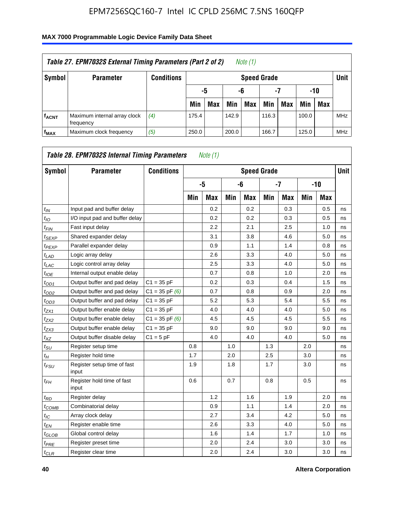| Table 27. EPM7032S External Timing Parameters (Part 2 of 2)<br>Note (1) |                                           |                   |       |                       |       |                    |       |     |       |            |            |  |  |
|-------------------------------------------------------------------------|-------------------------------------------|-------------------|-------|-----------------------|-------|--------------------|-------|-----|-------|------------|------------|--|--|
| Symbol                                                                  | <b>Parameter</b>                          | <b>Conditions</b> |       |                       |       | <b>Speed Grade</b> |       |     |       |            | Unit       |  |  |
|                                                                         |                                           |                   |       | -7<br>-10<br>-5<br>-6 |       |                    |       |     |       |            |            |  |  |
|                                                                         |                                           |                   | Min   | <b>Max</b>            | Min   | Max                | Min   | Max | Min   | <b>Max</b> |            |  |  |
| <b>f<sub>ACNT</sub></b>                                                 | Maximum internal array clock<br>frequency | (4)               | 175.4 |                       | 142.9 |                    | 116.3 |     | 100.0 |            | <b>MHz</b> |  |  |
| f <sub>MAX</sub>                                                        | Maximum clock frequency                   | (5)               | 250.0 |                       | 200.0 |                    | 166.7 |     | 125.0 |            | <b>MHz</b> |  |  |

| Symbol                        | <b>Parameter</b>                     | <b>Conditions</b>  |     |            |     | <b>Speed Grade</b> |     |            |     |            | <b>Unit</b> |
|-------------------------------|--------------------------------------|--------------------|-----|------------|-----|--------------------|-----|------------|-----|------------|-------------|
|                               |                                      |                    |     | -5         |     | -6                 |     | $-7$       |     | $-10$      |             |
|                               |                                      |                    | Min | <b>Max</b> | Min | <b>Max</b>         | Min | <b>Max</b> | Min | <b>Max</b> |             |
| $t_{IN}$                      | Input pad and buffer delay           |                    |     | 0.2        |     | 0.2                |     | 0.3        |     | 0.5        | ns          |
| $t_{IO}$                      | I/O input pad and buffer delay       |                    |     | 0.2        |     | 0.2                |     | 0.3        |     | 0.5        | ns          |
| $t_{\textit{FIN}}$            | Fast input delay                     |                    |     | 2.2        |     | 2.1                |     | 2.5        |     | 1.0        | ns          |
| $t_{SEXP}$                    | Shared expander delay                |                    |     | 3.1        |     | 3.8                |     | 4.6        |     | 5.0        | ns          |
| $t_{PEXP}$                    | Parallel expander delay              |                    |     | 0.9        |     | 1.1                |     | 1.4        |     | 0.8        | ns          |
| $t_{LAD}$                     | Logic array delay                    |                    |     | 2.6        |     | 3.3                |     | 4.0        |     | 5.0        | ns          |
| $t_{LAC}$                     | Logic control array delay            |                    |     | 2.5        |     | 3.3                |     | 4.0        |     | 5.0        | ns          |
| $t_{IOE}$                     | Internal output enable delay         |                    |     | 0.7        |     | 0.8                |     | 1.0        |     | 2.0        | ns          |
| $t_{OD1}$                     | Output buffer and pad delay          | $C1 = 35 pF$       |     | 0.2        |     | 0.3                |     | 0.4        |     | 1.5        | ns          |
| $t_{OD2}$                     | Output buffer and pad delay          | $C1 = 35$ pF $(6)$ |     | 0.7        |     | 0.8                |     | 0.9        |     | 2.0        | ns          |
| $t_{OD3}$                     | Output buffer and pad delay          | $C1 = 35 pF$       |     | 5.2        |     | 5.3                |     | 5.4        |     | 5.5        | ns          |
| $t_{ZX1}$                     | Output buffer enable delay           | $C1 = 35 pF$       |     | 4.0        |     | 4.0                |     | 4.0        |     | 5.0        | ns          |
| t <sub>ZX2</sub>              | Output buffer enable delay           | $C1 = 35$ pF $(6)$ |     | 4.5        |     | 4.5                |     | 4.5        |     | 5.5        | ns          |
| $t_{ZX3}$                     | Output buffer enable delay           | $C1 = 35 pF$       |     | 9.0        |     | 9.0                |     | 9.0        |     | 9.0        | ns          |
| $t_{XZ}$                      | Output buffer disable delay          | $C1 = 5pF$         |     | 4.0        |     | 4.0                |     | 4.0        |     | 5.0        | ns          |
| $t_{\rm SU}$                  | Register setup time                  |                    | 0.8 |            | 1.0 |                    | 1.3 |            | 2.0 |            | ns          |
| $t_{H}$                       | Register hold time                   |                    | 1.7 |            | 2.0 |                    | 2.5 |            | 3.0 |            | ns          |
| $t_{\mathit{FSU}}$            | Register setup time of fast<br>input |                    | 1.9 |            | 1.8 |                    | 1.7 |            | 3.0 |            | ns          |
| $t_{FH}$                      | Register hold time of fast<br>input  |                    | 0.6 |            | 0.7 |                    | 0.8 |            | 0.5 |            | ns          |
| $t_{RD}$                      | Register delay                       |                    |     | 1.2        |     | 1.6                |     | 1.9        |     | 2.0        | ns          |
| $t_{COMB}$                    | Combinatorial delay                  |                    |     | 0.9        |     | 1.1                |     | 1.4        |     | 2.0        | ns          |
| $t_{IC}$                      | Array clock delay                    |                    |     | 2.7        |     | 3.4                |     | 4.2        |     | 5.0        | ns          |
| $t_{EN}$                      | Register enable time                 |                    |     | 2.6        |     | 3.3                |     | 4.0        |     | 5.0        | ns          |
| $t_{\scriptstyle\text{GLOB}}$ | Global control delay                 |                    |     | 1.6        |     | 1.4                |     | 1.7        |     | 1.0        | ns          |
| $t_{PRE}$                     | Register preset time                 |                    |     | 2.0        |     | 2.4                |     | 3.0        |     | 3.0        | ns          |
| $t_{CLR}$                     | Register clear time                  |                    |     | 2.0        |     | 2.4                |     | 3.0        |     | 3.0        | ns          |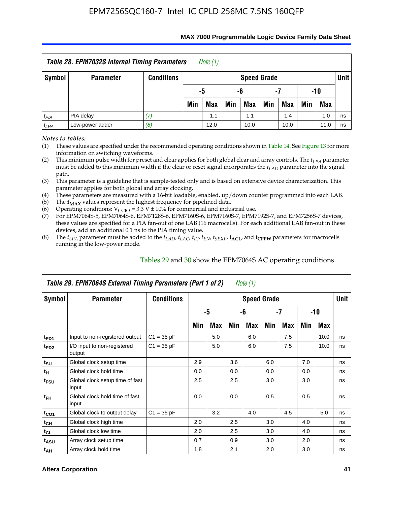| <b>Table 28. EPM7032S Internal Timing Parameters</b><br>Note $(1)$ |                  |                   |     |                       |     |                    |     |            |     |            |      |  |
|--------------------------------------------------------------------|------------------|-------------------|-----|-----------------------|-----|--------------------|-----|------------|-----|------------|------|--|
| Symbol                                                             | <b>Parameter</b> | <b>Conditions</b> |     |                       |     | <b>Speed Grade</b> |     |            |     |            | Unit |  |
|                                                                    |                  |                   |     | -5<br>-10<br>-6<br>-7 |     |                    |     |            |     |            |      |  |
|                                                                    |                  |                   | Min | Max                   | Min | <b>Max</b>         | Min | <b>Max</b> | Min | <b>Max</b> |      |  |
| $t_{PIA}$                                                          | PIA delay        | (7)               |     | 1.1                   |     | 1.1                |     | 1.4        |     | 1.0        | ns   |  |
| $t_{LPA}$                                                          | Low-power adder  | (8)               |     | 12.0                  |     | 10.0               |     | 10.0       |     | 11.0       | ns   |  |

#### **MAX 7000 Programmable Logic Device Family Data Sheet**

*Notes to tables:*

(1) These values are specified under the recommended operating conditions shown in Table 14. See Figure 13 for more information on switching waveforms.

(2) This minimum pulse width for preset and clear applies for both global clear and array controls. The  $t_{LPA}$  parameter must be added to this minimum width if the clear or reset signal incorporates the *tLAD* parameter into the signal path.

(3) This parameter is a guideline that is sample-tested only and is based on extensive device characterization. This parameter applies for both global and array clocking.

(4) These parameters are measured with a 16-bit loadable, enabled, up/down counter programmed into each LAB.

(5) The  $f_{MAX}$  values represent the highest frequency for pipelined data.

(6) Operating conditions:  $V_{\text{CCIO}} = 3.3 \text{ V} \pm 10\%$  for commercial and industrial use.

(7) For EPM7064S-5, EPM7064S-6, EPM7128S-6, EPM7160S-6, EPM7160S-7, EPM7192S-7, and EPM7256S-7 devices, these values are specified for a PIA fan-out of one LAB (16 macrocells). For each additional LAB fan-out in these devices, add an additional 0.1 ns to the PIA timing value.

(8) The  $t_{LPA}$  parameter must be added to the  $t_{LAD}$ ,  $t_{LAC}$ ,  $t_{IC}$ ,  $t_{EN}$ ,  $t_{SEXP}$ ,  $t_{ACL}$ , and  $t_{CPPW}$  parameters for macrocells running in the low-power mode.

| Table 29. EPM7064S External Timing Parameters (Part 1 of 2)<br>Note (1) |                                          |                   |     |     |     |                    |     |      |     |      |      |  |
|-------------------------------------------------------------------------|------------------------------------------|-------------------|-----|-----|-----|--------------------|-----|------|-----|------|------|--|
| Symbol                                                                  | <b>Parameter</b>                         | <b>Conditions</b> |     |     |     | <b>Speed Grade</b> |     |      |     |      | Unit |  |
|                                                                         |                                          |                   |     | -5  |     | -6                 |     | $-7$ |     | -10  |      |  |
|                                                                         |                                          |                   | Min | Max | Min | Max                | Min | Max  | Min | Max  |      |  |
| t <sub>PD1</sub>                                                        | Input to non-registered output           | $C1 = 35 pF$      |     | 5.0 |     | 6.0                |     | 7.5  |     | 10.0 | ns   |  |
| t <sub>PD2</sub>                                                        | I/O input to non-registered<br>output    | $C1 = 35 pF$      |     | 5.0 |     | 6.0                |     | 7.5  |     | 10.0 | ns   |  |
| $t_{\text{SU}}$                                                         | Global clock setup time                  |                   | 2.9 |     | 3.6 |                    | 6.0 |      | 7.0 |      | ns   |  |
| $t_H$                                                                   | Global clock hold time                   |                   | 0.0 |     | 0.0 |                    | 0.0 |      | 0.0 |      | ns   |  |
| t <sub>FSU</sub>                                                        | Global clock setup time of fast<br>input |                   | 2.5 |     | 2.5 |                    | 3.0 |      | 3.0 |      | ns   |  |
| $t_{FH}$                                                                | Global clock hold time of fast<br>input  |                   | 0.0 |     | 0.0 |                    | 0.5 |      | 0.5 |      | ns   |  |
| $t_{CO1}$                                                               | Global clock to output delay             | $C1 = 35 pF$      |     | 3.2 |     | 4.0                |     | 4.5  |     | 5.0  | ns   |  |
| $t_{CH}$                                                                | Global clock high time                   |                   | 2.0 |     | 2.5 |                    | 3.0 |      | 4.0 |      | ns   |  |
| $t_{CL}$                                                                | Global clock low time                    |                   | 2.0 |     | 2.5 |                    | 3.0 |      | 4.0 |      | ns   |  |
| t <sub>ASU</sub>                                                        | Array clock setup time                   |                   | 0.7 |     | 0.9 |                    | 3.0 |      | 2.0 |      | ns   |  |
| $t_{AH}$                                                                | Array clock hold time                    |                   | 1.8 |     | 2.1 |                    | 2.0 |      | 3.0 |      | ns   |  |

Tables 29 and 30 show the EPM7064S AC operating conditions.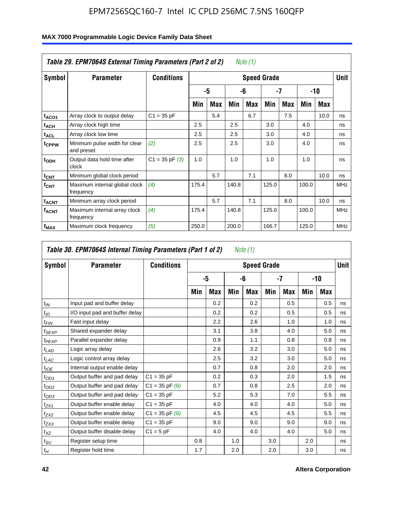|                         | Table 29. EPM7064S External Timing Parameters (Part 2 of 2) |                    |       |     |       | Note (1) |                    |     |       |      |             |
|-------------------------|-------------------------------------------------------------|--------------------|-------|-----|-------|----------|--------------------|-----|-------|------|-------------|
| Symbol                  | <b>Parameter</b>                                            | <b>Conditions</b>  |       |     |       |          | <b>Speed Grade</b> |     |       |      | <b>Unit</b> |
|                         |                                                             |                    |       | -5  |       | -6       |                    | -7  |       | -10  |             |
|                         |                                                             |                    | Min   | Max | Min   | Max      | Min                | Max | Min   | Max  |             |
| t <sub>ACO1</sub>       | Array clock to output delay                                 | $C1 = 35 pF$       |       | 5.4 |       | 6.7      |                    | 7.5 |       | 10.0 | ns          |
| $t_{ACH}$               | Array clock high time                                       |                    | 2.5   |     | 2.5   |          | 3.0                |     | 4.0   |      | ns          |
| <sup>t</sup> ACL        | Array clock low time                                        |                    | 2.5   |     | 2.5   |          | 3.0                |     | 4.0   |      | ns          |
| t <sub>CPPW</sub>       | Minimum pulse width for clear<br>and preset                 | (2)                | 2.5   |     | 2.5   |          | 3.0                |     | 4.0   |      | ns          |
| t <sub>ODH</sub>        | Output data hold time after<br>clock                        | $C1 = 35$ pF $(3)$ | 1.0   |     | 1.0   |          | 1.0                |     | 1.0   |      | ns          |
| $t_{\text{CNT}}$        | Minimum global clock period                                 |                    |       | 5.7 |       | 7.1      |                    | 8.0 |       | 10.0 | ns          |
| $f_{\text{CNT}}$        | Maximum internal global clock<br>frequency                  | (4)                | 175.4 |     | 140.8 |          | 125.0              |     | 100.0 |      | <b>MHz</b>  |
| <b>t<sub>ACNT</sub></b> | Minimum array clock period                                  |                    |       | 5.7 |       | 7.1      |                    | 8.0 |       | 10.0 | ns          |
| <sup>f</sup> acnt       | Maximum internal array clock<br>frequency                   | (4)                | 175.4 |     | 140.8 |          | 125.0              |     | 100.0 |      | <b>MHz</b>  |
| f <sub>MAX</sub>        | Maximum clock frequency                                     | (5)                | 250.0 |     | 200.0 |          | 166.7              |     | 125.0 |      | <b>MHz</b>  |

|                   | Table 30. EPM7064S Internal Timing Parameters (Part 1 of 2) |                    |     |            |     | Note (1)           |     |               |     |            |             |
|-------------------|-------------------------------------------------------------|--------------------|-----|------------|-----|--------------------|-----|---------------|-----|------------|-------------|
| Symbol            | <b>Parameter</b>                                            | <b>Conditions</b>  |     |            |     | <b>Speed Grade</b> |     |               |     |            | <b>Unit</b> |
|                   |                                                             |                    |     | -5         |     | -6                 |     | -7            |     | -10        |             |
|                   |                                                             |                    | Min | <b>Max</b> | Min | Max                | Min | <b>Max</b>    | Min | <b>Max</b> |             |
| $t_{IN}$          | Input pad and buffer delay                                  |                    |     | 0.2        |     | 0.2                |     | $0.5^{\circ}$ |     | 0.5        | ns          |
| $t_{IO}$          | I/O input pad and buffer delay                              |                    |     | 0.2        |     | 0.2                |     | 0.5           |     | 0.5        | ns          |
| $t_{FIN}$         | Fast input delay                                            |                    |     | 2.2        |     | 2.6                |     | 1.0           |     | 1.0        | ns          |
| t <sub>SEXP</sub> | Shared expander delay                                       |                    |     | 3.1        |     | 3.8                |     | 4.0           |     | 5.0        | ns          |
| $t_{PEXP}$        | Parallel expander delay                                     |                    |     | 0.9        |     | 1.1                |     | 0.8           |     | 0.8        | ns          |
| $t_{LAD}$         | Logic array delay                                           |                    |     | 2.6        |     | 3.2                |     | 3.0           |     | 5.0        | ns          |
| $t_{LAC}$         | Logic control array delay                                   |                    |     | 2.5        |     | 3.2                |     | 3.0           |     | 5.0        | ns          |
| $t_{IOE}$         | Internal output enable delay                                |                    |     | 0.7        |     | 0.8                |     | 2.0           |     | 2.0        | ns          |
| $t_{OD1}$         | Output buffer and pad delay                                 | $C1 = 35 pF$       |     | 0.2        |     | 0.3                |     | 2.0           |     | 1.5        | ns          |
| $t_{OD2}$         | Output buffer and pad delay                                 | $C1 = 35$ pF $(6)$ |     | 0.7        |     | 0.8                |     | 2.5           |     | 2.0        | ns          |
| $t_{OD3}$         | Output buffer and pad delay                                 | $C1 = 35 pF$       |     | 5.2        |     | 5.3                |     | 7.0           |     | 5.5        | ns          |
| $t_{ZX1}$         | Output buffer enable delay                                  | $C1 = 35 pF$       |     | 4.0        |     | 4.0                |     | 4.0           |     | 5.0        | ns          |
| $t_{ZX2}$         | Output buffer enable delay                                  | $C1 = 35$ pF $(6)$ |     | 4.5        |     | 4.5                |     | 4.5           |     | 5.5        | ns          |
| $t_{ZX3}$         | Output buffer enable delay                                  | $C1 = 35 pF$       |     | 9.0        |     | 9.0                |     | 9.0           |     | 9.0        | ns          |
| $t_{XZ}$          | Output buffer disable delay                                 | $C1 = 5pF$         |     | 4.0        |     | 4.0                |     | 4.0           |     | 5.0        | ns          |
| $t_{SU}$          | Register setup time                                         |                    | 0.8 |            | 1.0 |                    | 3.0 |               | 2.0 |            | ns          |
| $t_H$             | Register hold time                                          |                    | 1.7 |            | 2.0 |                    | 2.0 |               | 3.0 |            | ns          |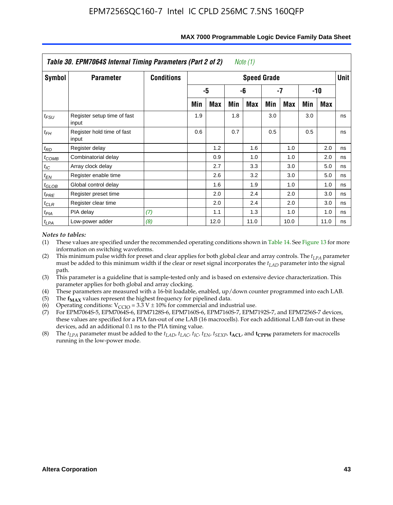|            | Table 30. EPM7064S Internal Timing Parameters (Part 2 of 2) |                   | Note (1) |            |     |                    |     |            |     |      |             |
|------------|-------------------------------------------------------------|-------------------|----------|------------|-----|--------------------|-----|------------|-----|------|-------------|
| Symbol     | <b>Parameter</b>                                            | <b>Conditions</b> |          |            |     | <b>Speed Grade</b> |     |            |     |      | <b>Unit</b> |
|            |                                                             |                   |          | -5         |     | -6                 |     | -7         |     | -10  |             |
|            |                                                             |                   | Min      | <b>Max</b> | Min | Max                | Min | <b>Max</b> | Min | Max  |             |
| $t_{FSU}$  | Register setup time of fast<br>input                        |                   | 1.9      |            | 1.8 |                    | 3.0 |            | 3.0 |      | ns          |
| $t_{FH}$   | Register hold time of fast<br>input                         |                   | 0.6      |            | 0.7 |                    | 0.5 |            | 0.5 |      | ns          |
| $t_{RD}$   | Register delay                                              |                   |          | 1.2        |     | 1.6                |     | 1.0        |     | 2.0  | ns          |
| $t_{COMB}$ | Combinatorial delay                                         |                   |          | 0.9        |     | 1.0                |     | 1.0        |     | 2.0  | ns          |
| $t_{IC}$   | Array clock delay                                           |                   |          | 2.7        |     | 3.3                |     | 3.0        |     | 5.0  | ns          |
| $t_{EN}$   | Register enable time                                        |                   |          | 2.6        |     | 3.2                |     | 3.0        |     | 5.0  | ns          |
| $t_{GLOB}$ | Global control delay                                        |                   |          | 1.6        |     | 1.9                |     | 1.0        |     | 1.0  | ns          |
| $t_{PRE}$  | Register preset time                                        |                   |          | 2.0        |     | 2.4                |     | 2.0        |     | 3.0  | ns          |
| $t_{CLR}$  | Register clear time                                         |                   |          | 2.0        |     | 2.4                |     | 2.0        |     | 3.0  | ns          |
| $t_{PIA}$  | PIA delay                                                   | (7)               |          | 1.1        |     | 1.3                |     | 1.0        |     | 1.0  | ns          |
| $t_{LPA}$  | Low-power adder                                             | (8)               |          | 12.0       |     | 11.0               |     | 10.0       |     | 11.0 | ns          |

#### **MAX 7000 Programmable Logic Device Family Data Sheet**

#### *Notes to tables:*

- (1) These values are specified under the recommended operating conditions shown in Table 14. See Figure 13 for more information on switching waveforms.
- (2) This minimum pulse width for preset and clear applies for both global clear and array controls. The  $t_{LPA}$  parameter must be added to this minimum width if the clear or reset signal incorporates the *t<sub>LAD</sub>* parameter into the signal path.
- (3) This parameter is a guideline that is sample-tested only and is based on extensive device characterization. This parameter applies for both global and array clocking.
- (4) These parameters are measured with a 16-bit loadable, enabled, up/down counter programmed into each LAB.
- (5) The  $f_{MAX}$  values represent the highest frequency for pipelined data.
- (6) Operating conditions:  $V_{\text{CCIO}} = 3.3 \text{ V} \pm 10\%$  for commercial and industrial use.
- (7) For EPM7064S-5, EPM7064S-6, EPM7128S-6, EPM7160S-6, EPM7160S-7, EPM7192S-7, and EPM7256S-7 devices, these values are specified for a PIA fan-out of one LAB (16 macrocells). For each additional LAB fan-out in these devices, add an additional 0.1 ns to the PIA timing value.
- (8) The  $t_{LPA}$  parameter must be added to the  $t_{LAD}$ ,  $t_{LAC}$ ,  $t_{IC}$ ,  $t_{EN}$ ,  $t_{SEXP}$ ,  $t_{ACL}$ , and  $t_{CPPW}$  parameters for macrocells running in the low-power mode.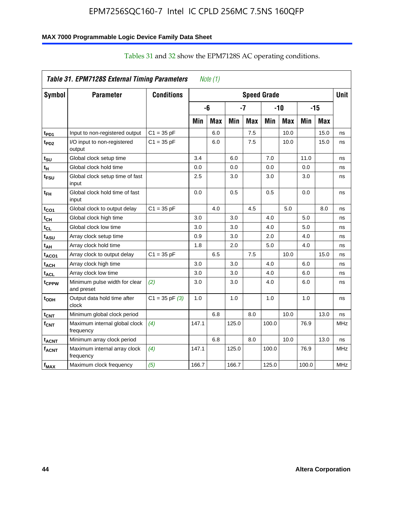### **MAX 7000 Programmable Logic Device Family Data Sheet**

|                         | Table 31. EPM7128S External Timing Parameters |                    |       | Note (1)   |       |            |                    |       |       |       |             |
|-------------------------|-----------------------------------------------|--------------------|-------|------------|-------|------------|--------------------|-------|-------|-------|-------------|
| Symbol                  | <b>Parameter</b>                              | <b>Conditions</b>  |       |            |       |            | <b>Speed Grade</b> |       |       |       | <b>Unit</b> |
|                         |                                               |                    |       | -6         |       | -7         |                    | $-10$ |       | $-15$ |             |
|                         |                                               |                    | Min   | <b>Max</b> | Min   | <b>Max</b> | Min                | Max   | Min   | Max   |             |
| t <sub>PD1</sub>        | Input to non-registered output                | $C1 = 35 pF$       |       | 6.0        |       | 7.5        |                    | 10.0  |       | 15.0  | ns          |
| $t_{PD2}$               | I/O input to non-registered<br>output         | $C1 = 35 pF$       |       | 6.0        |       | 7.5        |                    | 10.0  |       | 15.0  | ns          |
| t <sub>SU</sub>         | Global clock setup time                       |                    | 3.4   |            | 6.0   |            | 7.0                |       | 11.0  |       | ns          |
| t <sub>H</sub>          | Global clock hold time                        |                    | 0.0   |            | 0.0   |            | 0.0                |       | 0.0   |       | ns          |
| t <sub>FSU</sub>        | Global clock setup time of fast<br>input      |                    | 2.5   |            | 3.0   |            | 3.0                |       | 3.0   |       | ns          |
| t <sub>ЕН</sub>         | Global clock hold time of fast<br>input       |                    | 0.0   |            | 0.5   |            | 0.5                |       | 0.0   |       | ns          |
| t <sub>CO1</sub>        | Global clock to output delay                  | $C1 = 35 pF$       |       | 4.0        |       | 4.5        |                    | 5.0   |       | 8.0   | ns          |
| $t_{\mathsf{CH}}$       | Global clock high time                        |                    | 3.0   |            | 3.0   |            | 4.0                |       | 5.0   |       | ns          |
| $t_{CL}$                | Global clock low time                         |                    | 3.0   |            | 3.0   |            | 4.0                |       | 5.0   |       | ns          |
| $t_{ASU}$               | Array clock setup time                        |                    | 0.9   |            | 3.0   |            | 2.0                |       | 4.0   |       | ns          |
| t <sub>АН</sub>         | Array clock hold time                         |                    | 1.8   |            | 2.0   |            | 5.0                |       | 4.0   |       | ns          |
| t <sub>ACO1</sub>       | Array clock to output delay                   | $C1 = 35 pF$       |       | 6.5        |       | 7.5        |                    | 10.0  |       | 15.0  | ns          |
| t <sub>АСН</sub>        | Array clock high time                         |                    | 3.0   |            | 3.0   |            | 4.0                |       | 6.0   |       | ns          |
| $t_{\sf ACL}$           | Array clock low time                          |                    | 3.0   |            | 3.0   |            | 4.0                |       | 6.0   |       | ns          |
| tcppw                   | Minimum pulse width for clear<br>and preset   | (2)                | 3.0   |            | 3.0   |            | 4.0                |       | 6.0   |       | ns          |
| t <sub>ODH</sub>        | Output data hold time after<br>clock          | $C1 = 35$ pF $(3)$ | 1.0   |            | 1.0   |            | 1.0                |       | 1.0   |       | ns          |
| $t_{\mathsf{CNT}}$      | Minimum global clock period                   |                    |       | 6.8        |       | 8.0        |                    | 10.0  |       | 13.0  | ns          |
| $f_{\text{CNT}}$        | Maximum internal global clock<br>frequency    | (4)                | 147.1 |            | 125.0 |            | 100.0              |       | 76.9  |       | MHz         |
| t <sub>ACNT</sub>       | Minimum array clock period                    |                    |       | 6.8        |       | 8.0        |                    | 10.0  |       | 13.0  | ns          |
| <b>f<sub>ACNT</sub></b> | Maximum internal array clock<br>frequency     | (4)                | 147.1 |            | 125.0 |            | 100.0              |       | 76.9  |       | <b>MHz</b>  |
| f <sub>MAX</sub>        | Maximum clock frequency                       | (5)                | 166.7 |            | 166.7 |            | 125.0              |       | 100.0 |       | <b>MHz</b>  |

# Tables 31 and 32 show the EPM7128S AC operating conditions.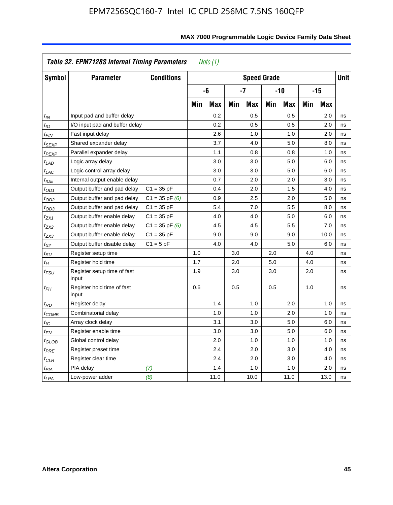| Symbol              | <b>Parameter</b>                     | <b>Conditions</b>  |     |            |     | <b>Speed Grade</b> |     |            |     |            | <b>Unit</b> |
|---------------------|--------------------------------------|--------------------|-----|------------|-----|--------------------|-----|------------|-----|------------|-------------|
|                     |                                      |                    |     | -6         |     | $-7$               |     | $-10$      |     | $-15$      |             |
|                     |                                      |                    | Min | <b>Max</b> | Min | <b>Max</b>         | Min | <b>Max</b> | Min | <b>Max</b> |             |
| $t_{IN}$            | Input pad and buffer delay           |                    |     | 0.2        |     | 0.5                |     | 0.5        |     | 2.0        | ns          |
| t <sub>IΟ</sub>     | I/O input pad and buffer delay       |                    |     | 0.2        |     | 0.5                |     | 0.5        |     | 2.0        | ns          |
| $t_{FIN}$           | Fast input delay                     |                    |     | 2.6        |     | 1.0                |     | 1.0        |     | 2.0        | ns          |
| $t_{SEXP}$          | Shared expander delay                |                    |     | 3.7        |     | 4.0                |     | 5.0        |     | 8.0        | ns          |
| t <sub>PEXP</sub>   | Parallel expander delay              |                    |     | 1.1        |     | 0.8                |     | 0.8        |     | 1.0        | ns          |
| $t_{LAD}$           | Logic array delay                    |                    |     | 3.0        |     | 3.0                |     | 5.0        |     | 6.0        | ns          |
| $t_{LAC}$           | Logic control array delay            |                    |     | 3.0        |     | 3.0                |     | 5.0        |     | 6.0        | ns          |
| $t_{IOE}$           | Internal output enable delay         |                    |     | 0.7        |     | 2.0                |     | 2.0        |     | 3.0        | ns          |
| $t_{OD1}$           | Output buffer and pad delay          | $C1 = 35 pF$       |     | 0.4        |     | 2.0                |     | 1.5        |     | 4.0        | ns          |
| $t_{OD2}$           | Output buffer and pad delay          | $C1 = 35$ pF $(6)$ |     | 0.9        |     | 2.5                |     | 2.0        |     | 5.0        | ns          |
| $t_{OD3}$           | Output buffer and pad delay          | $C1 = 35 pF$       |     | 5.4        |     | 7.0                |     | 5.5        |     | 8.0        | ns          |
| t <sub>ZX1</sub>    | Output buffer enable delay           | $C1 = 35 pF$       |     | 4.0        |     | 4.0                |     | 5.0        |     | 6.0        | ns          |
| $t_{ZX2}$           | Output buffer enable delay           | $C1 = 35$ pF $(6)$ |     | 4.5        |     | 4.5                |     | 5.5        |     | 7.0        | ns          |
| tzx3                | Output buffer enable delay           | $C1 = 35 pF$       |     | 9.0        |     | 9.0                |     | 9.0        |     | 10.0       | ns          |
| $t_{\mathsf{XZ}}$   | Output buffer disable delay          | $C1 = 5pF$         |     | 4.0        |     | 4.0                |     | 5.0        |     | 6.0        | ns          |
| $t_{\text{SU}}$     | Register setup time                  |                    | 1.0 |            | 3.0 |                    | 2.0 |            | 4.0 |            | ns          |
| $t_H$               | Register hold time                   |                    | 1.7 |            | 2.0 |                    | 5.0 |            | 4.0 |            | ns          |
| $t_{FSU}$           | Register setup time of fast<br>input |                    | 1.9 |            | 3.0 |                    | 3.0 |            | 2.0 |            | ns          |
| $t_{FH}$            | Register hold time of fast<br>input  |                    | 0.6 |            | 0.5 |                    | 0.5 |            | 1.0 |            | ns          |
| $t_{RD}$            | Register delay                       |                    |     | 1.4        |     | 1.0                |     | 2.0        |     | 1.0        | ns          |
| $t_{\mathsf{COMB}}$ | Combinatorial delay                  |                    |     | 1.0        |     | 1.0                |     | 2.0        |     | 1.0        | ns          |
| $t_{IC}$            | Array clock delay                    |                    |     | 3.1        |     | 3.0                |     | 5.0        |     | 6.0        | ns          |
| t <sub>EN</sub>     | Register enable time                 |                    |     | 3.0        |     | 3.0                |     | 5.0        |     | 6.0        | ns          |
| <sup>t</sup> GLOB   | Global control delay                 |                    |     | 2.0        |     | 1.0                |     | 1.0        |     | 1.0        | ns          |
| $t_{PRE}$           | Register preset time                 |                    |     | 2.4        |     | 2.0                |     | 3.0        |     | 4.0        | ns          |
| $t_{CLR}$           | Register clear time                  |                    |     | 2.4        |     | 2.0                |     | 3.0        |     | 4.0        | ns          |
| t <sub>PIA</sub>    | PIA delay                            | (7)                |     | 1.4        |     | 1.0                |     | 1.0        |     | 2.0        | ns          |
| $t_{LPA}$           | Low-power adder                      | (8)                |     | 11.0       |     | 10.0               |     | 11.0       |     | 13.0       | ns          |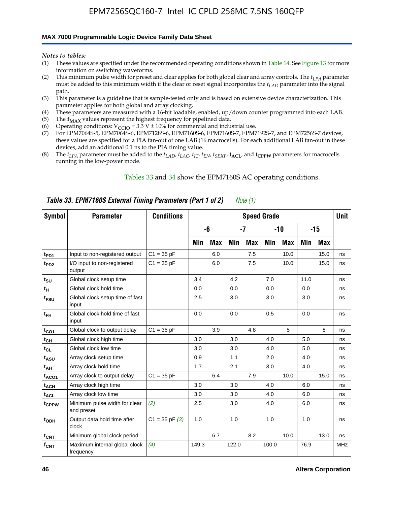#### **MAX 7000 Programmable Logic Device Family Data Sheet**

*Notes to tables:*

- (1) These values are specified under the recommended operating conditions shown in Table 14. See Figure 13 for more information on switching waveforms.
- (2) This minimum pulse width for preset and clear applies for both global clear and array controls. The  $t_{LPA}$  parameter must be added to this minimum width if the clear or reset signal incorporates the *tLAD* parameter into the signal path.
- (3) This parameter is a guideline that is sample-tested only and is based on extensive device characterization. This parameter applies for both global and array clocking.
- (4) These parameters are measured with a 16-bit loadable, enabled, up/down counter programmed into each LAB.
- (5) The  $f_{MAX}$  values represent the highest frequency for pipelined data.
- (6) Operating conditions:  $V_{\text{CCIO}} = 3.3 \text{ V} \pm 10\%$  for commercial and industrial use.
- (7) For EPM7064S-5, EPM7064S-6, EPM7128S-6, EPM7160S-6, EPM7160S-7, EPM7192S-7, and EPM7256S-7 devices, these values are specified for a PIA fan-out of one LAB (16 macrocells). For each additional LAB fan-out in these devices, add an additional 0.1 ns to the PIA timing value.
- (8) The  $t_{LPA}$  parameter must be added to the  $t_{LAD}$ ,  $t_{LAC}$ ,  $t_{IC}$ ,  $t_{EN}$ ,  $t_{SEXP}$ ,  $t_{ACL}$ , and  $t_{CPPW}$  parameters for macrocells running in the low-power mode.

|                   | Table 33. EPM7160S External Timing Parameters (Part 1 of 2) |                    |       |            |       | Note (1) |                    |            |      |      |            |
|-------------------|-------------------------------------------------------------|--------------------|-------|------------|-------|----------|--------------------|------------|------|------|------------|
| Symbol            | <b>Parameter</b>                                            | <b>Conditions</b>  |       |            |       |          | <b>Speed Grade</b> |            |      |      | Unit       |
|                   |                                                             |                    |       | -6         |       | $-7$     |                    | $-10$      |      | -15  |            |
|                   |                                                             |                    | Min   | <b>Max</b> | Min   | Max      | Min                | <b>Max</b> | Min  | Max  |            |
| t <sub>PD1</sub>  | Input to non-registered output                              | $C1 = 35 pF$       |       | 6.0        |       | 7.5      |                    | 10.0       |      | 15.0 | ns         |
| $t_{PD2}$         | I/O input to non-registered<br>output                       | $C1 = 35 pF$       |       | 6.0        |       | 7.5      |                    | 10.0       |      | 15.0 | ns         |
| $t_{\text{SU}}$   | Global clock setup time                                     |                    | 3.4   |            | 4.2   |          | 7.0                |            | 11.0 |      | ns         |
| $t_H$             | Global clock hold time                                      |                    | 0.0   |            | 0.0   |          | 0.0                |            | 0.0  |      | ns         |
| t <sub>FSU</sub>  | Global clock setup time of fast<br>input                    |                    | 2.5   |            | 3.0   |          | 3.0                |            | 3.0  |      | ns         |
| $t_{FH}$          | Global clock hold time of fast<br>input                     |                    | 0.0   |            | 0.0   |          | 0.5                |            | 0.0  |      | ns         |
| $t_{CO1}$         | Global clock to output delay                                | $C1 = 35 pF$       |       | 3.9        |       | 4.8      |                    | 5          |      | 8    | ns         |
| $t_{CH}$          | Global clock high time                                      |                    | 3.0   |            | 3.0   |          | 4.0                |            | 5.0  |      | ns         |
| $t_{CL}$          | Global clock low time                                       |                    | 3.0   |            | 3.0   |          | 4.0                |            | 5.0  |      | ns         |
| t <sub>ASU</sub>  | Array clock setup time                                      |                    | 0.9   |            | 1.1   |          | 2.0                |            | 4.0  |      | ns         |
| t <sub>AH</sub>   | Array clock hold time                                       |                    | 1.7   |            | 2.1   |          | 3.0                |            | 4.0  |      | ns         |
| t <sub>ACO1</sub> | Array clock to output delay                                 | $C1 = 35 pF$       |       | 6.4        |       | 7.9      |                    | 10.0       |      | 15.0 | ns         |
| $t_{ACH}$         | Array clock high time                                       |                    | 3.0   |            | 3.0   |          | 4.0                |            | 6.0  |      | ns         |
| t <sub>ACL</sub>  | Array clock low time                                        |                    | 3.0   |            | 3.0   |          | 4.0                |            | 6.0  |      | ns         |
| tcppw             | Minimum pulse width for clear<br>and preset                 | (2)                | 2.5   |            | 3.0   |          | 4.0                |            | 6.0  |      | ns         |
| $t_{ODH}$         | Output data hold time after<br>clock                        | $C1 = 35$ pF $(3)$ | 1.0   |            | 1.0   |          | 1.0                |            | 1.0  |      | ns         |
| $t_{\text{CNT}}$  | Minimum global clock period                                 |                    |       | 6.7        |       | 8.2      |                    | 10.0       |      | 13.0 | ns         |
| $f_{\text{CNT}}$  | Maximum internal global clock<br>frequency                  | (4)                | 149.3 |            | 122.0 |          | 100.0              |            | 76.9 |      | <b>MHz</b> |

### Tables 33 and 34 show the EPM7160S AC operating conditions.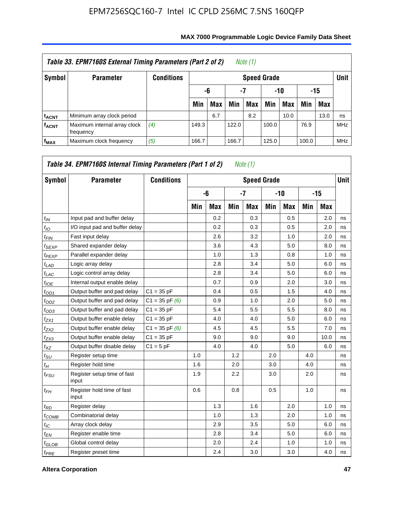|                         | Table 33. EPM7160S External Timing Parameters (Part 2 of 2) |                   |       |            |       | Note (1)   |                    |      |       |            |            |
|-------------------------|-------------------------------------------------------------|-------------------|-------|------------|-------|------------|--------------------|------|-------|------------|------------|
| Symbol                  | <b>Parameter</b>                                            | <b>Conditions</b> |       |            |       |            | <b>Speed Grade</b> |      |       |            | Unit       |
|                         |                                                             |                   | -6    |            | -7    |            | -10                |      |       | -15        |            |
|                         |                                                             |                   | Min   | <b>Max</b> | Min   | <b>Max</b> | Min                | Max  | Min   | <b>Max</b> |            |
| <sup>t</sup> ACNT       | Minimum array clock period                                  |                   |       | 6.7        |       | 8.2        |                    | 10.0 |       | 13.0       | ns         |
| <b>f<sub>ACNT</sub></b> | Maximum internal array clock<br>frequency                   | (4)               | 149.3 |            | 122.0 |            | 100.0              |      | 76.9  |            | <b>MHz</b> |
| f <sub>MAX</sub>        | Maximum clock frequency                                     | (5)               | 166.7 |            | 166.7 |            | 125.0              |      | 100.0 |            | <b>MHz</b> |

| Symbol            | <b>Parameter</b>                     | <b>Conditions</b>  |     |            |     | <b>Speed Grade</b> |     |            |     |       | <b>Unit</b> |
|-------------------|--------------------------------------|--------------------|-----|------------|-----|--------------------|-----|------------|-----|-------|-------------|
|                   |                                      |                    |     | -6         |     | $-7$               |     | -10        |     | $-15$ |             |
|                   |                                      |                    | Min | <b>Max</b> | Min | <b>Max</b>         | Min | <b>Max</b> | Min | Max   |             |
| $t_{IN}$          | Input pad and buffer delay           |                    |     | 0.2        |     | 0.3                |     | 0.5        |     | 2.0   | ns          |
| $t_{IO}$          | I/O input pad and buffer delay       |                    |     | 0.2        |     | 0.3                |     | 0.5        |     | 2.0   | ns          |
| $t_{FIN}$         | Fast input delay                     |                    |     | 2.6        |     | 3.2                |     | 1.0        |     | 2.0   | ns          |
| $t_{SEXP}$        | Shared expander delay                |                    |     | 3.6        |     | 4.3                |     | 5.0        |     | 8.0   | ns          |
| <sup>t</sup> PEXP | Parallel expander delay              |                    |     | 1.0        |     | 1.3                |     | 0.8        |     | 1.0   | ns          |
| $t_{LAD}$         | Logic array delay                    |                    |     | 2.8        |     | 3.4                |     | 5.0        |     | 6.0   | ns          |
| $t_{LAC}$         | Logic control array delay            |                    |     | 2.8        |     | 3.4                |     | 5.0        |     | 6.0   | ns          |
| $t_{IOE}$         | Internal output enable delay         |                    |     | 0.7        |     | 0.9                |     | 2.0        |     | 3.0   | ns          |
| $t_{OD1}$         | Output buffer and pad delay          | $C1 = 35 pF$       |     | 0.4        |     | 0.5                |     | 1.5        |     | 4.0   | ns          |
| $t_{OD2}$         | Output buffer and pad delay          | $C1 = 35$ pF $(6)$ |     | 0.9        |     | 1.0                |     | 2.0        |     | 5.0   | ns          |
| $t_{OD3}$         | Output buffer and pad delay          | $C1 = 35 pF$       |     | 5.4        |     | 5.5                |     | 5.5        |     | 8.0   | ns          |
| $t_{ZX1}$         | Output buffer enable delay           | $C1 = 35 pF$       |     | 4.0        |     | 4.0                |     | 5.0        |     | 6.0   | ns          |
| $t_{ZX2}$         | Output buffer enable delay           | $C1 = 35$ pF $(6)$ |     | 4.5        |     | 4.5                |     | 5.5        |     | 7.0   | ns          |
| $t_{ZX3}$         | Output buffer enable delay           | $C1 = 35 pF$       |     | 9.0        |     | 9.0                |     | 9.0        |     | 10.0  | ns          |
| $t_{XZ}$          | Output buffer disable delay          | $C1 = 5pF$         |     | 4.0        |     | 4.0                |     | 5.0        |     | 6.0   | ns          |
| $t_{\rm SU}$      | Register setup time                  |                    | 1.0 |            | 1.2 |                    | 2.0 |            | 4.0 |       | ns          |
| $t_H$             | Register hold time                   |                    | 1.6 |            | 2.0 |                    | 3.0 |            | 4.0 |       | ns          |
| $t_{FSU}$         | Register setup time of fast<br>input |                    | 1.9 |            | 2.2 |                    | 3.0 |            | 2.0 |       | ns          |
| $t_{FH}$          | Register hold time of fast<br>input  |                    | 0.6 |            | 0.8 |                    | 0.5 |            | 1.0 |       | ns          |
| $t_{RD}$          | Register delay                       |                    |     | 1.3        |     | 1.6                |     | 2.0        |     | 1.0   | ns          |
| $t_{COMB}$        | Combinatorial delay                  |                    |     | 1.0        |     | 1.3                |     | 2.0        |     | 1.0   | ns          |
| $t_{\text{IC}}$   | Array clock delay                    |                    |     | 2.9        |     | 3.5                |     | 5.0        |     | 6.0   | ns          |
| $t_{EN}$          | Register enable time                 |                    |     | 2.8        |     | 3.4                |     | 5.0        |     | 6.0   | ns          |
| $t_{GLOB}$        | Global control delay                 |                    |     | 2.0        |     | 2.4                |     | 1.0        |     | 1.0   | ns          |
| $t_{PRE}$         | Register preset time                 |                    |     | 2.4        |     | 3.0                |     | 3.0        |     | 4.0   | ns          |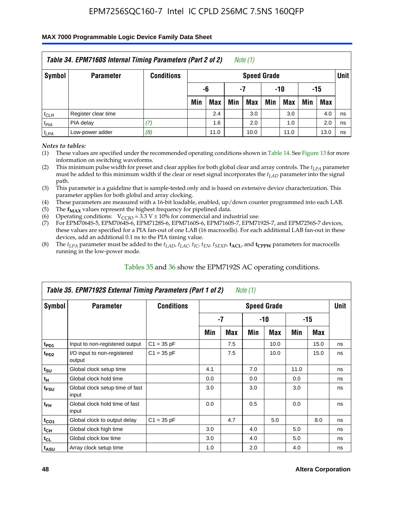### **MAX 7000 Programmable Logic Device Family Data Sheet**

|           | Table 34. EPM7160S Internal Timing Parameters (Part 2 of 2) |                   |     |      |     | Note (1)           |     |      |     |      |             |
|-----------|-------------------------------------------------------------|-------------------|-----|------|-----|--------------------|-----|------|-----|------|-------------|
| Symbol    | <b>Parameter</b>                                            | <b>Conditions</b> |     |      |     | <b>Speed Grade</b> |     |      |     |      | <b>Unit</b> |
|           |                                                             |                   |     | -6   | -7  |                    |     | -10  | -15 |      |             |
|           |                                                             |                   | Min | Max  | Min | <b>Max</b>         | Min | Max  | Min | Max  |             |
| $t_{CLR}$ | Register clear time                                         |                   |     | 2.4  |     | 3.0                |     | 3.0  |     | 4.0  | ns          |
| $t_{PIA}$ | PIA delay                                                   | (7)               |     | 1.6  |     | 2.0                |     | 1.0  |     | 2.0  | ns          |
| $t_{LPA}$ | Low-power adder                                             | (8)               |     | 11.0 |     | 10.0               |     | 11.0 |     | 13.0 | ns          |

#### *Notes to tables:*

- (1) These values are specified under the recommended operating conditions shown in Table 14. See Figure 13 for more information on switching waveforms.
- (2) This minimum pulse width for preset and clear applies for both global clear and array controls. The  $t_{LPA}$  parameter must be added to this minimum width if the clear or reset signal incorporates the *t<sub>LAD</sub>* parameter into the signal path.
- (3) This parameter is a guideline that is sample-tested only and is based on extensive device characterization. This parameter applies for both global and array clocking.
- (4) These parameters are measured with a 16-bit loadable, enabled, up/down counter programmed into each LAB.
- (5) The  $f_{MAX}$  values represent the highest frequency for pipelined data.
- (6) Operating conditions:  $V_{\text{CCIO}} = 3.3 V \pm 10\%$  for commercial and industrial use.
- (7) For EPM7064S-5, EPM7064S-6, EPM7128S-6, EPM7160S-6, EPM7160S-7, EPM7192S-7, and EPM7256S-7 devices, these values are specified for a PIA fan-out of one LAB (16 macrocells). For each additional LAB fan-out in these devices, add an additional 0.1 ns to the PIA timing value.
- (8) The  $t_{LPA}$  parameter must be added to the  $t_{LAP}$ ,  $t_{LAC}$ ,  $t_{IC}$ ,  $t_{EN}$ ,  $t_{SEXP}$ ,  $t_{ACL}$ , and  $t_{CPPW}$  parameters for macrocells running in the low-power mode.

|                             | Table 35. EPM7192S External Timing Parameters (Part 1 of 2) |                   |     |      | Note $(1)$ |                    |      |       |             |
|-----------------------------|-------------------------------------------------------------|-------------------|-----|------|------------|--------------------|------|-------|-------------|
| Symbol                      | <b>Parameter</b>                                            | <b>Conditions</b> |     |      |            | <b>Speed Grade</b> |      |       | <b>Unit</b> |
|                             |                                                             |                   |     | $-7$ |            | -10                |      | $-15$ |             |
|                             |                                                             |                   | Min | Max  | Min        | <b>Max</b>         | Min  | Max   |             |
| t <sub>PD1</sub>            | Input to non-registered output                              | $C1 = 35 pF$      |     | 7.5  |            | 10.0               |      | 15.0  | ns          |
| $t_{PD2}$                   | I/O input to non-registered<br>output                       | $C1 = 35 pF$      |     | 7.5  |            | 10.0               |      | 15.0  | ns          |
| $t_{\scriptstyle\text{SU}}$ | Global clock setup time                                     |                   | 4.1 |      | 7.0        |                    | 11.0 |       | ns          |
| $t_H$                       | Global clock hold time                                      |                   | 0.0 |      | 0.0        |                    | 0.0  |       | ns          |
| t <sub>FSU</sub>            | Global clock setup time of fast<br>input                    |                   | 3.0 |      | 3.0        |                    | 3.0  |       | ns          |
| $t_{FH}$                    | Global clock hold time of fast<br>input                     |                   | 0.0 |      | 0.5        |                    | 0.0  |       | ns          |
| $t_{CO1}$                   | Global clock to output delay                                | $C1 = 35 pF$      |     | 4.7  |            | 5.0                |      | 8.0   | ns          |
| $t_{CH}$                    | Global clock high time                                      |                   | 3.0 |      | 4.0        |                    | 5.0  |       | ns          |
| $t_{CL}$                    | Global clock low time                                       |                   | 3.0 |      | 4.0        |                    | 5.0  |       | ns          |
| t <sub>ASU</sub>            | Array clock setup time                                      |                   | 1.0 |      | 2.0        |                    | 4.0  |       | ns          |

### Tables 35 and 36 show the EPM7192S AC operating conditions.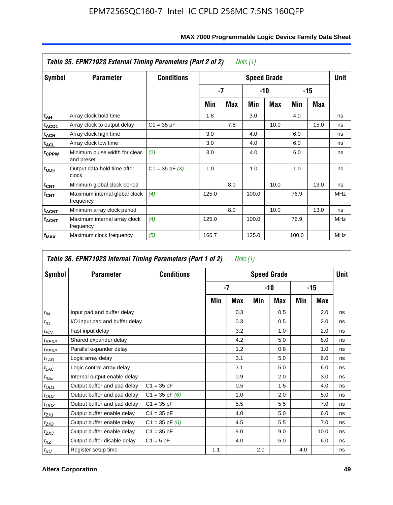|                         | Table 35. EPM7192S External Timing Parameters (Part 2 of 2) |                    |       |     | Note (1) |                    |       |      |             |
|-------------------------|-------------------------------------------------------------|--------------------|-------|-----|----------|--------------------|-------|------|-------------|
| Symbol                  | <b>Parameter</b>                                            | <b>Conditions</b>  |       |     |          | <b>Speed Grade</b> |       |      | <b>Unit</b> |
|                         |                                                             |                    |       | -7  |          | -10                |       | -15  |             |
|                         |                                                             |                    | Min   | Max | Min      | Max                | Min   | Max  |             |
| t <sub>АН</sub>         | Array clock hold time                                       |                    | 1.8   |     | 3.0      |                    | 4.0   |      | ns          |
| t <sub>ACO1</sub>       | Array clock to output delay                                 | $C1 = 35 pF$       |       | 7.8 |          | 10.0               |       | 15.0 | ns          |
| $t_{\sf ACH}$           | Array clock high time                                       |                    | 3.0   |     | 4.0      |                    | 6.0   |      | ns          |
| $t_{\sf ACL}$           | Array clock low time                                        |                    | 3.0   |     | 4.0      |                    | 6.0   |      | ns          |
| t <sub>CPPW</sub>       | Minimum pulse width for clear<br>and preset                 | (2)                | 3.0   |     | 4.0      |                    | 6.0   |      | ns          |
| $t_{ODH}$               | Output data hold time after<br>clock                        | $C1 = 35$ pF $(3)$ | 1.0   |     | 1.0      |                    | 1.0   |      | ns          |
| $t_{\mathsf{CNT}}$      | Minimum global clock period                                 |                    |       | 8.0 |          | 10.0               |       | 13.0 | ns          |
| $f_{\text{CNT}}$        | Maximum internal global clock<br>frequency                  | (4)                | 125.0 |     | 100.0    |                    | 76.9  |      | <b>MHz</b>  |
| $t_{ACNT}$              | Minimum array clock period                                  |                    |       | 8.0 |          | 10.0               |       | 13.0 | ns          |
| <b>f<sub>ACNT</sub></b> | Maximum internal array clock<br>frequency                   | (4)                | 125.0 |     | 100.0    |                    | 76.9  |      | <b>MHz</b>  |
| f <sub>MAX</sub>        | Maximum clock frequency                                     | (5)                | 166.7 |     | 125.0    |                    | 100.0 |      | <b>MHz</b>  |

### **MAX 7000 Programmable Logic Device Family Data Sheet**

|                             | Table 36. EPM7192S Internal Timing Parameters (Part 1 of 2) |                    |     | Note (1) |     |                    |     |       |      |
|-----------------------------|-------------------------------------------------------------|--------------------|-----|----------|-----|--------------------|-----|-------|------|
| Symbol                      | <b>Parameter</b>                                            | <b>Conditions</b>  |     |          |     | <b>Speed Grade</b> |     |       | Unit |
|                             |                                                             |                    |     | -7       |     | $-10$              |     | $-15$ |      |
|                             |                                                             |                    | Min | Max      | Min | Max                | Min | Max   |      |
| $t_{IN}$                    | Input pad and buffer delay                                  |                    |     | 0.3      |     | 0.5                |     | 2.0   | ns   |
| $t_{IO}$                    | I/O input pad and buffer delay                              |                    |     | 0.3      |     | 0.5                |     | 2.0   | ns   |
| $t_{FIN}$                   | Fast input delay                                            |                    |     | 3.2      |     | 1.0                |     | 2.0   | ns   |
| $t_{SEXP}$                  | Shared expander delay                                       |                    |     | 4.2      |     | 5.0                |     | 8.0   | ns   |
| $t_{PEXP}$                  | Parallel expander delay                                     |                    |     | 1.2      |     | 0.8                |     | 1.0   | ns   |
| $t_{LAD}$                   | Logic array delay                                           |                    |     | 3.1      |     | 5.0                |     | 6.0   | ns   |
| $t_{LAC}$                   | Logic control array delay                                   |                    |     | 3.1      |     | 5.0                |     | 6.0   | ns   |
| $t_{IOE}$                   | Internal output enable delay                                |                    |     | 0.9      |     | 2.0                |     | 3.0   | ns   |
| $t_{OD1}$                   | Output buffer and pad delay                                 | $C1 = 35 pF$       |     | 0.5      |     | 1.5                |     | 4.0   | ns   |
| $t_{OD2}$                   | Output buffer and pad delay                                 | $C1 = 35$ pF $(6)$ |     | 1.0      |     | 2.0                |     | 5.0   | ns   |
| $t_{OD3}$                   | Output buffer and pad delay                                 | $C1 = 35 pF$       |     | 5.5      |     | 5.5                |     | 7.0   | ns   |
| $t_{ZX1}$                   | Output buffer enable delay                                  | $C1 = 35 pF$       |     | 4.0      |     | 5.0                |     | 6.0   | ns   |
| $t_{ZX2}$                   | Output buffer enable delay                                  | $C1 = 35$ pF $(6)$ |     | 4.5      |     | 5.5                |     | 7.0   | ns   |
| $t_{ZX3}$                   | Output buffer enable delay                                  | $C1 = 35 pF$       |     | 9.0      |     | 9.0                |     | 10.0  | ns   |
| $t_{XZ}$                    | Output buffer disable delay                                 | $C1 = 5pF$         |     | 4.0      |     | 5.0                |     | 6.0   | ns   |
| $t_{\scriptstyle\text{SU}}$ | Register setup time                                         |                    | 1.1 |          | 2.0 |                    | 4.0 |       | ns   |

### **Altera Corporation 49**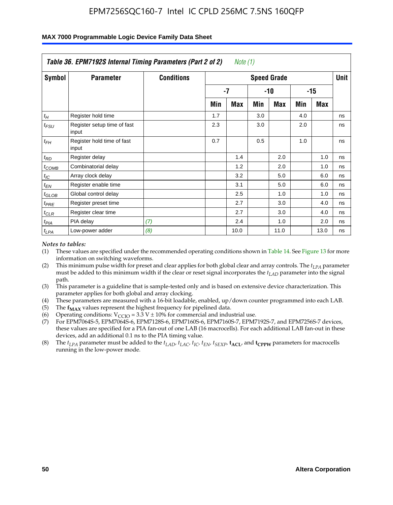|                    | Table 36. EPM7192S Internal Timing Parameters (Part 2 of 2) |                   |     | Note $(1)$ |     |                    |     |            |      |
|--------------------|-------------------------------------------------------------|-------------------|-----|------------|-----|--------------------|-----|------------|------|
| Symbol             | <b>Parameter</b>                                            | <b>Conditions</b> |     |            |     | <b>Speed Grade</b> |     |            | Unit |
|                    |                                                             |                   |     | $-7$       |     | -10                |     | $-15$      |      |
|                    |                                                             |                   | Min | <b>Max</b> | Min | <b>Max</b>         | Min | <b>Max</b> |      |
| $t_H$              | Register hold time                                          |                   | 1.7 |            | 3.0 |                    | 4.0 |            | ns   |
| $t_{\mathit{FSU}}$ | Register setup time of fast<br>input                        |                   | 2.3 |            | 3.0 |                    | 2.0 |            | ns   |
| $t_{FH}$           | Register hold time of fast<br>input                         |                   | 0.7 |            | 0.5 |                    | 1.0 |            | ns   |
| $t_{RD}$           | Register delay                                              |                   |     | 1.4        |     | 2.0                |     | 1.0        | ns   |
| $t_{COMB}$         | Combinatorial delay                                         |                   |     | 1.2        |     | 2.0                |     | 1.0        | ns   |
| $t_{IC}$           | Array clock delay                                           |                   |     | 3.2        |     | 5.0                |     | 6.0        | ns   |
| $t_{EN}$           | Register enable time                                        |                   |     | 3.1        |     | 5.0                |     | 6.0        | ns   |
| $t_{GLOB}$         | Global control delay                                        |                   |     | 2.5        |     | 1.0                |     | 1.0        | ns   |
| $t_{PRE}$          | Register preset time                                        |                   |     | 2.7        |     | 3.0                |     | 4.0        | ns   |
| $t_{CLR}$          | Register clear time                                         |                   |     | 2.7        |     | 3.0                |     | 4.0        | ns   |
| t <sub>PIA</sub>   | PIA delay                                                   | (7)               |     | 2.4        |     | 1.0                |     | 2.0        | ns   |
| $t_{LPA}$          | Low-power adder                                             | (8)               |     | 10.0       |     | 11.0               |     | 13.0       | ns   |

#### **MAX 7000 Programmable Logic Device Family Data Sheet**

#### *Notes to tables:*

- (1) These values are specified under the recommended operating conditions shown in Table 14. See Figure 13 for more information on switching waveforms.
- (2) This minimum pulse width for preset and clear applies for both global clear and array controls. The *tLPA* parameter must be added to this minimum width if the clear or reset signal incorporates the *t<sub>LAD</sub>* parameter into the signal path.
- (3) This parameter is a guideline that is sample-tested only and is based on extensive device characterization. This parameter applies for both global and array clocking.
- (4) These parameters are measured with a 16-bit loadable, enabled, up/down counter programmed into each LAB.
- (5) The  $f_{MAX}$  values represent the highest frequency for pipelined data.
- (6) Operating conditions:  $V_{\text{CCIO}} = 3.3 \text{ V} \pm 10\%$  for commercial and industrial use.
- (7) For EPM7064S-5, EPM7064S-6, EPM7128S-6, EPM7160S-6, EPM7160S-7, EPM7192S-7, and EPM7256S-7 devices, these values are specified for a PIA fan-out of one LAB (16 macrocells). For each additional LAB fan-out in these devices, add an additional 0.1 ns to the PIA timing value.
- (8) The  $t_{LPA}$  parameter must be added to the  $t_{LAD}$ ,  $t_{LAC}$ ,  $t_{IC}$ ,  $t_{EN}$ ,  $t_{SIX}$ ,  $t_{ACL}$ , and  $t_{CPW}$  parameters for macrocells running in the low-power mode.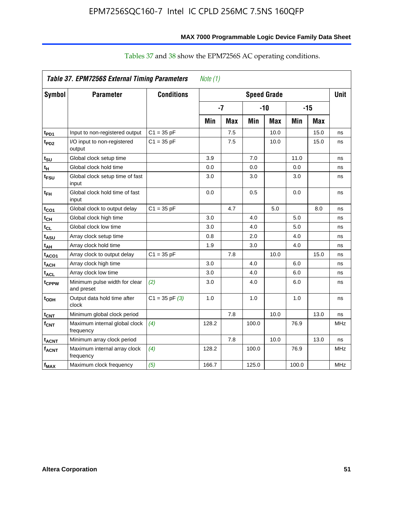|                         | <b>Table 37. EPM7256S External Timing Parameters</b> |                    | Note (1) |     |                    |            |       |            |             |
|-------------------------|------------------------------------------------------|--------------------|----------|-----|--------------------|------------|-------|------------|-------------|
| Symbol                  | <b>Parameter</b>                                     | <b>Conditions</b>  |          |     | <b>Speed Grade</b> |            |       |            | <b>Unit</b> |
|                         |                                                      |                    | $-7$     |     | $-10$              |            | $-15$ |            |             |
|                         |                                                      |                    | Min      | Max | Min                | <b>Max</b> | Min   | <b>Max</b> |             |
| t <sub>PD1</sub>        | Input to non-registered output                       | $C1 = 35 pF$       |          | 7.5 |                    | 10.0       |       | 15.0       | ns          |
| t <sub>PD2</sub>        | I/O input to non-registered<br>output                | $C1 = 35 pF$       |          | 7.5 |                    | 10.0       |       | 15.0       | ns          |
| $t_{\text{SU}}$         | Global clock setup time                              |                    | 3.9      |     | 7.0                |            | 11.0  |            | ns          |
| tн                      | Global clock hold time                               |                    | 0.0      |     | 0.0                |            | 0.0   |            | ns          |
| t <sub>FSU</sub>        | Global clock setup time of fast<br>input             |                    | 3.0      |     | 3.0                |            | 3.0   |            | ns          |
| $t_{FH}$                | Global clock hold time of fast<br>input              |                    | 0.0      |     | 0.5                |            | 0.0   |            | ns          |
| $t_{CO1}$               | Global clock to output delay                         | $C1 = 35 pF$       |          | 4.7 |                    | 5.0        |       | 8.0        | ns          |
| $t_{CH}$                | Global clock high time                               |                    | 3.0      |     | 4.0                |            | 5.0   |            | ns          |
| $t_{CL}$                | Global clock low time                                |                    | 3.0      |     | 4.0                |            | 5.0   |            | ns          |
| t <sub>ASU</sub>        | Array clock setup time                               |                    | 0.8      |     | 2.0                |            | 4.0   |            | ns          |
| t <sub>AH</sub>         | Array clock hold time                                |                    | 1.9      |     | 3.0                |            | 4.0   |            | ns          |
| $t_{ACO1}$              | Array clock to output delay                          | $C1 = 35 pF$       |          | 7.8 |                    | 10.0       |       | 15.0       | ns          |
| <sup>t</sup> ACH        | Array clock high time                                |                    | 3.0      |     | 4.0                |            | 6.0   |            | ns          |
| $t_{\text{ACL}}$        | Array clock low time                                 |                    | 3.0      |     | 4.0                |            | 6.0   |            | ns          |
| t <sub>CPPW</sub>       | Minimum pulse width for clear<br>and preset          | (2)                | 3.0      |     | 4.0                |            | 6.0   |            | ns          |
| t <sub>ODH</sub>        | Output data hold time after<br>clock                 | $C1 = 35$ pF $(3)$ | 1.0      |     | 1.0                |            | 1.0   |            | ns          |
| $t_{\text{CNT}}$        | Minimum global clock period                          |                    |          | 7.8 |                    | 10.0       |       | 13.0       | ns          |
| $f_{\text{CNT}}$        | Maximum internal global clock<br>frequency           | (4)                | 128.2    |     | 100.0              |            | 76.9  |            | <b>MHz</b>  |
| <b>t<sub>ACNT</sub></b> | Minimum array clock period                           |                    |          | 7.8 |                    | 10.0       |       | 13.0       | ns          |
| $f_{ACNT}$              | Maximum internal array clock<br>frequency            | (4)                | 128.2    |     | 100.0              |            | 76.9  |            | <b>MHz</b>  |
| $f_{\text{MAX}}$        | Maximum clock frequency                              | (5)                | 166.7    |     | 125.0              |            | 100.0 |            | <b>MHz</b>  |

# Tables 37 and 38 show the EPM7256S AC operating conditions.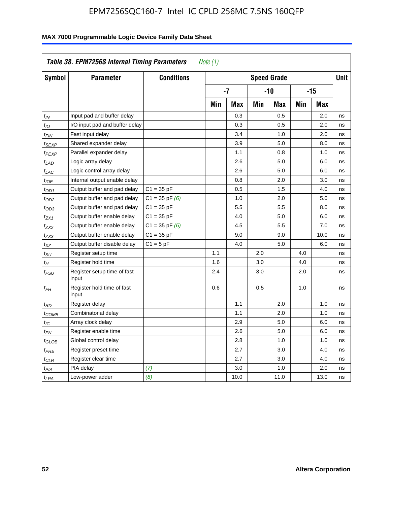|                    | Table 38. EPM7256S Internal Timing Parameters |                    | Note (1) |      |     |                    |     |       |             |
|--------------------|-----------------------------------------------|--------------------|----------|------|-----|--------------------|-----|-------|-------------|
| Symbol             | <b>Parameter</b>                              | <b>Conditions</b>  |          |      |     | <b>Speed Grade</b> |     |       | <b>Unit</b> |
|                    |                                               |                    |          | $-7$ |     | $-10$              |     | $-15$ |             |
|                    |                                               |                    | Min      | Max  | Min | Max                | Min | Max   |             |
| $t_{IN}$           | Input pad and buffer delay                    |                    |          | 0.3  |     | 0.5                |     | 2.0   | ns          |
| $t_{IO}$           | I/O input pad and buffer delay                |                    |          | 0.3  |     | 0.5                |     | 2.0   | ns          |
| $t_{\text{FIN}}$   | Fast input delay                              |                    |          | 3.4  |     | 1.0                |     | 2.0   | ns          |
| t <sub>SEXP</sub>  | Shared expander delay                         |                    |          | 3.9  |     | 5.0                |     | 8.0   | ns          |
| t <sub>PEXP</sub>  | Parallel expander delay                       |                    |          | 1.1  |     | 0.8                |     | 1.0   | ns          |
| $t_{LAD}$          | Logic array delay                             |                    |          | 2.6  |     | 5.0                |     | 6.0   | ns          |
| $t_{LAC}$          | Logic control array delay                     |                    |          | 2.6  |     | 5.0                |     | 6.0   | ns          |
| $t_{IOE}$          | Internal output enable delay                  |                    |          | 0.8  |     | 2.0                |     | 3.0   | ns          |
| $t_{OD1}$          | Output buffer and pad delay                   | $C1 = 35 pF$       |          | 0.5  |     | 1.5                |     | 4.0   | ns          |
| t <sub>OD2</sub>   | Output buffer and pad delay                   | $C1 = 35$ pF $(6)$ |          | 1.0  |     | 2.0                |     | 5.0   | ns          |
| $t_{OD3}$          | Output buffer and pad delay                   | $C1 = 35 pF$       |          | 5.5  |     | 5.5                |     | 8.0   | ns          |
| $t_{ZX1}$          | Output buffer enable delay                    | $C1 = 35 pF$       |          | 4.0  |     | 5.0                |     | 6.0   | ns          |
| t <sub>ZX2</sub>   | Output buffer enable delay                    | $C1 = 35$ pF $(6)$ |          | 4.5  |     | 5.5                |     | 7.0   | ns          |
| $t_{ZX3}$          | Output buffer enable delay                    | $C1 = 35 pF$       |          | 9.0  |     | 9.0                |     | 10.0  | ns          |
| $t_{XZ}$           | Output buffer disable delay                   | $C1 = 5pF$         |          | 4.0  |     | 5.0                |     | 6.0   | ns          |
| $t_{\rm SU}$       | Register setup time                           |                    | 1.1      |      | 2.0 |                    | 4.0 |       | ns          |
| $t_H$              | Register hold time                            |                    | 1.6      |      | 3.0 |                    | 4.0 |       | ns          |
| $t_{\mathit{FSU}}$ | Register setup time of fast<br>input          |                    | 2.4      |      | 3.0 |                    | 2.0 |       | ns          |
| $t_{FH}$           | Register hold time of fast<br>input           |                    | 0.6      |      | 0.5 |                    | 1.0 |       | ns          |
| $t_{RD}$           | Register delay                                |                    |          | 1.1  |     | 2.0                |     | 1.0   | ns          |
| $t_{COMB}$         | Combinatorial delay                           |                    |          | 1.1  |     | 2.0                |     | 1.0   | ns          |
| $t_{IC}$           | Array clock delay                             |                    |          | 2.9  |     | 5.0                |     | 6.0   | ns          |
| $t_{EN}$           | Register enable time                          |                    |          | 2.6  |     | 5.0                |     | 6.0   | ns          |
| $t_{GLOB}$         | Global control delay                          |                    |          | 2.8  |     | 1.0                |     | 1.0   | ns          |
| $t_{PRE}$          | Register preset time                          |                    |          | 2.7  |     | 3.0                |     | 4.0   | ns          |
| $t_{\text{CLR}}$   | Register clear time                           |                    |          | 2.7  |     | 3.0                |     | 4.0   | ns          |
| t <sub>PIA</sub>   | PIA delay                                     | (7)                |          | 3.0  |     | 1.0                |     | 2.0   | ns          |
| $t_{LPA}$          | Low-power adder                               | (8)                |          | 10.0 |     | 11.0               |     | 13.0  | ns          |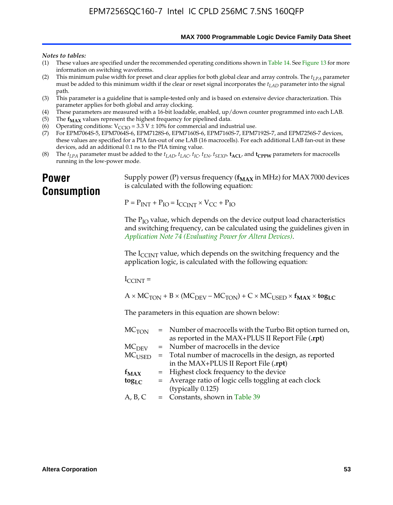**MAX 7000 Programmable Logic Device Family Data Sheet**

#### *Notes to tables:*

- (1) These values are specified under the recommended operating conditions shown in Table 14. See Figure 13 for more information on switching waveforms.
- (2) This minimum pulse width for preset and clear applies for both global clear and array controls. The  $t_{LPA}$  parameter must be added to this minimum width if the clear or reset signal incorporates the *tLAD* parameter into the signal path.
- (3) This parameter is a guideline that is sample-tested only and is based on extensive device characterization. This parameter applies for both global and array clocking.
- (4) These parameters are measured with a 16-bit loadable, enabled, up/down counter programmed into each LAB.
- (5) The  $f_{MAX}$  values represent the highest frequency for pipelined data.
- (6) Operating conditions:  $V_{\text{CCIO}} = 3.3 \text{ V} \pm 10\%$  for commercial and industrial use.
- (7) For EPM7064S-5, EPM7064S-6, EPM7128S-6, EPM7160S-6, EPM7160S-7, EPM7192S-7, and EPM7256S-7 devices, these values are specified for a PIA fan-out of one LAB (16 macrocells). For each additional LAB fan-out in these devices, add an additional 0.1 ns to the PIA timing value.
- (8) The  $t_{LPA}$  parameter must be added to the  $t_{LAD}$ ,  $t_{LAC}$ ,  $t_{IC}$ ,  $t_{EN}$ ,  $t_{SEXP}$ ,  $t_{ACL}$ , and  $t_{CPPW}$  parameters for macrocells running in the low-power mode.

# **Power Consumption**

[Supply power \(P\) versus frequency \(](http://www.altera.com/literature/an/an074.pdf) $f_{MAX}$  in MHz) for MAX 7000 devices is calculated with the following equation:

 $P = P_{INT} + P_{IO} = I_{CCLNT} \times V_{CC} + P_{IO}$ 

The  $P_{IO}$  value, which depends on the device output load characteristics and switching frequency, can be calculated using the guidelines given in *Application Note 74 (Evaluating Power for Altera Devices)*.

The  $I_{\text{CCINT}}$  value, which depends on the switching frequency and the application logic, is calculated with the following equation:

 $I_{\text{CCTNT}} =$ 

 $A \times MC_{TON} + B \times (MC_{DEFU} - MC_{TON}) + C \times MC_{LISED} \times f_{MAX} \times tog_{LC}$ 

The parameters in this equation are shown below:

| $MC$ <sub>TON</sub> | = Number of macrocells with the Turbo Bit option turned on, |
|---------------------|-------------------------------------------------------------|
|                     | as reported in the MAX+PLUS II Report File (.rpt)           |
| MC <sub>DFV</sub>   | = Number of macrocells in the device                        |
| $MC_{\rm{LISED}}$   | = Total number of macrocells in the design, as reported     |
|                     | in the MAX+PLUS II Report File (.rpt)                       |
| $f_{MAX}$           | = Highest clock frequency to the device                     |
| $tog_{LC}$          | = Average ratio of logic cells toggling at each clock       |
|                     | (typically 0.125)                                           |
| A, B, C             | = Constants, shown in Table 39                              |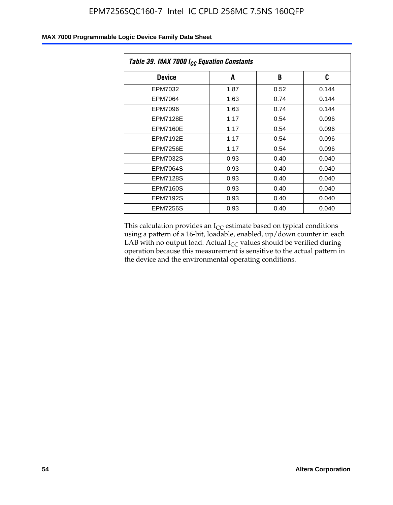| Table 39. MAX 7000 I <sub>CC</sub> Equation Constants |      |      |       |  |  |
|-------------------------------------------------------|------|------|-------|--|--|
| <b>Device</b>                                         | A    | B    | C     |  |  |
| EPM7032                                               | 1.87 | 0.52 | 0.144 |  |  |
| EPM7064                                               | 1.63 | 0.74 | 0.144 |  |  |
| <b>EPM7096</b>                                        | 1.63 | 0.74 | 0.144 |  |  |
| <b>EPM7128E</b>                                       | 1.17 | 0.54 | 0.096 |  |  |
| <b>EPM7160E</b>                                       | 1.17 | 0.54 | 0.096 |  |  |
| <b>EPM7192E</b>                                       | 1.17 | 0.54 | 0.096 |  |  |
| <b>EPM7256E</b>                                       | 1.17 | 0.54 | 0.096 |  |  |
| <b>EPM7032S</b>                                       | 0.93 | 0.40 | 0.040 |  |  |
| <b>EPM7064S</b>                                       | 0.93 | 0.40 | 0.040 |  |  |
| <b>EPM7128S</b>                                       | 0.93 | 0.40 | 0.040 |  |  |
| <b>EPM7160S</b>                                       | 0.93 | 0.40 | 0.040 |  |  |
| <b>EPM7192S</b>                                       | 0.93 | 0.40 | 0.040 |  |  |
| <b>EPM7256S</b>                                       | 0.93 | 0.40 | 0.040 |  |  |

This calculation provides an  $I_{CC}$  estimate based on typical conditions using a pattern of a 16-bit, loadable, enabled, up/down counter in each LAB with no output load. Actual  $I_{CC}$  values should be verified during operation because this measurement is sensitive to the actual pattern in the device and the environmental operating conditions.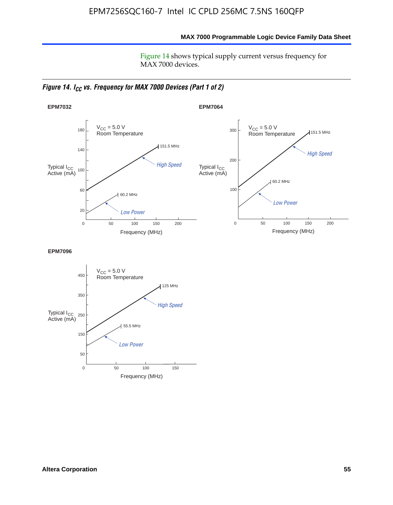**MAX 7000 Programmable Logic Device Family Data Sheet**

Figure 14 shows typical supply current versus frequency for MAX 7000 devices.

*Figure 14. I<sub>CC</sub> vs. Frequency for MAX 7000 Devices (Part 1 of 2)* 



**EPM7096**

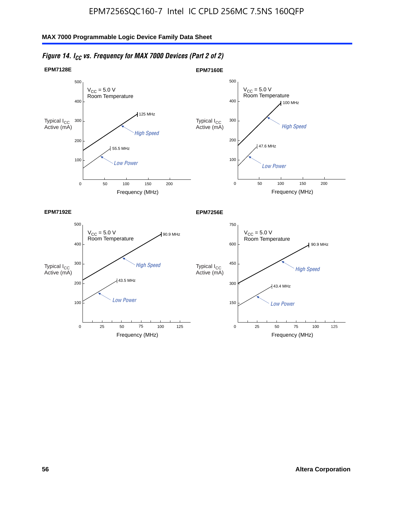

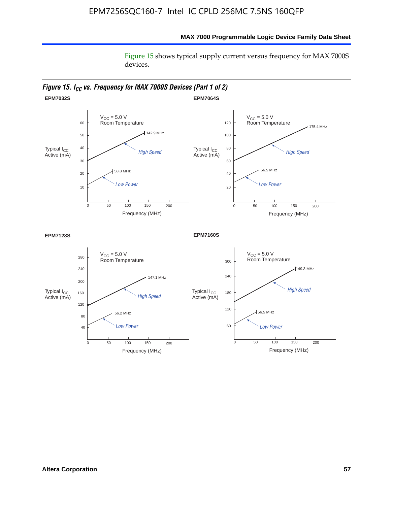Figure 15 shows typical supply current versus frequency for MAX 7000S devices.

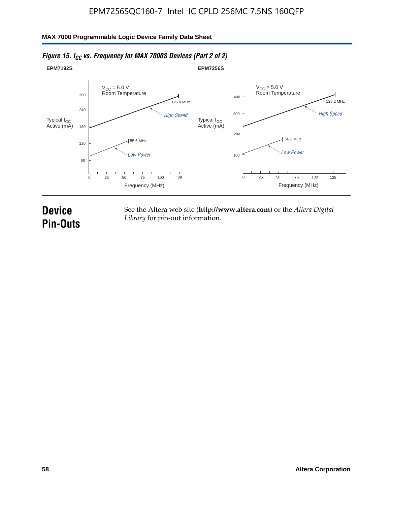#### **EPM7192S** V<sub>CC</sub> = 5.0 V<br>Room Temperature 0 Frequency (MHz) High Speed Low Power 25 100 125 125.0 MHz 55.6 MHz 60 120 180 240 300 50 75 **EPM7256S** V<sub>CC</sub> = 5.0 V<br>Room Temperature 0 Frequency (MHz) High Speed Low Power 25 100 125 128.2 MHz 56.2 MHz 100 200 300 400 50 75 Typical I<sub>CC</sub><br>Active (mA) Typical I<sub>CC</sub> Typical I<sub>CC</sub> Typical I<sub>C</sub> Typical I<sub>C</sub> Typical I<sub>C</sub> Typical I<sub>C</sub> Typical I<sub>C</sub> Typical I<sub>C</sub> Typical I<sub>C</sub> Typical I<sub>C</sub> Typical I<sub>C</sub> Typical I<sub>C</sub> Typical I<sub>C</sub> Typical I<sub>C</sub> Typical I<sub>C</sub> Typical I<sub>C</sub> Typical I<sub>C</sub> Typical I<sub>CC</sub><br>Active (mA)

## *Figure 15. I<sub>CC</sub> vs. Frequency for MAX 7000S Devices (Part 2 of 2)*

# **Device Pin-Outs**

See the Altera web site (**http://www.altera.com**) or the *Altera Digital Library* for pin-out information.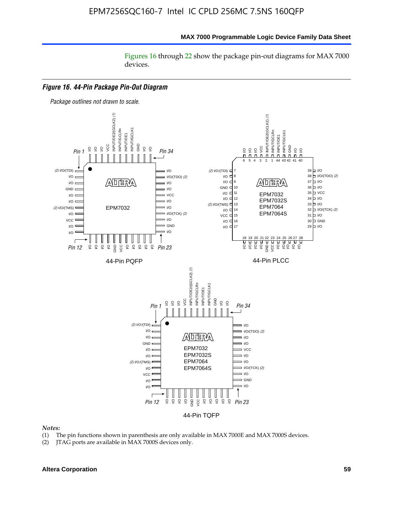Figures 16 through 22 show the package pin-out diagrams for MAX 7000 devices.



- (1) The pin functions shown in parenthesis are only available in MAX 7000E and MAX 7000S devices.
- (2) JTAG ports are available in MAX 7000S devices only.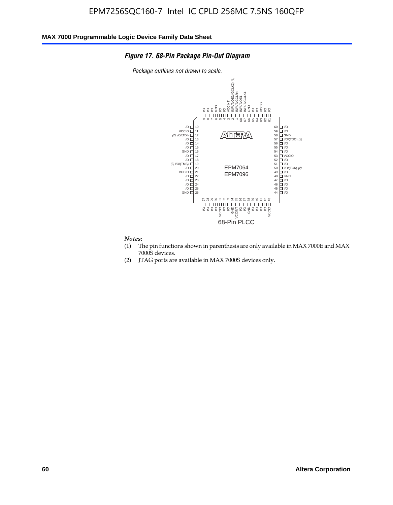#### *Figure 17. 68-Pin Package Pin-Out Diagram*

*Package outlines not drawn to scale.*



- (1) The pin functions shown in parenthesis are only available in MAX 7000E and MAX 7000S devices.
- (2) JTAG ports are available in MAX 7000S devices only.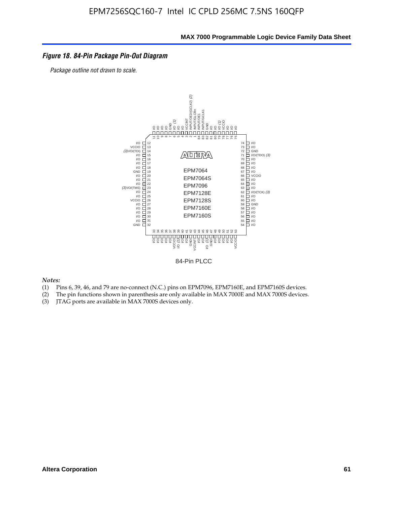### *Figure 18. 84-Pin Package Pin-Out Diagram*

*Package outline not drawn to scale.*



84-Pin PLCC

- (1) Pins 6, 39, 46, and 79 are no-connect (N.C.) pins on EPM7096, EPM7160E, and EPM7160S devices.
- (2) The pin functions shown in parenthesis are only available in MAX 7000E and MAX 7000S devices.
-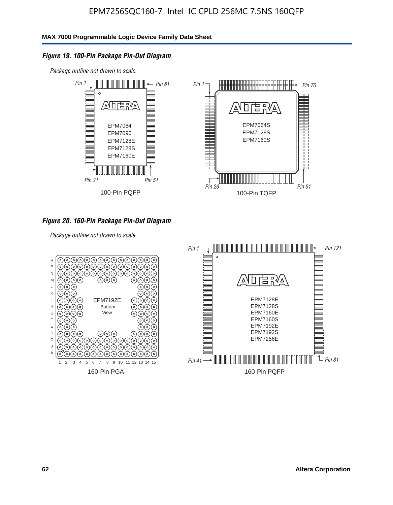### *Figure 19. 100-Pin Package Pin-Out Diagram*

*Package outline not drawn to scale.*



### *Figure 20. 160-Pin Package Pin-Out Diagram*

*Package outline not drawn to scale.*

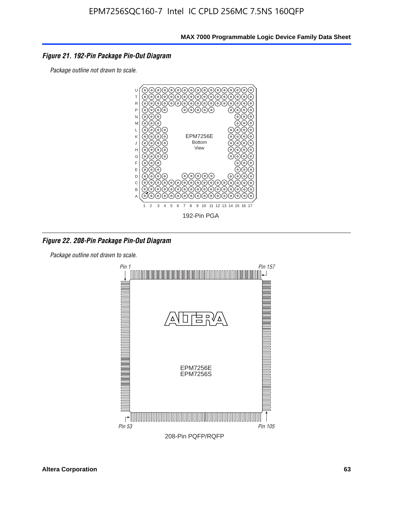### *Figure 21. 192-Pin Package Pin-Out Diagram*

*Package outline not drawn to scale.*



*Figure 22. 208-Pin Package Pin-Out Diagram*

*Package outline not drawn to scale.*

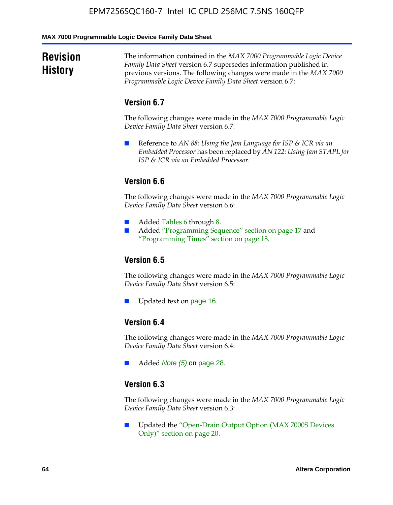#### **MAX 7000 Programmable Logic Device Family Data Sheet**

# **Revision History**

The information contained in the *MAX 7000 Programmable Logic Device Family Data Sheet* version 6.7 supersedes information published in previous versions. The following changes were made in the *MAX 7000 Programmable Logic Device Family Data Sheet* version 6.7:

# **Version 6.7**

The following changes were made in the *MAX 7000 Programmable Logic Device Family Data Sheet* version 6.7:

■ Reference to *AN 88: Using the Jam Language for ISP & ICR via an Embedded Processor* has been replaced by *AN 122: Using Jam STAPL for ISP & ICR via an Embedded Processor*.

# **Version 6.6**

The following changes were made in the *MAX 7000 Programmable Logic Device Family Data Sheet* version 6.6:

- Added Tables 6 through 8.
- Added "Programming Sequence" section on page 17 and "Programming Times" section on page 18.

# **Version 6.5**

The following changes were made in the *MAX 7000 Programmable Logic Device Family Data Sheet* version 6.5:

Updated text on page 16.

## **Version 6.4**

The following changes were made in the *MAX 7000 Programmable Logic Device Family Data Sheet* version 6.4:

■ Added *Note (5)* on page 28.

### **Version 6.3**

The following changes were made in the *MAX 7000 Programmable Logic Device Family Data Sheet* version 6.3:

■ Updated the "Open-Drain Output Option (MAX 7000S Devices Only)" section on page 20.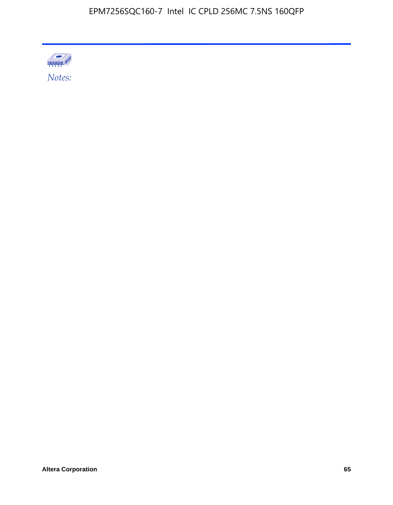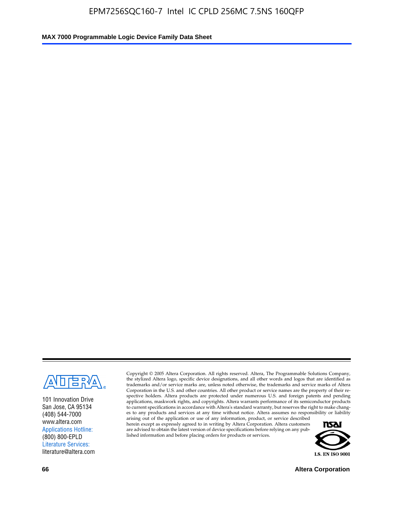

101 Innovation Drive San Jose, CA 95134 (408) 544-7000 www.altera.com Applications Hotline: (800) 800-EPLD Literature Services: literature@altera.com

Copyright © 2005 Altera Corporation. All rights reserved. Altera, The Programmable Solutions Company, the stylized Altera logo, specific device designations, and all other words and logos that are identified as trademarks and/or service marks are, unless noted otherwise, the trademarks and service marks of Altera Corporation in the U.S. and other countries. All other product or service names are the property of their respective holders. Altera products are protected under numerous U.S. and foreign patents and pending applications, maskwork rights, and copyrights. Altera warrants performance of its semiconductor products to current specifications in accordance with Altera's standard warranty, but reserves the right to make changes to any products and services at any time without notice. Altera assumes no responsibility or liability

arising out of the application or use of any information, product, or service described herein except as expressly agreed to in writing by Altera Corporation. Altera customers are advised to obtain the latest version of device specifications before relying on any published information and before placing orders for products or services.



**66 Altera Corporation**